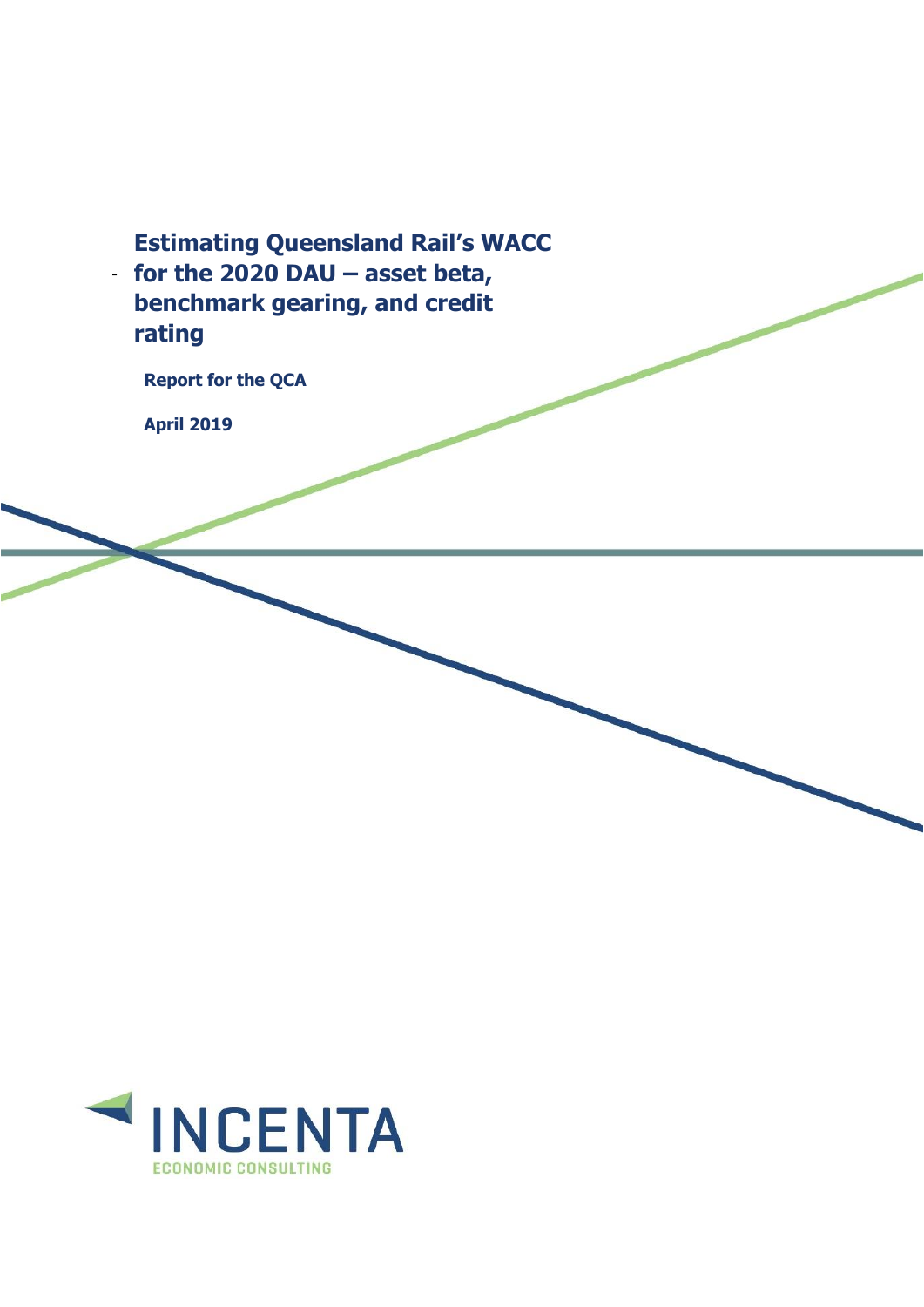- **for the 2020 DAU – asset beta, Estimating Queensland Rail's WACC benchmark gearing, and credit rating**

**Report for the QCA**

**April 2019**

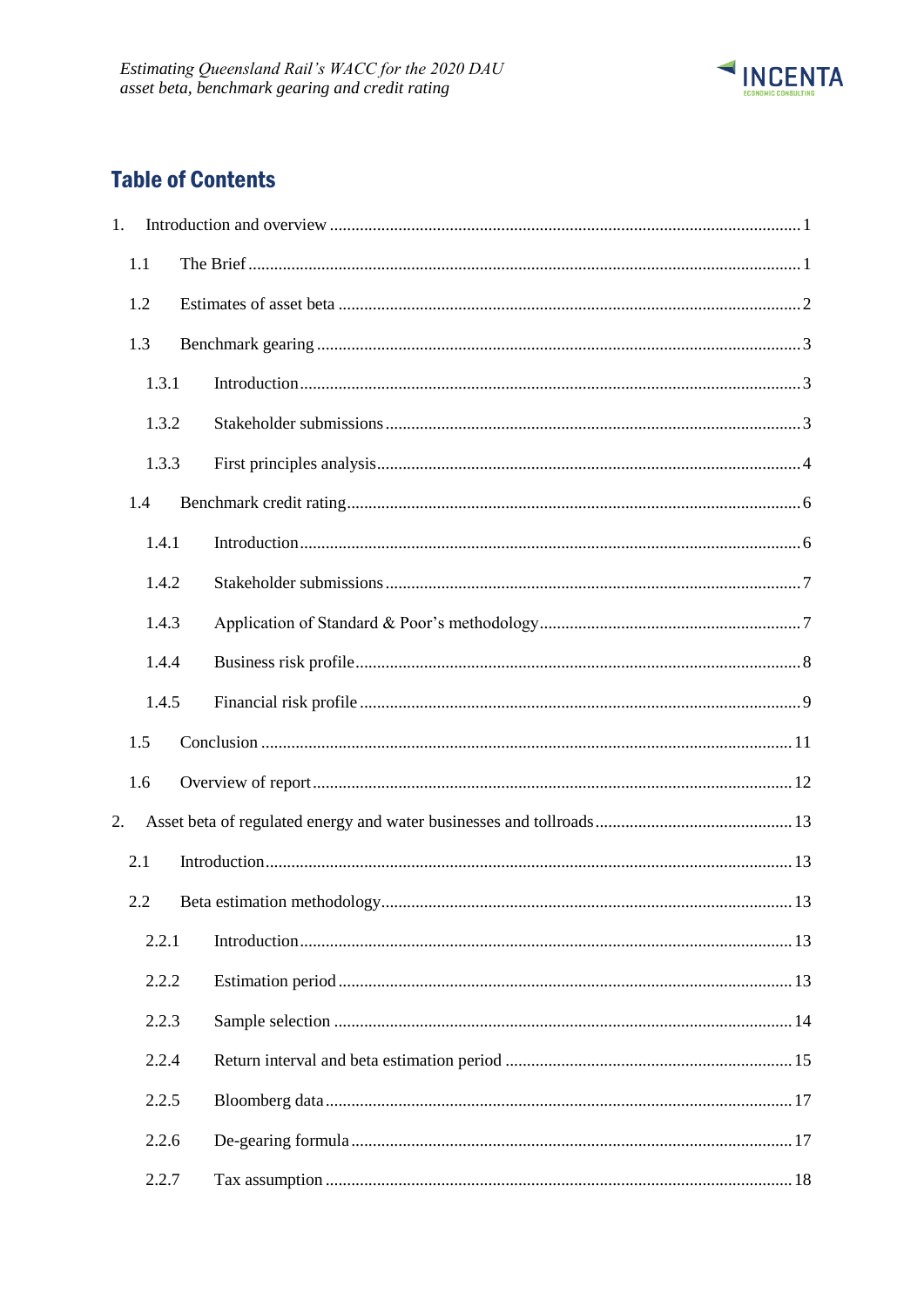

# **Table of Contents**

| 1. |       |  |  |
|----|-------|--|--|
|    | 1.1   |  |  |
|    | 1.2   |  |  |
|    | 1.3   |  |  |
|    | 1.3.1 |  |  |
|    | 1.3.2 |  |  |
|    | 1.3.3 |  |  |
|    | 1.4   |  |  |
|    | 1.4.1 |  |  |
|    | 1.4.2 |  |  |
|    | 1.4.3 |  |  |
|    | 1.4.4 |  |  |
|    | 1.4.5 |  |  |
|    | 1.5   |  |  |
|    | 1.6   |  |  |
| 2. |       |  |  |
|    | 2.1   |  |  |
|    | 2.2   |  |  |
|    | 2.2.1 |  |  |
|    | 2.2.2 |  |  |
|    | 2.2.3 |  |  |
|    | 2.2.4 |  |  |
|    | 2.2.5 |  |  |
|    | 2.2.6 |  |  |
|    | 2.2.7 |  |  |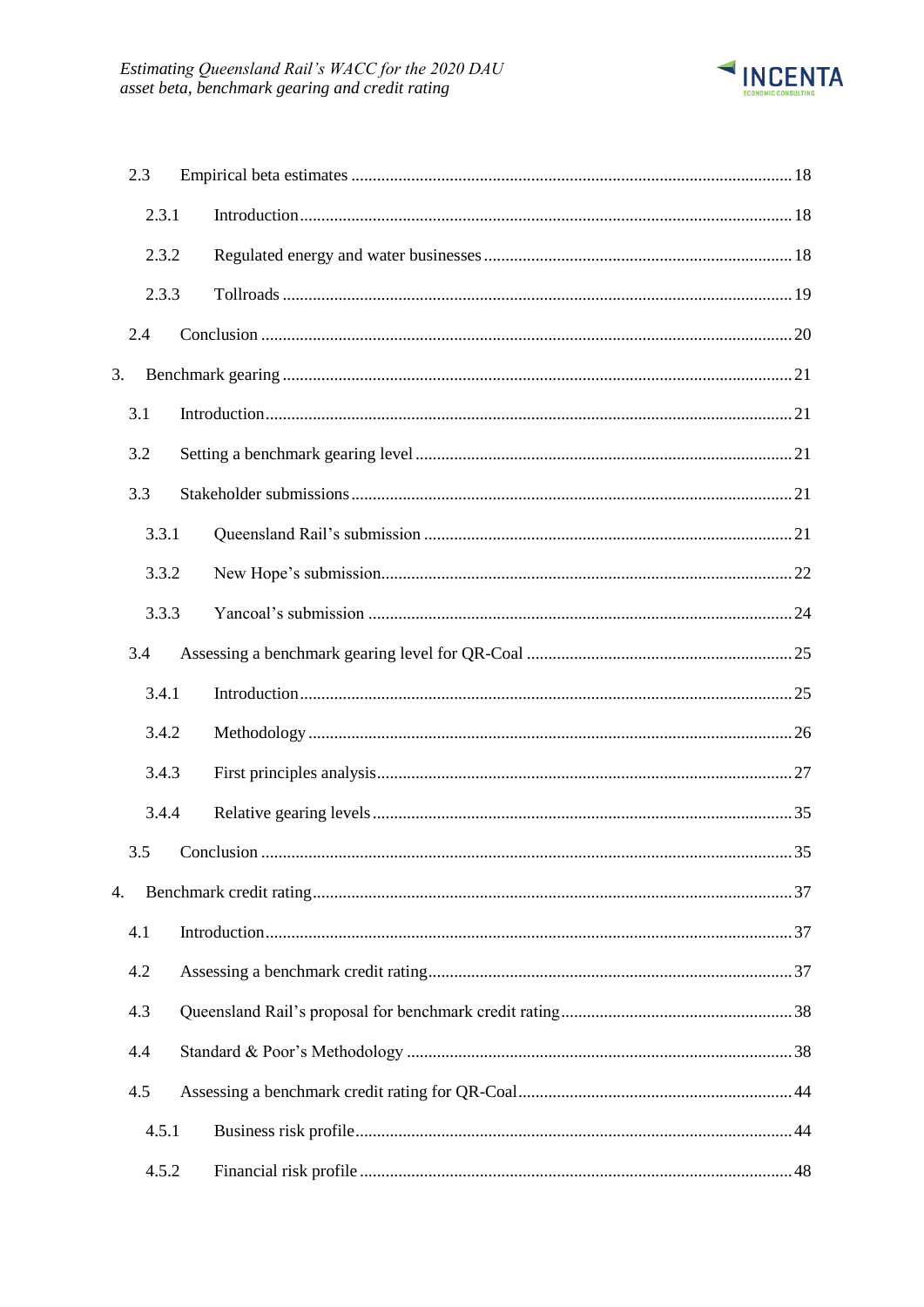

|    | 2.3   |  |
|----|-------|--|
|    | 2.3.1 |  |
|    | 2.3.2 |  |
|    | 2.3.3 |  |
|    | 2.4   |  |
| 3. |       |  |
|    | 3.1   |  |
|    | 3.2   |  |
|    | 3.3   |  |
|    | 3.3.1 |  |
|    | 3.3.2 |  |
|    | 3.3.3 |  |
|    | 3.4   |  |
|    | 3.4.1 |  |
|    | 3.4.2 |  |
|    | 3.4.3 |  |
|    | 3.4.4 |  |
|    | 3.5   |  |
| 4. |       |  |
|    | 4.1   |  |
|    | 4.2   |  |
|    | 4.3   |  |
|    | 4.4   |  |
|    | 4.5   |  |
|    | 4.5.1 |  |
|    | 4.5.2 |  |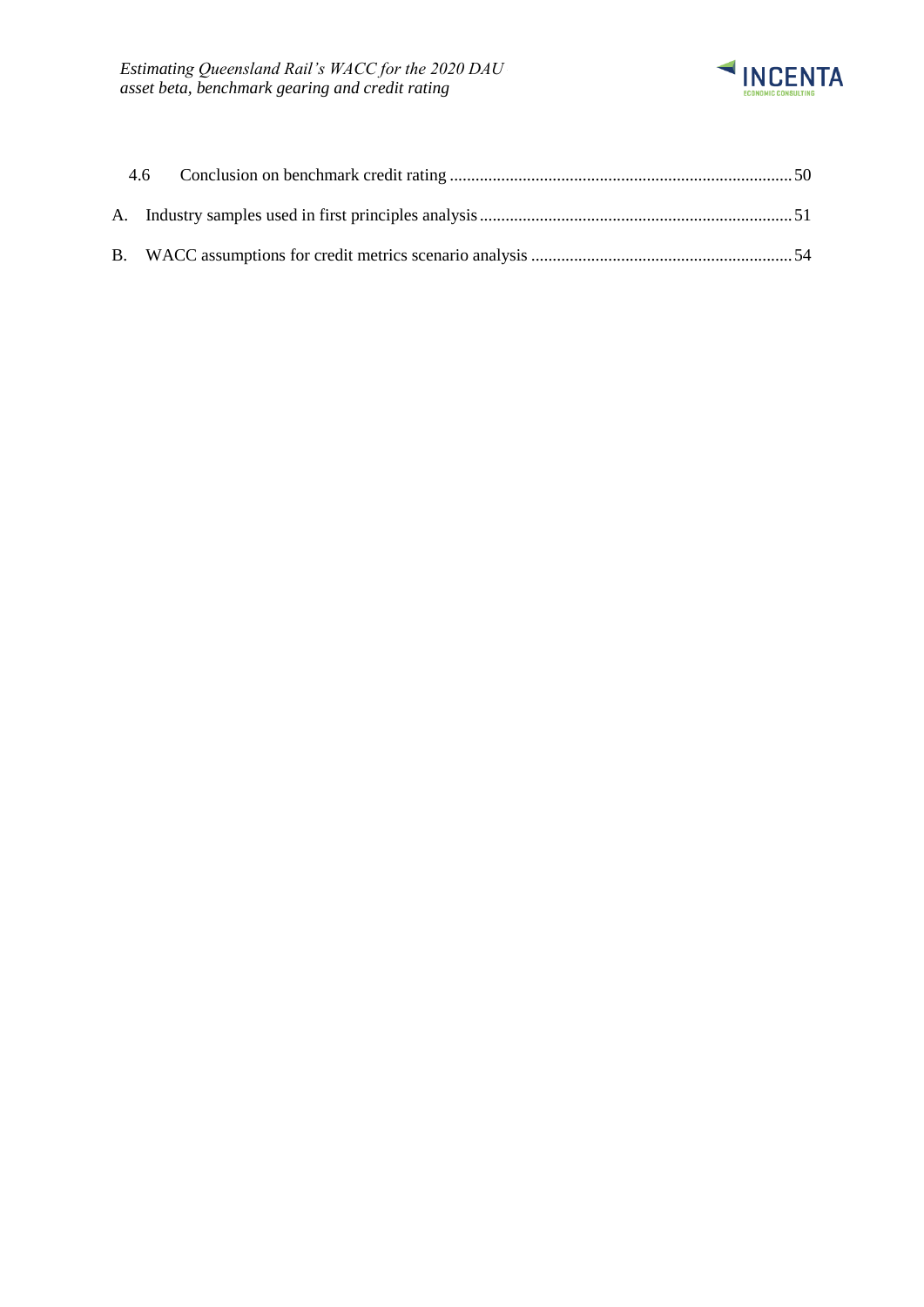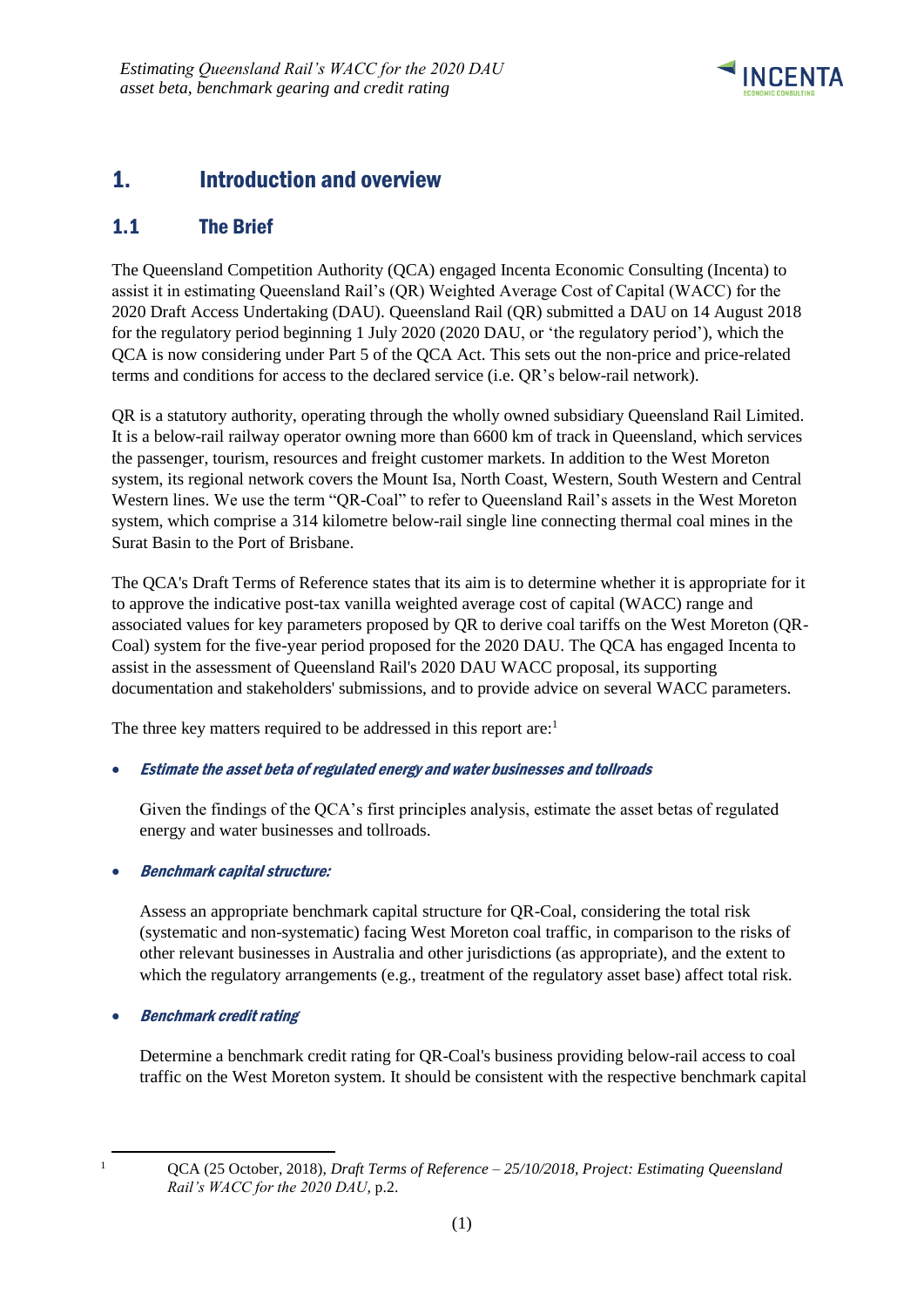

# <span id="page-4-0"></span>1. Introduction and overview

## <span id="page-4-1"></span>1.1 The Brief

The Queensland Competition Authority (QCA) engaged Incenta Economic Consulting (Incenta) to assist it in estimating Queensland Rail's (QR) Weighted Average Cost of Capital (WACC) for the 2020 Draft Access Undertaking (DAU). Queensland Rail (QR) submitted a DAU on 14 August 2018 for the regulatory period beginning 1 July 2020 (2020 DAU, or 'the regulatory period'), which the QCA is now considering under Part 5 of the QCA Act. This sets out the non-price and price-related terms and conditions for access to the declared service (i.e. QR's below-rail network).

QR is a statutory authority, operating through the wholly owned subsidiary Queensland Rail Limited. It is a below-rail railway operator owning more than 6600 km of track in Queensland, which services the passenger, tourism, resources and freight customer markets. In addition to the West Moreton system, its regional network covers the Mount Isa, North Coast, Western, South Western and Central Western lines. We use the term "QR-Coal" to refer to Queensland Rail's assets in the West Moreton system, which comprise a 314 kilometre below-rail single line connecting thermal coal mines in the Surat Basin to the Port of Brisbane.

The QCA's Draft Terms of Reference states that its aim is to determine whether it is appropriate for it to approve the indicative post-tax vanilla weighted average cost of capital (WACC) range and associated values for key parameters proposed by QR to derive coal tariffs on the West Moreton (QR-Coal) system for the five-year period proposed for the 2020 DAU. The QCA has engaged Incenta to assist in the assessment of Queensland Rail's 2020 DAU WACC proposal, its supporting documentation and stakeholders' submissions, and to provide advice on several WACC parameters.

The three key matters required to be addressed in this report are:<sup>1</sup>

### • Estimate the asset beta of regulated energy and water businesses and tollroads

Given the findings of the QCA's first principles analysis, estimate the asset betas of regulated energy and water businesses and tollroads.

### • Benchmark capital structure:

Assess an appropriate benchmark capital structure for QR-Coal, considering the total risk (systematic and non-systematic) facing West Moreton coal traffic, in comparison to the risks of other relevant businesses in Australia and other jurisdictions (as appropriate), and the extent to which the regulatory arrangements (e.g., treatment of the regulatory asset base) affect total risk.

• Benchmark credit rating

Determine a benchmark credit rating for QR-Coal's business providing below-rail access to coal traffic on the West Moreton system. It should be consistent with the respective benchmark capital

-

<sup>1</sup> QCA (25 October, 2018), *Draft Terms of Reference – 25/10/2018, Project: Estimating Queensland Rail's WACC for the 2020 DAU,* p.2.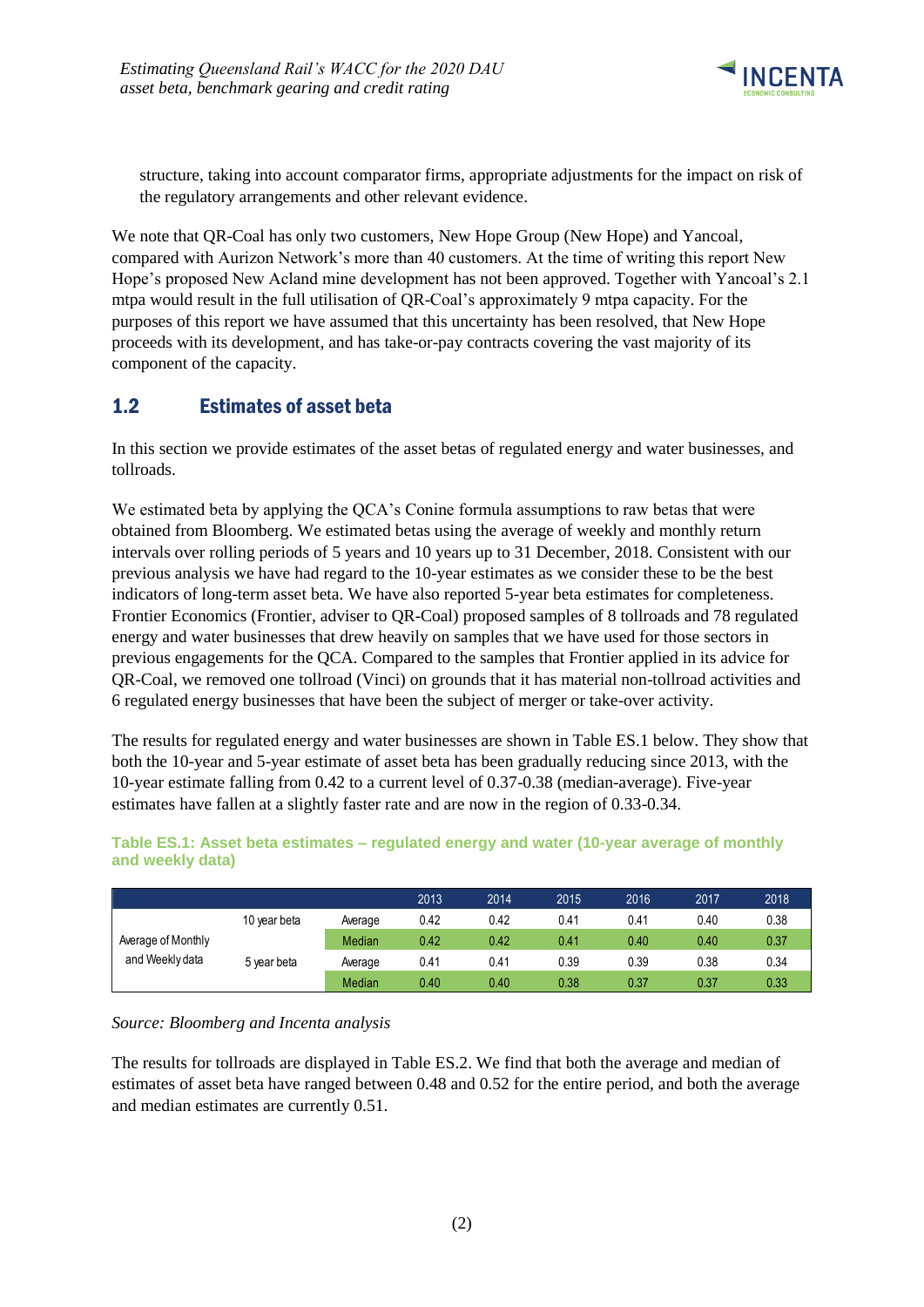

structure, taking into account comparator firms, appropriate adjustments for the impact on risk of the regulatory arrangements and other relevant evidence.

We note that QR-Coal has only two customers, New Hope Group (New Hope) and Yancoal, compared with Aurizon Network's more than 40 customers. At the time of writing this report New Hope's proposed New Acland mine development has not been approved. Together with Yancoal's 2.1 mtpa would result in the full utilisation of QR-Coal's approximately 9 mtpa capacity. For the purposes of this report we have assumed that this uncertainty has been resolved, that New Hope proceeds with its development, and has take-or-pay contracts covering the vast majority of its component of the capacity.

# <span id="page-5-0"></span>1.2 Estimates of asset beta

In this section we provide estimates of the asset betas of regulated energy and water businesses, and tollroads.

We estimated beta by applying the QCA's Conine formula assumptions to raw betas that were obtained from Bloomberg. We estimated betas using the average of weekly and monthly return intervals over rolling periods of 5 years and 10 years up to 31 December, 2018. Consistent with our previous analysis we have had regard to the 10-year estimates as we consider these to be the best indicators of long-term asset beta. We have also reported 5-year beta estimates for completeness. Frontier Economics (Frontier, adviser to QR-Coal) proposed samples of 8 tollroads and 78 regulated energy and water businesses that drew heavily on samples that we have used for those sectors in previous engagements for the QCA. Compared to the samples that Frontier applied in its advice for QR-Coal, we removed one tollroad (Vinci) on grounds that it has material non-tollroad activities and 6 regulated energy businesses that have been the subject of merger or take-over activity.

The results for regulated energy and water businesses are shown in Table ES.1 below. They show that both the 10-year and 5-year estimate of asset beta has been gradually reducing since 2013, with the 10-year estimate falling from 0.42 to a current level of 0.37-0.38 (median-average). Five-year estimates have fallen at a slightly faster rate and are now in the region of 0.33-0.34.

|                    |              |         | 2013 | 2014 | 2015 | 2016 | 2017 | 2018 |
|--------------------|--------------|---------|------|------|------|------|------|------|
|                    | 10 year beta | Average | 0.42 | 0.42 | 0.41 | 0.41 | 0.40 | 0.38 |
| Average of Monthly |              | Median  | 0.42 | 0.42 | 0.41 | 0.40 | 0.40 | 0.37 |
| and Weekly data    | 5 year beta  | Average | 0.41 | 0.41 | 0.39 | 0.39 | 0.38 | 0.34 |
|                    |              | Median  | 0.40 | 0.40 | 0.38 | 0.37 | 0.37 | 0.33 |

**Table ES.1: Asset beta estimates – regulated energy and water (10-year average of monthly and weekly data)**

### *Source: Bloomberg and Incenta analysis*

The results for tollroads are displayed in Table ES.2. We find that both the average and median of estimates of asset beta have ranged between 0.48 and 0.52 for the entire period, and both the average and median estimates are currently 0.51.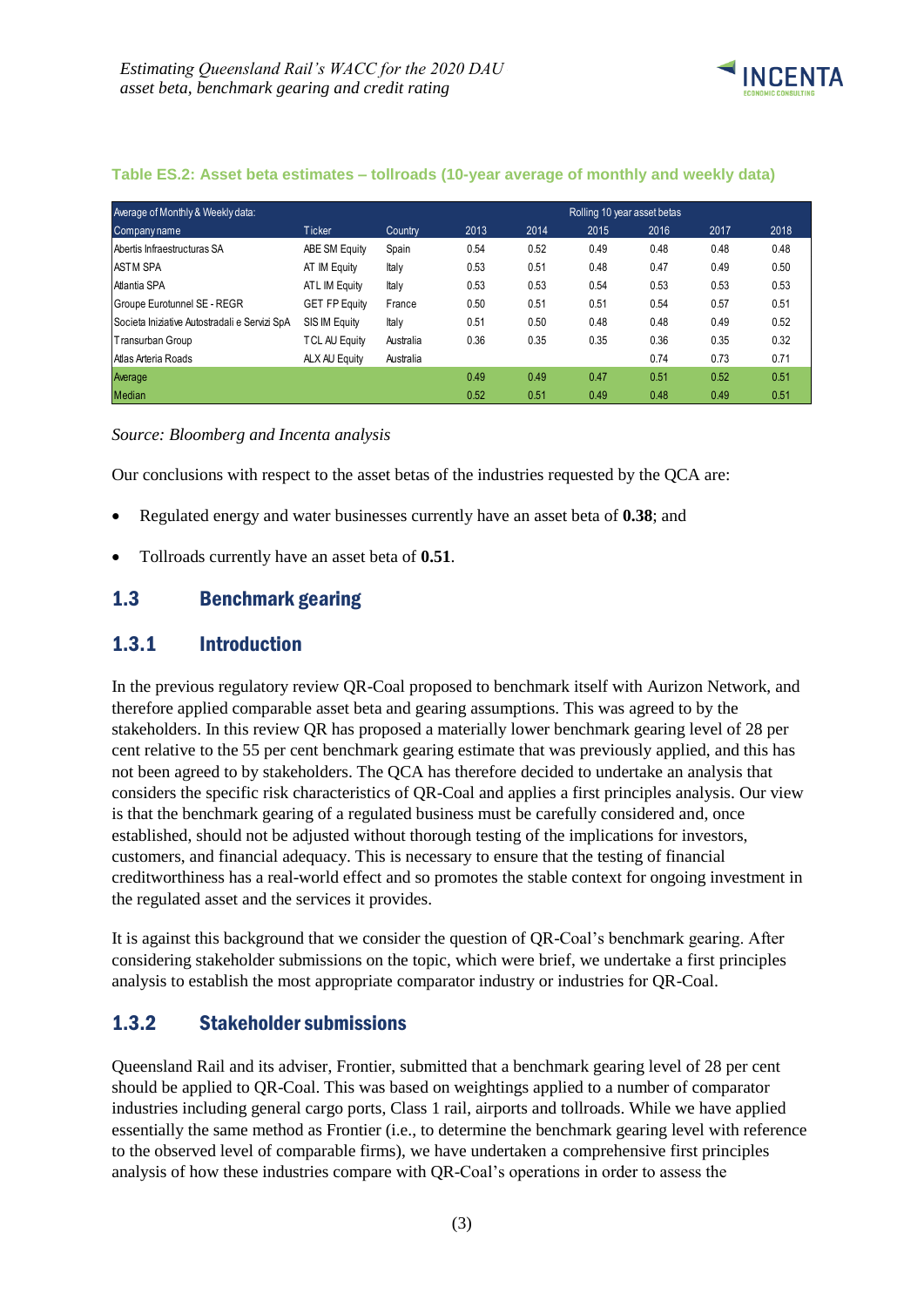

| Average of Monthly & Weekly data:             |                      |           |      |      | Rolling 10 year asset betas |      |      |      |
|-----------------------------------------------|----------------------|-----------|------|------|-----------------------------|------|------|------|
| Company name                                  | <b>Ticker</b>        | Country   | 2013 | 2014 | 2015                        | 2016 | 2017 | 2018 |
| Abertis Infraestructuras SA                   | ABE SM Equity        | Spain     | 0.54 | 0.52 | 0.49                        | 0.48 | 0.48 | 0.48 |
| <b>ASTM SPA</b>                               | AT IM Equity         | Italy     | 0.53 | 0.51 | 0.48                        | 0.47 | 0.49 | 0.50 |
| Atlantia SPA                                  | ATL IM Equity        | Italy     | 0.53 | 0.53 | 0.54                        | 0.53 | 0.53 | 0.53 |
| Groupe Eurotunnel SE - REGR                   | <b>GET FP Equity</b> | France    | 0.50 | 0.51 | 0.51                        | 0.54 | 0.57 | 0.51 |
| Societa Iniziative Autostradali e Servizi SpA | SIS IM Equity        | Italy     | 0.51 | 0.50 | 0.48                        | 0.48 | 0.49 | 0.52 |
| Transurban Group                              | <b>TCL AU Equity</b> | Australia | 0.36 | 0.35 | 0.35                        | 0.36 | 0.35 | 0.32 |
| Atlas Arteria Roads                           | ALX AU Equity        | Australia |      |      |                             | 0.74 | 0.73 | 0.71 |
| Average                                       |                      |           | 0.49 | 0.49 | 0.47                        | 0.51 | 0.52 | 0.51 |
| <b>Median</b>                                 |                      |           | 0.52 | 0.51 | 0.49                        | 0.48 | 0.49 | 0.51 |

#### **Table ES.2: Asset beta estimates – tollroads (10-year average of monthly and weekly data)**

*Source: Bloomberg and Incenta analysis*

Our conclusions with respect to the asset betas of the industries requested by the QCA are:

- Regulated energy and water businesses currently have an asset beta of **0.38**; and
- Tollroads currently have an asset beta of **0.51**.

### <span id="page-6-0"></span>1.3 Benchmark gearing

### <span id="page-6-1"></span>1.3.1 Introduction

In the previous regulatory review QR-Coal proposed to benchmark itself with Aurizon Network, and therefore applied comparable asset beta and gearing assumptions. This was agreed to by the stakeholders. In this review QR has proposed a materially lower benchmark gearing level of 28 per cent relative to the 55 per cent benchmark gearing estimate that was previously applied, and this has not been agreed to by stakeholders. The QCA has therefore decided to undertake an analysis that considers the specific risk characteristics of QR-Coal and applies a first principles analysis. Our view is that the benchmark gearing of a regulated business must be carefully considered and, once established, should not be adjusted without thorough testing of the implications for investors, customers, and financial adequacy. This is necessary to ensure that the testing of financial creditworthiness has a real-world effect and so promotes the stable context for ongoing investment in the regulated asset and the services it provides.

It is against this background that we consider the question of QR-Coal's benchmark gearing. After considering stakeholder submissions on the topic, which were brief, we undertake a first principles analysis to establish the most appropriate comparator industry or industries for QR-Coal.

### <span id="page-6-2"></span>1.3.2 Stakeholder submissions

Queensland Rail and its adviser, Frontier, submitted that a benchmark gearing level of 28 per cent should be applied to QR-Coal. This was based on weightings applied to a number of comparator industries including general cargo ports, Class 1 rail, airports and tollroads. While we have applied essentially the same method as Frontier (i.e., to determine the benchmark gearing level with reference to the observed level of comparable firms), we have undertaken a comprehensive first principles analysis of how these industries compare with QR-Coal's operations in order to assess the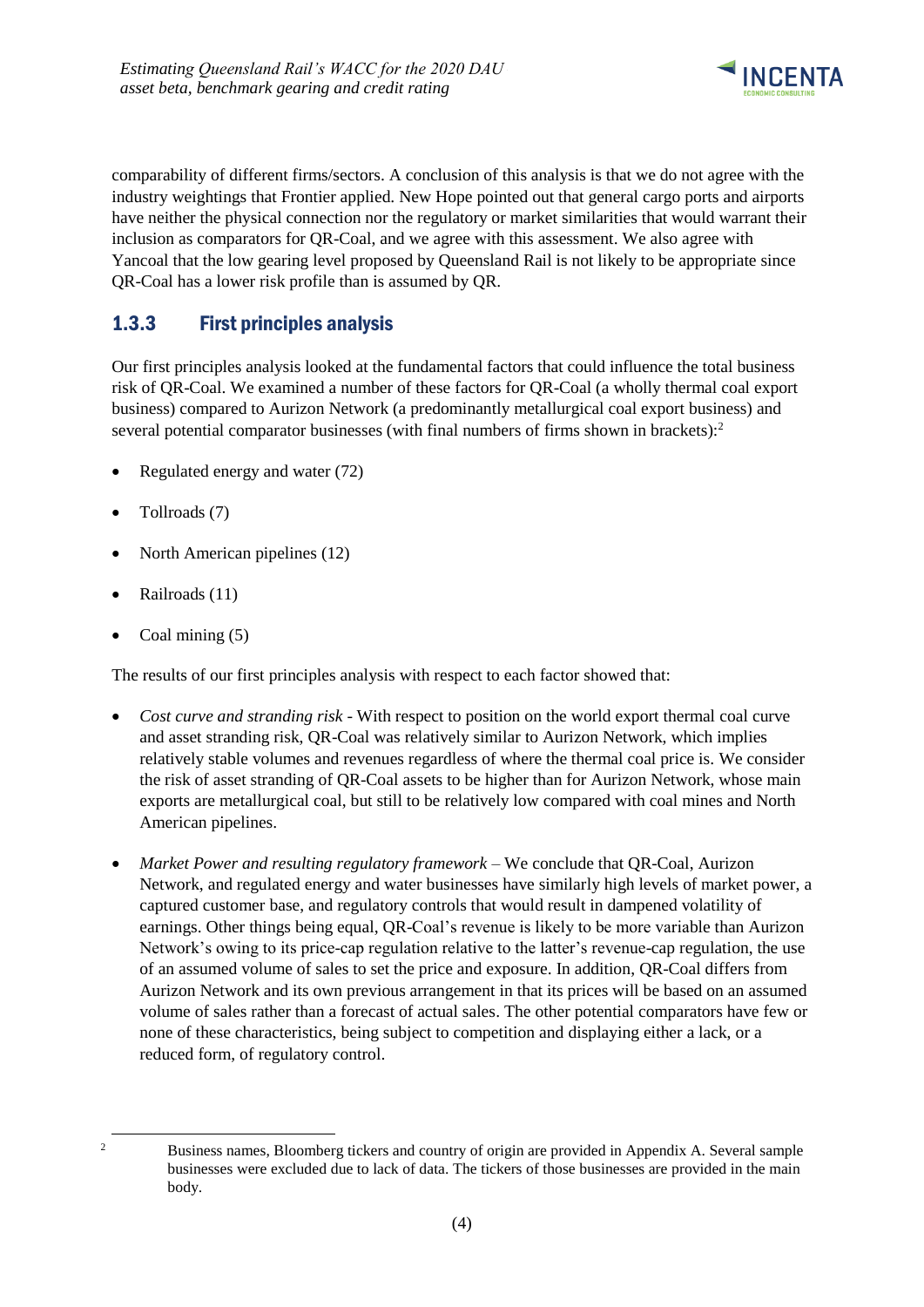

comparability of different firms/sectors. A conclusion of this analysis is that we do not agree with the industry weightings that Frontier applied. New Hope pointed out that general cargo ports and airports have neither the physical connection nor the regulatory or market similarities that would warrant their inclusion as comparators for QR-Coal, and we agree with this assessment. We also agree with Yancoal that the low gearing level proposed by Queensland Rail is not likely to be appropriate since QR-Coal has a lower risk profile than is assumed by QR.

# <span id="page-7-0"></span>1.3.3 First principles analysis

Our first principles analysis looked at the fundamental factors that could influence the total business risk of QR-Coal. We examined a number of these factors for QR-Coal (a wholly thermal coal export business) compared to Aurizon Network (a predominantly metallurgical coal export business) and several potential comparator businesses (with final numbers of firms shown in brackets): $2$ 

- Regulated energy and water (72)
- Tollroads (7)
- North American pipelines (12)
- Railroads (11)
- Coal mining (5)

The results of our first principles analysis with respect to each factor showed that:

- *Cost curve and stranding risk* With respect to position on the world export thermal coal curve and asset stranding risk, QR-Coal was relatively similar to Aurizon Network, which implies relatively stable volumes and revenues regardless of where the thermal coal price is. We consider the risk of asset stranding of QR-Coal assets to be higher than for Aurizon Network, whose main exports are metallurgical coal, but still to be relatively low compared with coal mines and North American pipelines.
- *Market Power and resulting regulatory framework* We conclude that QR-Coal, Aurizon Network, and regulated energy and water businesses have similarly high levels of market power, a captured customer base, and regulatory controls that would result in dampened volatility of earnings. Other things being equal, QR-Coal's revenue is likely to be more variable than Aurizon Network's owing to its price-cap regulation relative to the latter's revenue-cap regulation, the use of an assumed volume of sales to set the price and exposure. In addition, QR-Coal differs from Aurizon Network and its own previous arrangement in that its prices will be based on an assumed volume of sales rather than a forecast of actual sales. The other potential comparators have few or none of these characteristics, being subject to competition and displaying either a lack, or a reduced form, of regulatory control.

-

<sup>&</sup>lt;sup>2</sup> Business names, Bloomberg tickers and country of origin are provided in Appendix A. Several sample businesses were excluded due to lack of data. The tickers of those businesses are provided in the main body.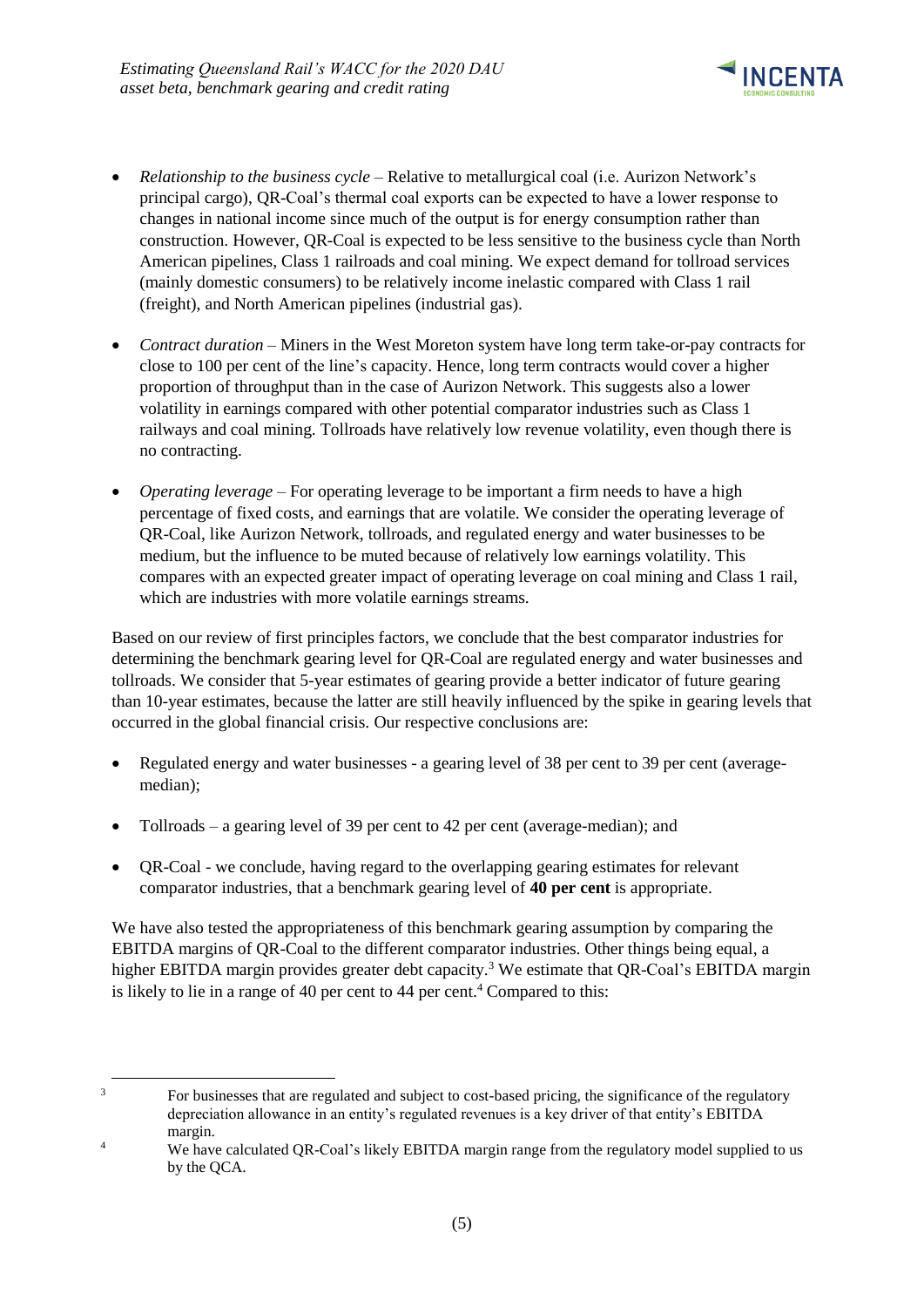

- *Relationship to the business cycle* Relative to metallurgical coal (i.e. Aurizon Network's principal cargo), QR-Coal's thermal coal exports can be expected to have a lower response to changes in national income since much of the output is for energy consumption rather than construction. However, QR-Coal is expected to be less sensitive to the business cycle than North American pipelines, Class 1 railroads and coal mining. We expect demand for tollroad services (mainly domestic consumers) to be relatively income inelastic compared with Class 1 rail (freight), and North American pipelines (industrial gas).
- *Contract duration* Miners in the West Moreton system have long term take-or-pay contracts for close to 100 per cent of the line's capacity. Hence, long term contracts would cover a higher proportion of throughput than in the case of Aurizon Network. This suggests also a lower volatility in earnings compared with other potential comparator industries such as Class 1 railways and coal mining. Tollroads have relatively low revenue volatility, even though there is no contracting.
- *Operating leverage*  For operating leverage to be important a firm needs to have a high percentage of fixed costs, and earnings that are volatile. We consider the operating leverage of QR-Coal, like Aurizon Network, tollroads, and regulated energy and water businesses to be medium, but the influence to be muted because of relatively low earnings volatility. This compares with an expected greater impact of operating leverage on coal mining and Class 1 rail, which are industries with more volatile earnings streams.

Based on our review of first principles factors, we conclude that the best comparator industries for determining the benchmark gearing level for QR-Coal are regulated energy and water businesses and tollroads. We consider that 5-year estimates of gearing provide a better indicator of future gearing than 10-year estimates, because the latter are still heavily influenced by the spike in gearing levels that occurred in the global financial crisis. Our respective conclusions are:

- Regulated energy and water businesses a gearing level of 38 per cent to 39 per cent (averagemedian);
- Tollroads a gearing level of 39 per cent to 42 per cent (average-median); and

-

• QR-Coal - we conclude, having regard to the overlapping gearing estimates for relevant comparator industries, that a benchmark gearing level of **40 per cent** is appropriate.

We have also tested the appropriateness of this benchmark gearing assumption by comparing the EBITDA margins of QR-Coal to the different comparator industries. Other things being equal, a higher EBITDA margin provides greater debt capacity.<sup>3</sup> We estimate that QR-Coal's EBITDA margin is likely to lie in a range of 40 per cent to 44 per cent.<sup>4</sup> Compared to this:

<sup>&</sup>lt;sup>3</sup> For businesses that are regulated and subject to cost-based pricing, the significance of the regulatory depreciation allowance in an entity's regulated revenues is a key driver of that entity's EBITDA margin.

<sup>&</sup>lt;sup>4</sup> We have calculated OR-Coal's likely EBITDA margin range from the regulatory model supplied to us by the QCA.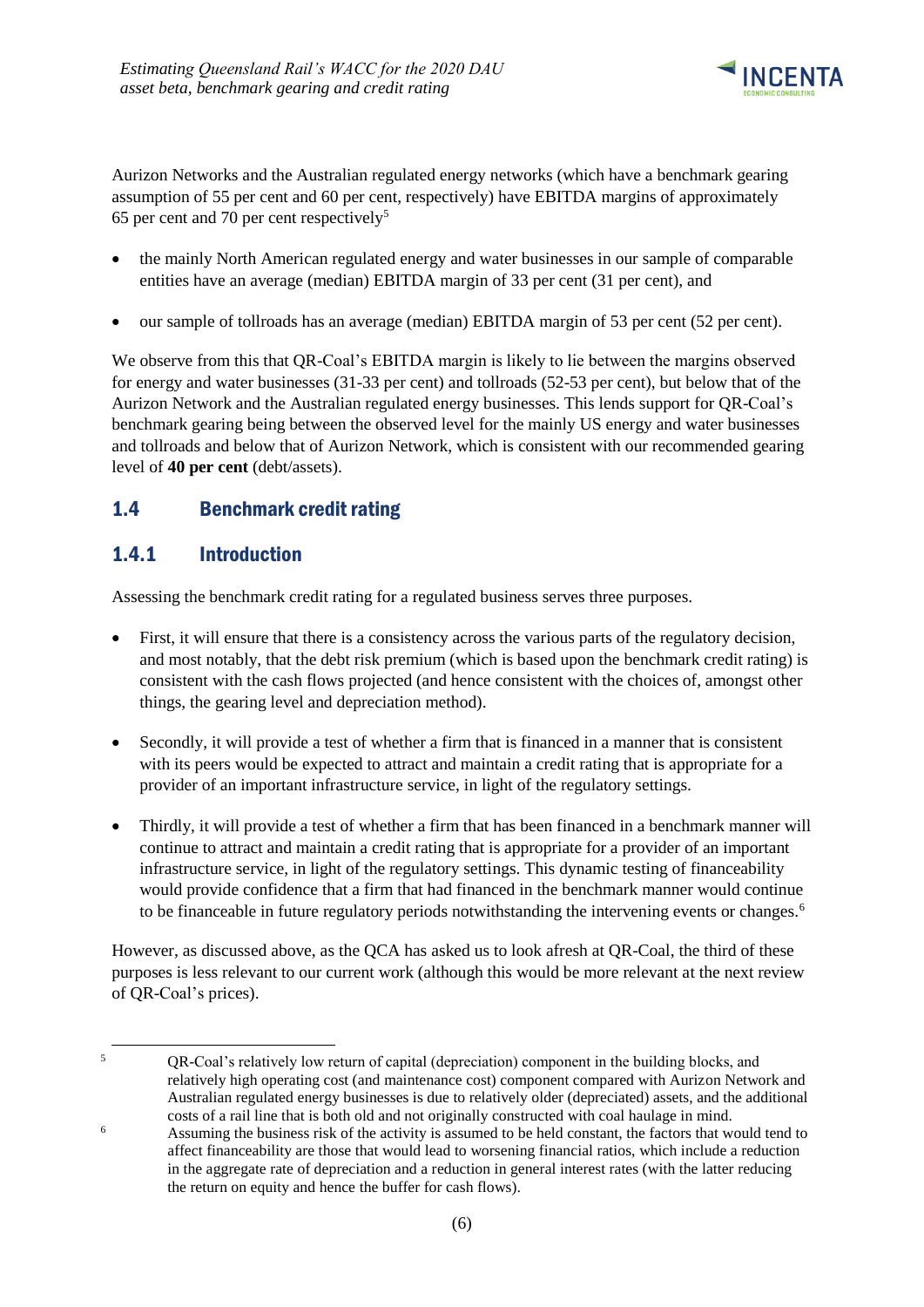

Aurizon Networks and the Australian regulated energy networks (which have a benchmark gearing assumption of 55 per cent and 60 per cent, respectively) have EBITDA margins of approximately 65 per cent and 70 per cent respectively<sup>5</sup>

- the mainly North American regulated energy and water businesses in our sample of comparable entities have an average (median) EBITDA margin of 33 per cent (31 per cent), and
- our sample of tollroads has an average (median) EBITDA margin of 53 per cent (52 per cent).

We observe from this that QR-Coal's EBITDA margin is likely to lie between the margins observed for energy and water businesses (31-33 per cent) and tollroads (52-53 per cent), but below that of the Aurizon Network and the Australian regulated energy businesses. This lends support for QR-Coal's benchmark gearing being between the observed level for the mainly US energy and water businesses and tollroads and below that of Aurizon Network, which is consistent with our recommended gearing level of **40 per cent** (debt/assets).

# <span id="page-9-0"></span>1.4 Benchmark credit rating

# <span id="page-9-1"></span>1.4.1 Introduction

-

Assessing the benchmark credit rating for a regulated business serves three purposes.

- First, it will ensure that there is a consistency across the various parts of the regulatory decision, and most notably, that the debt risk premium (which is based upon the benchmark credit rating) is consistent with the cash flows projected (and hence consistent with the choices of, amongst other things, the gearing level and depreciation method).
- Secondly, it will provide a test of whether a firm that is financed in a manner that is consistent with its peers would be expected to attract and maintain a credit rating that is appropriate for a provider of an important infrastructure service, in light of the regulatory settings.
- Thirdly, it will provide a test of whether a firm that has been financed in a benchmark manner will continue to attract and maintain a credit rating that is appropriate for a provider of an important infrastructure service, in light of the regulatory settings. This dynamic testing of financeability would provide confidence that a firm that had financed in the benchmark manner would continue to be financeable in future regulatory periods notwithstanding the intervening events or changes.<sup>6</sup>

However, as discussed above, as the QCA has asked us to look afresh at QR-Coal, the third of these purposes is less relevant to our current work (although this would be more relevant at the next review of QR-Coal's prices).

<sup>5</sup> QR-Coal's relatively low return of capital (depreciation) component in the building blocks, and relatively high operating cost (and maintenance cost) component compared with Aurizon Network and Australian regulated energy businesses is due to relatively older (depreciated) assets, and the additional costs of a rail line that is both old and not originally constructed with coal haulage in mind.

<sup>6</sup> Assuming the business risk of the activity is assumed to be held constant, the factors that would tend to affect financeability are those that would lead to worsening financial ratios, which include a reduction in the aggregate rate of depreciation and a reduction in general interest rates (with the latter reducing the return on equity and hence the buffer for cash flows).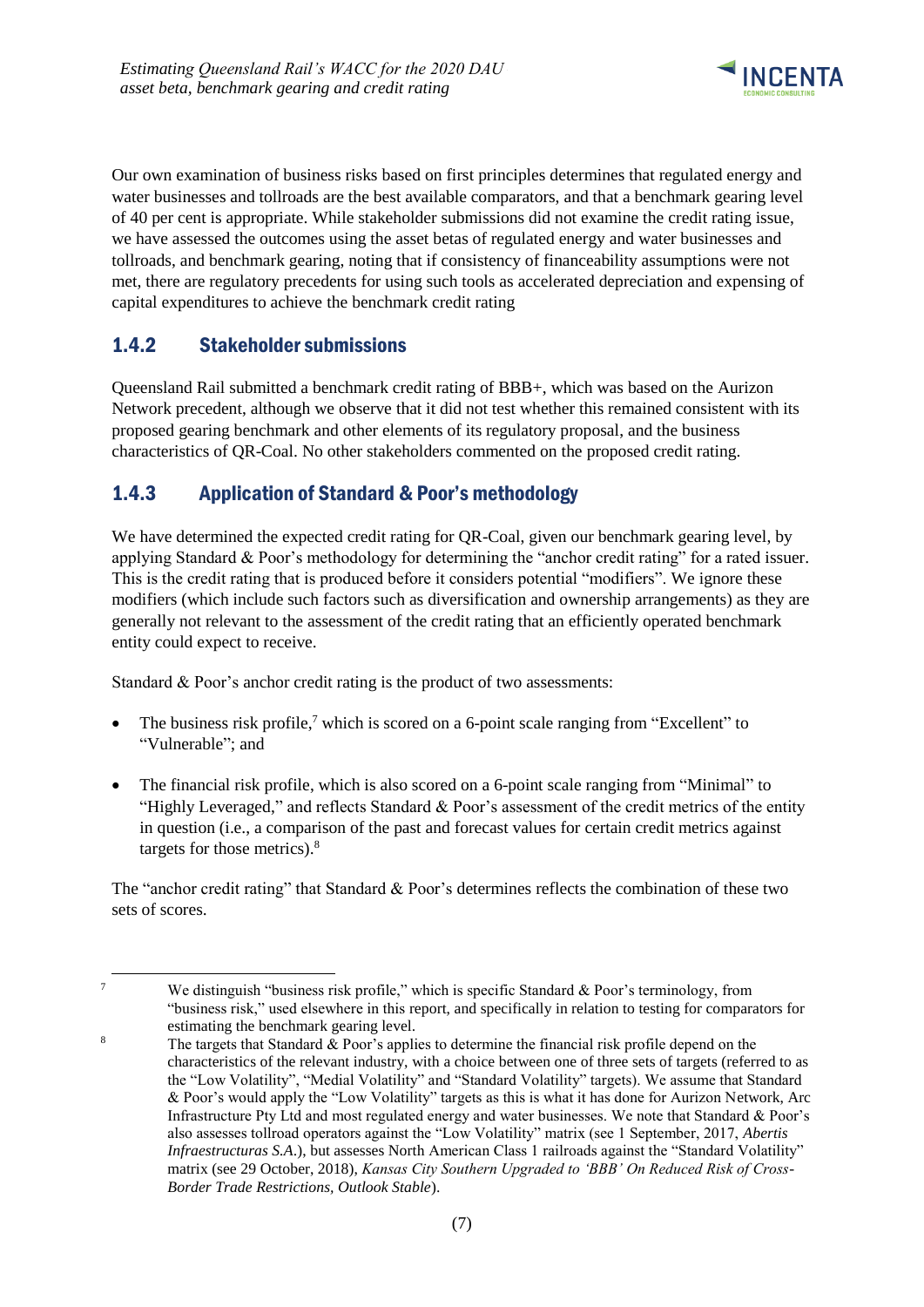

Our own examination of business risks based on first principles determines that regulated energy and water businesses and tollroads are the best available comparators, and that a benchmark gearing level of 40 per cent is appropriate. While stakeholder submissions did not examine the credit rating issue, we have assessed the outcomes using the asset betas of regulated energy and water businesses and tollroads, and benchmark gearing, noting that if consistency of financeability assumptions were not met, there are regulatory precedents for using such tools as accelerated depreciation and expensing of capital expenditures to achieve the benchmark credit rating

# <span id="page-10-0"></span>1.4.2 Stakeholder submissions

-

Queensland Rail submitted a benchmark credit rating of BBB+, which was based on the Aurizon Network precedent, although we observe that it did not test whether this remained consistent with its proposed gearing benchmark and other elements of its regulatory proposal, and the business characteristics of QR-Coal. No other stakeholders commented on the proposed credit rating.

### <span id="page-10-1"></span>1.4.3 Application of Standard & Poor's methodology

We have determined the expected credit rating for QR-Coal, given our benchmark gearing level, by applying Standard & Poor's methodology for determining the "anchor credit rating" for a rated issuer. This is the credit rating that is produced before it considers potential "modifiers". We ignore these modifiers (which include such factors such as diversification and ownership arrangements) as they are generally not relevant to the assessment of the credit rating that an efficiently operated benchmark entity could expect to receive.

Standard & Poor's anchor credit rating is the product of two assessments:

- The business risk profile,<sup>7</sup> which is scored on a 6-point scale ranging from "Excellent" to "Vulnerable"; and
- The financial risk profile, which is also scored on a 6-point scale ranging from "Minimal" to "Highly Leveraged," and reflects Standard & Poor's assessment of the credit metrics of the entity in question (i.e., a comparison of the past and forecast values for certain credit metrics against targets for those metrics).<sup>8</sup>

The "anchor credit rating" that Standard & Poor's determines reflects the combination of these two sets of scores.

<sup>7</sup> We distinguish "business risk profile," which is specific Standard & Poor's terminology, from "business risk," used elsewhere in this report, and specifically in relation to testing for comparators for estimating the benchmark gearing level.

<sup>&</sup>lt;sup>8</sup> The targets that Standard  $\&$  Poor's applies to determine the financial risk profile depend on the characteristics of the relevant industry, with a choice between one of three sets of targets (referred to as the "Low Volatility", "Medial Volatility" and "Standard Volatility" targets). We assume that Standard & Poor's would apply the "Low Volatility" targets as this is what it has done for Aurizon Network, Arc Infrastructure Pty Ltd and most regulated energy and water businesses. We note that Standard & Poor's also assesses tollroad operators against the "Low Volatility" matrix (see 1 September, 2017, *Abertis Infraestructuras S.A.*), but assesses North American Class 1 railroads against the "Standard Volatility" matrix (see 29 October, 2018), *Kansas City Southern Upgraded to 'BBB' On Reduced Risk of Cross-Border Trade Restrictions, Outlook Stable*).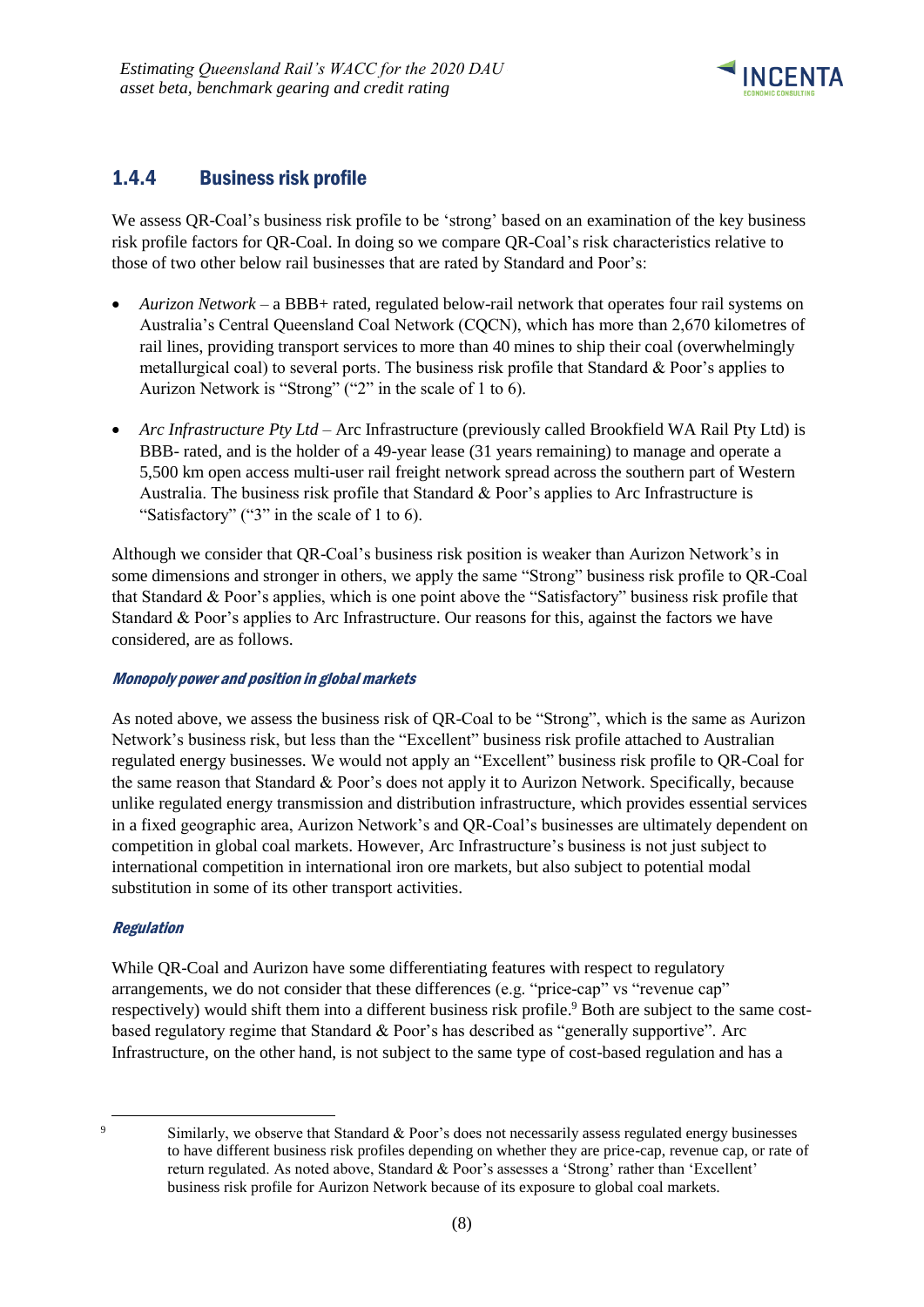

# <span id="page-11-0"></span>1.4.4 Business risk profile

We assess QR-Coal's business risk profile to be 'strong' based on an examination of the key business risk profile factors for QR-Coal. In doing so we compare QR-Coal's risk characteristics relative to those of two other below rail businesses that are rated by Standard and Poor's:

- *Aurizon Network* a BBB+ rated, regulated below-rail network that operates four rail systems on Australia's Central Queensland Coal Network (CQCN), which has more than 2,670 kilometres of rail lines, providing transport services to more than 40 mines to ship their coal (overwhelmingly metallurgical coal) to several ports. The business risk profile that Standard & Poor's applies to Aurizon Network is "Strong" ("2" in the scale of 1 to 6).
- *Arc Infrastructure Pty Ltd* Arc Infrastructure (previously called Brookfield WA Rail Pty Ltd) is BBB- rated, and is the holder of a 49-year lease (31 years remaining) to manage and operate a 5,500 km open access multi-user rail freight network spread across the southern part of Western Australia. The business risk profile that Standard & Poor's applies to Arc Infrastructure is "Satisfactory" ("3" in the scale of 1 to 6).

Although we consider that QR-Coal's business risk position is weaker than Aurizon Network's in some dimensions and stronger in others, we apply the same "Strong" business risk profile to QR-Coal that Standard & Poor's applies, which is one point above the "Satisfactory" business risk profile that Standard & Poor's applies to Arc Infrastructure. Our reasons for this, against the factors we have considered, are as follows.

### Monopoly power and position in global markets

As noted above, we assess the business risk of QR-Coal to be "Strong", which is the same as Aurizon Network's business risk, but less than the "Excellent" business risk profile attached to Australian regulated energy businesses. We would not apply an "Excellent" business risk profile to QR-Coal for the same reason that Standard & Poor's does not apply it to Aurizon Network. Specifically, because unlike regulated energy transmission and distribution infrastructure, which provides essential services in a fixed geographic area, Aurizon Network's and QR-Coal's businesses are ultimately dependent on competition in global coal markets. However, Arc Infrastructure's business is not just subject to international competition in international iron ore markets, but also subject to potential modal substitution in some of its other transport activities.

### Regulation

While OR-Coal and Aurizon have some differentiating features with respect to regulatory arrangements, we do not consider that these differences (e.g. "price-cap" vs "revenue cap" respectively) would shift them into a different business risk profile. <sup>9</sup> Both are subject to the same costbased regulatory regime that Standard & Poor's has described as "generally supportive". Arc Infrastructure, on the other hand, is not subject to the same type of cost-based regulation and has a

<sup>1</sup> 

Similarly, we observe that Standard & Poor's does not necessarily assess regulated energy businesses to have different business risk profiles depending on whether they are price-cap, revenue cap, or rate of return regulated. As noted above, Standard & Poor's assesses a 'Strong' rather than 'Excellent' business risk profile for Aurizon Network because of its exposure to global coal markets.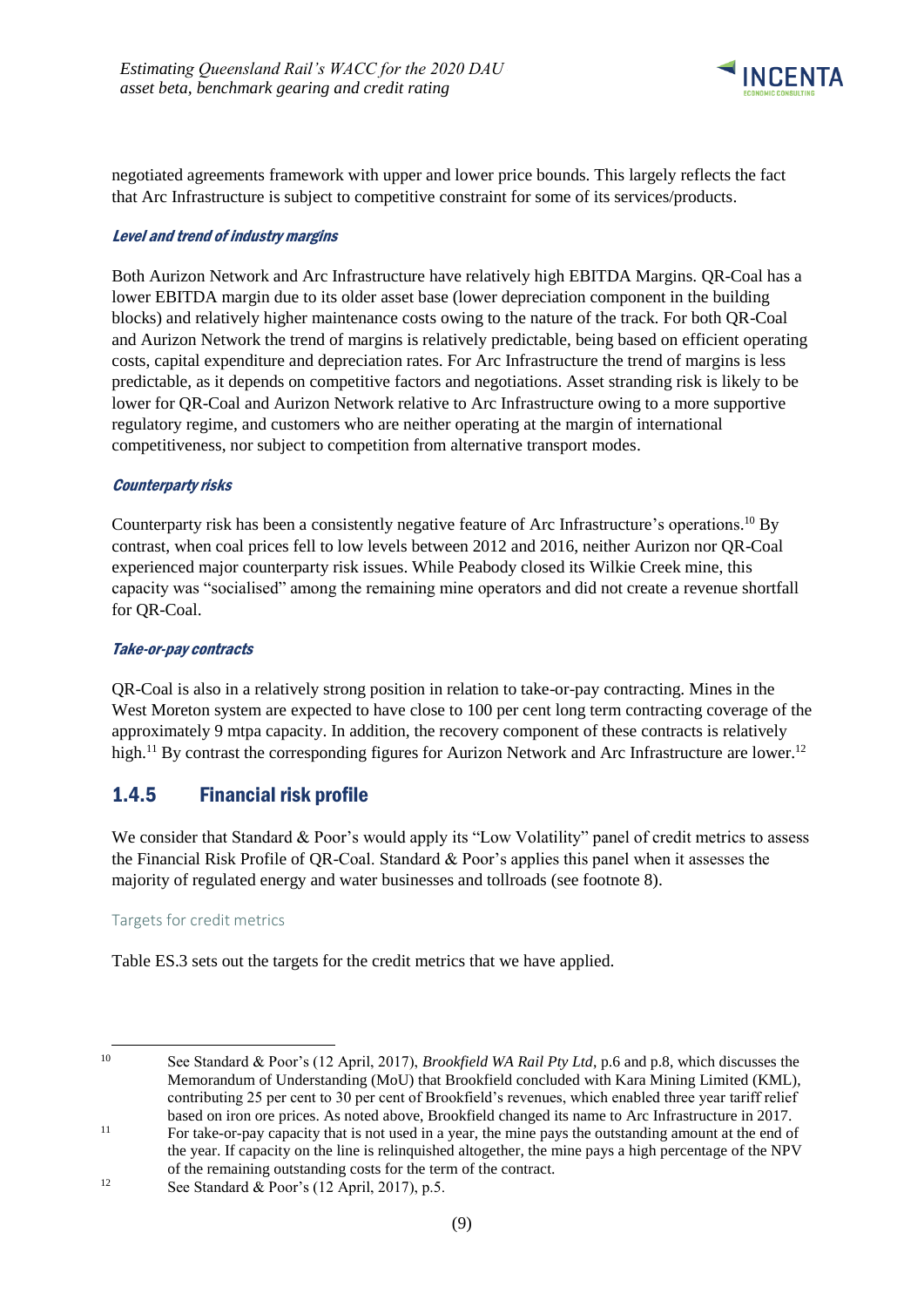

negotiated agreements framework with upper and lower price bounds. This largely reflects the fact that Arc Infrastructure is subject to competitive constraint for some of its services/products.

#### Level and trend of industry margins

Both Aurizon Network and Arc Infrastructure have relatively high EBITDA Margins. QR-Coal has a lower EBITDA margin due to its older asset base (lower depreciation component in the building blocks) and relatively higher maintenance costs owing to the nature of the track. For both QR-Coal and Aurizon Network the trend of margins is relatively predictable, being based on efficient operating costs, capital expenditure and depreciation rates. For Arc Infrastructure the trend of margins is less predictable, as it depends on competitive factors and negotiations. Asset stranding risk is likely to be lower for QR-Coal and Aurizon Network relative to Arc Infrastructure owing to a more supportive regulatory regime, and customers who are neither operating at the margin of international competitiveness, nor subject to competition from alternative transport modes.

### Counterparty risks

Counterparty risk has been a consistently negative feature of Arc Infrastructure's operations.<sup>10</sup> By contrast, when coal prices fell to low levels between 2012 and 2016, neither Aurizon nor QR-Coal experienced major counterparty risk issues. While Peabody closed its Wilkie Creek mine, this capacity was "socialised" among the remaining mine operators and did not create a revenue shortfall for QR-Coal.

### Take-or-pay contracts

QR-Coal is also in a relatively strong position in relation to take-or-pay contracting. Mines in the West Moreton system are expected to have close to 100 per cent long term contracting coverage of the approximately 9 mtpa capacity. In addition, the recovery component of these contracts is relatively high.<sup>11</sup> By contrast the corresponding figures for Aurizon Network and Arc Infrastructure are lower.<sup>12</sup>

### <span id="page-12-0"></span>1.4.5 Financial risk profile

We consider that Standard & Poor's would apply its "Low Volatility" panel of credit metrics to assess the Financial Risk Profile of QR-Coal. Standard & Poor's applies this panel when it assesses the majority of regulated energy and water businesses and tollroads (see footnote 8).

#### Targets for credit metrics

Table ES.3 sets out the targets for the credit metrics that we have applied.

<sup>-</sup>

<sup>10</sup> See Standard & Poor's (12 April, 2017), *Brookfield WA Rail Pty Ltd*, p.6 and p.8, which discusses the Memorandum of Understanding (MoU) that Brookfield concluded with Kara Mining Limited (KML), contributing 25 per cent to 30 per cent of Brookfield's revenues, which enabled three year tariff relief based on iron ore prices. As noted above, Brookfield changed its name to Arc Infrastructure in 2017.

<sup>11</sup> For take-or-pay capacity that is not used in a year, the mine pays the outstanding amount at the end of the year. If capacity on the line is relinquished altogether, the mine pays a high percentage of the NPV of the remaining outstanding costs for the term of the contract.

<sup>&</sup>lt;sup>12</sup> See Standard  $& Poor's (12 April, 2017), p.5.$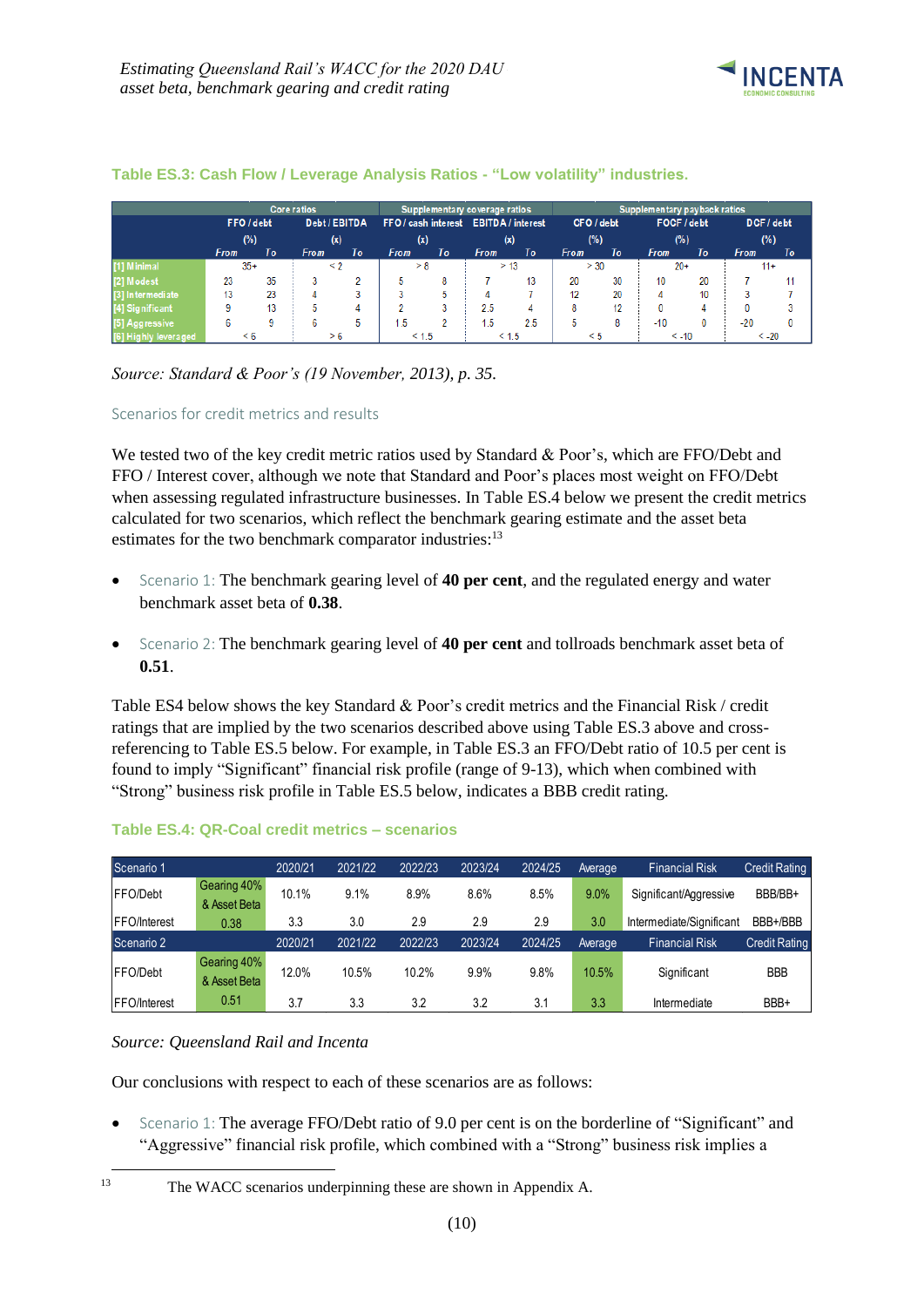

### **Table ES.3: Cash Flow / Leverage Analysis Ratios - "Low volatility" industries.**

|                      |                             |    | <b>Core ratios</b> |                                       |             |            | Supplementary coverage ratios |             | Supplementary payback ratios |            |             |    |             |    |
|----------------------|-----------------------------|----|--------------------|---------------------------------------|-------------|------------|-------------------------------|-------------|------------------------------|------------|-------------|----|-------------|----|
|                      | Debt / EBITDA<br>FFO / debt |    |                    | FFO / cash interest EBITDA / interest |             | CFO / debt |                               | FOCF / debt |                              | DCF / debt |             |    |             |    |
|                      | (%)                         |    | (x)                |                                       | (x)         |            | (x)                           |             | (% )                         |            | (%)         |    | (%)         |    |
|                      | From                        | To | From               | Τo                                    | <b>From</b> | Τo         | <b>From</b>                   | To          | <b>From</b>                  | To         | <b>From</b> | To | <b>From</b> | To |
| [1] Minimal          | $35 +$                      |    | < 2                |                                       | > 8         |            |                               | > 13        | > 30                         |            | $20+$       |    | $11+$       |    |
| [2] Modest           | 23                          | 35 |                    |                                       |             | 8          |                               | 13          | 20                           | 30         | 10          | 20 |             |    |
| [3] Intermediate     | 13                          | 23 |                    |                                       |             |            |                               |             | 12                           | 20         | д           | 10 |             |    |
| [4] Significant      |                             | 13 |                    | Δ                                     |             |            | 2.5                           |             | 8                            | 12         |             |    |             |    |
| [5] Aggressive       |                             |    |                    | 5                                     | - 5         |            | 1.5                           | 2.5         | 5                            | 8          | $-10$       |    | $-20$       |    |
| [6] Highly leveraged | $\leq 6$                    |    | > 6                |                                       | < 1.5       |            |                               | $\leq 1.5$  | $\leq 5$                     |            | $< -10$     |    | $< -20$     |    |

### *Source: Standard & Poor's (19 November, 2013), p. 35.*

#### Scenarios for credit metrics and results

We tested two of the key credit metric ratios used by Standard & Poor's, which are FFO/Debt and FFO / Interest cover, although we note that Standard and Poor's places most weight on FFO/Debt when assessing regulated infrastructure businesses. In Table ES.4 below we present the credit metrics calculated for two scenarios, which reflect the benchmark gearing estimate and the asset beta estimates for the two benchmark comparator industries:<sup>13</sup>

- Scenario 1: The benchmark gearing level of **40 per cent**, and the regulated energy and water benchmark asset beta of **0.38**.
- Scenario 2: The benchmark gearing level of **40 per cent** and tollroads benchmark asset beta of **0.51**.

Table ES4 below shows the key Standard & Poor's credit metrics and the Financial Risk / credit ratings that are implied by the two scenarios described above using Table ES.3 above and crossreferencing to Table ES.5 below. For example, in Table ES.3 an FFO/Debt ratio of 10.5 per cent is found to imply "Significant" financial risk profile (range of 9-13), which when combined with "Strong" business risk profile in Table ES.5 below, indicates a BBB credit rating.

| Scenario 1           |                             | 2020/21 | 2021/22 | 2022/23 | 2023/24 | 2024/25 | Average | <b>Financial Risk</b>    | <b>Credit Rating</b> |
|----------------------|-----------------------------|---------|---------|---------|---------|---------|---------|--------------------------|----------------------|
| FFO/Debt             | Gearing 40%<br>& Asset Beta | 10.1%   | 9.1%    | 8.9%    | 8.6%    | 8.5%    | 9.0%    | Significant/Aggressive   | BBB/BB+              |
| <b>IFFO/Interest</b> | 0.38                        | 3.3     | 3.0     | 2.9     | 2.9     | 2.9     | 3.0     | Intermediate/Significant | BBB+/BBB             |
| Scenario 2           |                             | 2020/21 | 2021/22 | 2022/23 | 2023/24 | 2024/25 | Average | <b>Financial Risk</b>    | <b>Credit Rating</b> |
| FFO/Debt             | Gearing 40%<br>& Asset Beta | 12.0%   | 10.5%   | 10.2%   | $9.9\%$ | 9.8%    | 10.5%   | Significant              | <b>BBB</b>           |
| <b>FFO/Interest</b>  | 0.51                        | 3.7     | 3.3     | 3.2     | 3.2     | 3.1     | 3.3     | Intermediate             | BBB+                 |

#### **Table ES.4: QR-Coal credit metrics – scenarios**

#### *Source: Queensland Rail and Incenta*

Our conclusions with respect to each of these scenarios are as follows:

Scenario 1: The average FFO/Debt ratio of 9.0 per cent is on the borderline of "Significant" and "Aggressive" financial risk profile, which combined with a "Strong" business risk implies a

<sup>13</sup> The WACC scenarios underpinning these are shown in Appendix A.

<sup>1</sup>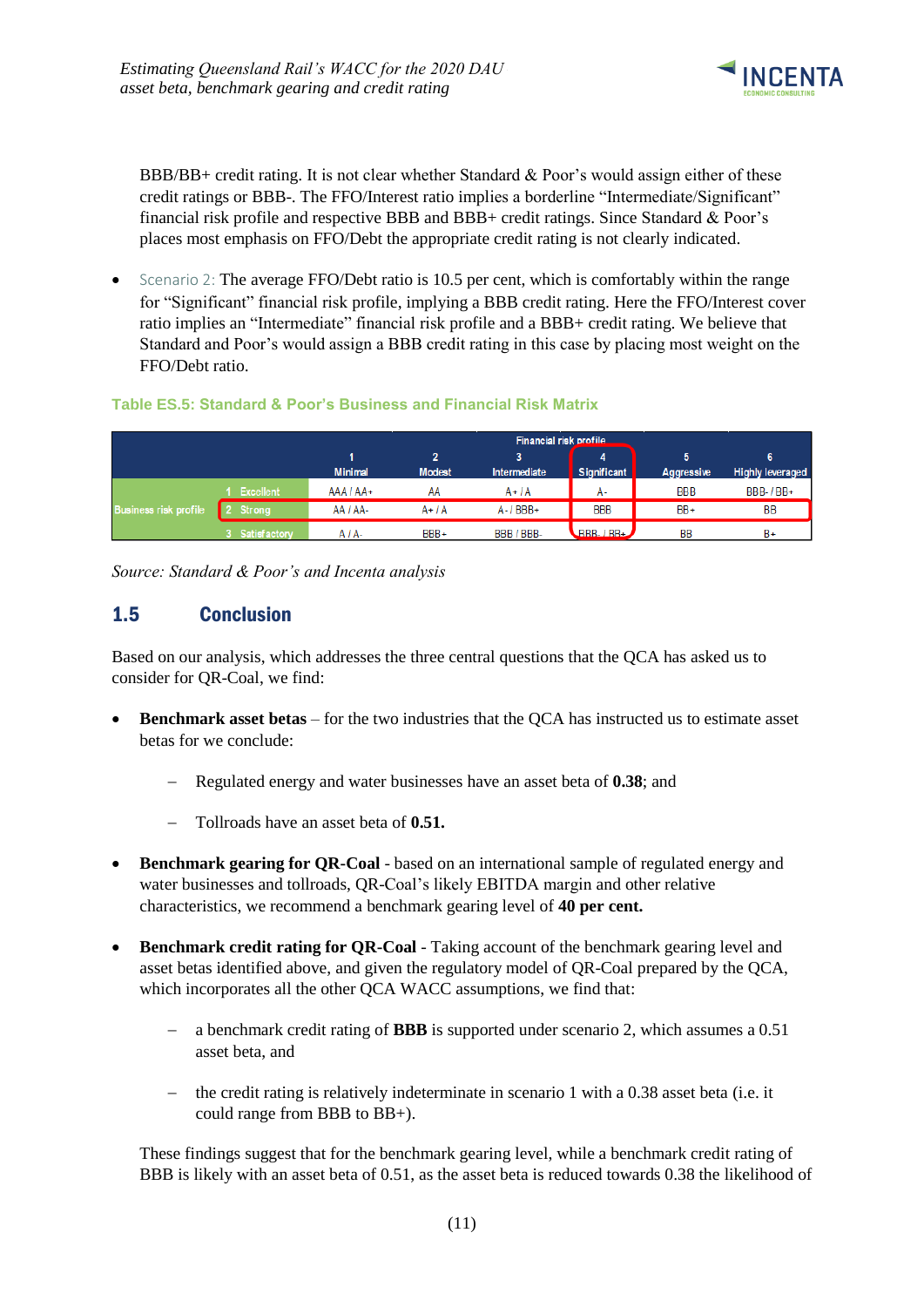

BBB/BB+ credit rating. It is not clear whether Standard  $\&$  Poor's would assign either of these credit ratings or BBB-. The FFO/Interest ratio implies a borderline "Intermediate/Significant" financial risk profile and respective BBB and BBB+ credit ratings. Since Standard & Poor's places most emphasis on FFO/Debt the appropriate credit rating is not clearly indicated.

• Scenario 2: The average FFO/Debt ratio is 10.5 per cent, which is comfortably within the range for "Significant" financial risk profile, implying a BBB credit rating. Here the FFO/Interest cover ratio implies an "Intermediate" financial risk profile and a BBB+ credit rating. We believe that Standard and Poor's would assign a BBB credit rating in this case by placing most weight on the FFO/Debt ratio.

### **Table ES.5: Standard & Poor's Business and Financial Risk Matrix**

|                              |                     |                | Financial risk profile |                     |                                     |            |                         |  |  |  |  |
|------------------------------|---------------------|----------------|------------------------|---------------------|-------------------------------------|------------|-------------------------|--|--|--|--|
|                              |                     |                | 2                      |                     |                                     |            | 6                       |  |  |  |  |
|                              |                     | <b>Minimal</b> | <b>Modest</b>          | <b>Intermediate</b> | Significant                         | Aggressive | <b>Highly leveraged</b> |  |  |  |  |
|                              | <b>Excellent</b>    | $AAA/AA+$      | AA                     | $A + I$             | А-                                  | <b>BBB</b> | <b>BBB-1BB+</b>         |  |  |  |  |
| <b>Business risk profile</b> | Strong              | AA / AA-       | $A+IA$                 | $A - I$ BBB+        | <b>BBB</b>                          | $BB+$      | BB                      |  |  |  |  |
|                              | <b>Satisfactory</b> | A / A-         | BBB+                   | BBB / BBB-          | $R$ <sub>BB-<math>/</math>BB+</sub> | <b>BB</b>  | $B+$                    |  |  |  |  |

*Source: Standard & Poor's and Incenta analysis*

### <span id="page-14-0"></span>1.5 Conclusion

Based on our analysis, which addresses the three central questions that the QCA has asked us to consider for QR-Coal, we find:

- **Benchmark asset betas** for the two industries that the QCA has instructed us to estimate asset betas for we conclude:
	- − Regulated energy and water businesses have an asset beta of **0.38**; and
	- − Tollroads have an asset beta of **0.51.**
- **Benchmark gearing for QR-Coal** based on an international sample of regulated energy and water businesses and tollroads, QR-Coal's likely EBITDA margin and other relative characteristics, we recommend a benchmark gearing level of **40 per cent.**
- **Benchmark credit rating for QR-Coal** Taking account of the benchmark gearing level and asset betas identified above, and given the regulatory model of QR-Coal prepared by the QCA, which incorporates all the other QCA WACC assumptions, we find that:
	- − a benchmark credit rating of **BBB** is supported under scenario 2, which assumes a 0.51 asset beta, and
	- − the credit rating is relatively indeterminate in scenario 1 with a 0.38 asset beta (i.e. it could range from BBB to BB+).

These findings suggest that for the benchmark gearing level, while a benchmark credit rating of BBB is likely with an asset beta of 0.51, as the asset beta is reduced towards 0.38 the likelihood of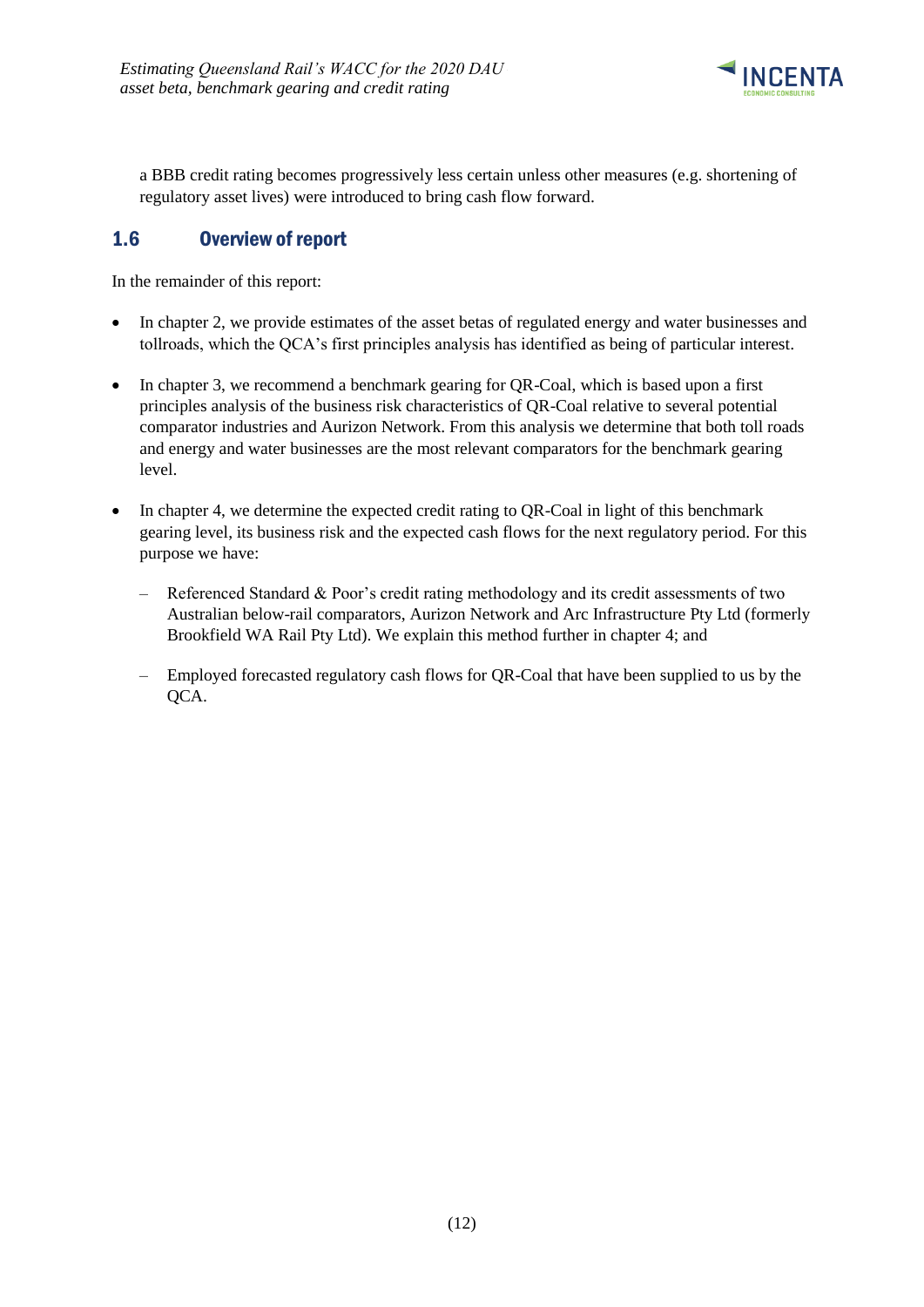

a BBB credit rating becomes progressively less certain unless other measures (e.g. shortening of regulatory asset lives) were introduced to bring cash flow forward.

## <span id="page-15-0"></span>1.6 Overview of report

In the remainder of this report:

- In chapter 2, we provide estimates of the asset betas of regulated energy and water businesses and tollroads, which the QCA's first principles analysis has identified as being of particular interest.
- In chapter 3, we recommend a benchmark gearing for QR-Coal, which is based upon a first principles analysis of the business risk characteristics of QR-Coal relative to several potential comparator industries and Aurizon Network. From this analysis we determine that both toll roads and energy and water businesses are the most relevant comparators for the benchmark gearing level.
- In chapter 4, we determine the expected credit rating to QR-Coal in light of this benchmark gearing level, its business risk and the expected cash flows for the next regulatory period. For this purpose we have:
	- Referenced Standard & Poor's credit rating methodology and its credit assessments of two Australian below-rail comparators, Aurizon Network and Arc Infrastructure Pty Ltd (formerly Brookfield WA Rail Pty Ltd). We explain this method further in chapter 4; and
	- Employed forecasted regulatory cash flows for QR-Coal that have been supplied to us by the QCA.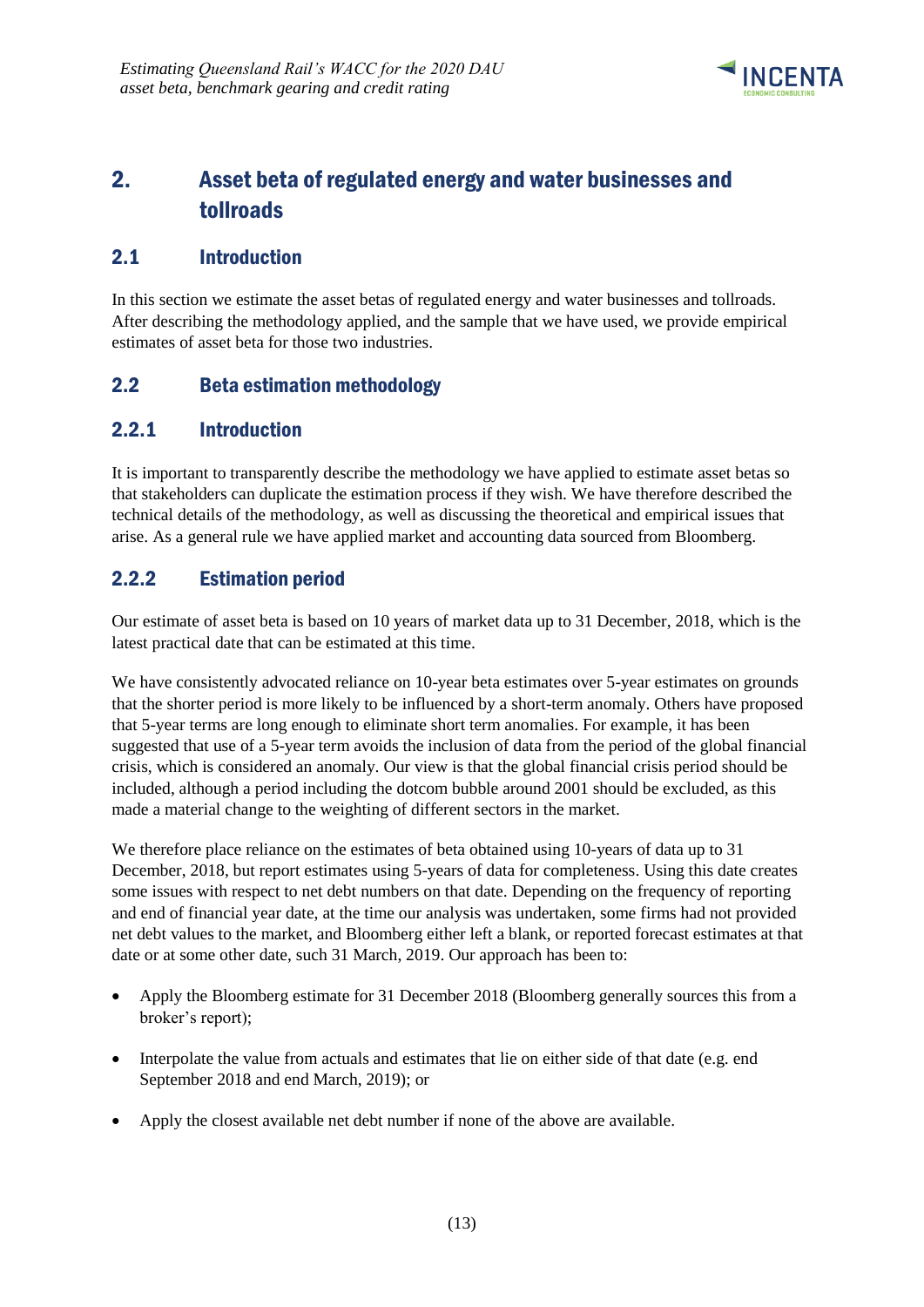

# <span id="page-16-0"></span>2. Asset beta of regulated energy and water businesses and tollroads

### <span id="page-16-1"></span>2.1 Introduction

In this section we estimate the asset betas of regulated energy and water businesses and tollroads. After describing the methodology applied, and the sample that we have used, we provide empirical estimates of asset beta for those two industries.

### <span id="page-16-2"></span>2.2 Beta estimation methodology

## <span id="page-16-3"></span>2.2.1 Introduction

It is important to transparently describe the methodology we have applied to estimate asset betas so that stakeholders can duplicate the estimation process if they wish. We have therefore described the technical details of the methodology, as well as discussing the theoretical and empirical issues that arise. As a general rule we have applied market and accounting data sourced from Bloomberg.

# <span id="page-16-4"></span>2.2.2 Estimation period

Our estimate of asset beta is based on 10 years of market data up to 31 December, 2018, which is the latest practical date that can be estimated at this time.

We have consistently advocated reliance on 10-year beta estimates over 5-year estimates on grounds that the shorter period is more likely to be influenced by a short-term anomaly. Others have proposed that 5-year terms are long enough to eliminate short term anomalies. For example, it has been suggested that use of a 5-year term avoids the inclusion of data from the period of the global financial crisis, which is considered an anomaly. Our view is that the global financial crisis period should be included, although a period including the dotcom bubble around 2001 should be excluded, as this made a material change to the weighting of different sectors in the market.

We therefore place reliance on the estimates of beta obtained using 10-years of data up to 31 December, 2018, but report estimates using 5-years of data for completeness. Using this date creates some issues with respect to net debt numbers on that date. Depending on the frequency of reporting and end of financial year date, at the time our analysis was undertaken, some firms had not provided net debt values to the market, and Bloomberg either left a blank, or reported forecast estimates at that date or at some other date, such 31 March, 2019. Our approach has been to:

- Apply the Bloomberg estimate for 31 December 2018 (Bloomberg generally sources this from a broker's report);
- Interpolate the value from actuals and estimates that lie on either side of that date (e.g. end September 2018 and end March, 2019); or
- Apply the closest available net debt number if none of the above are available.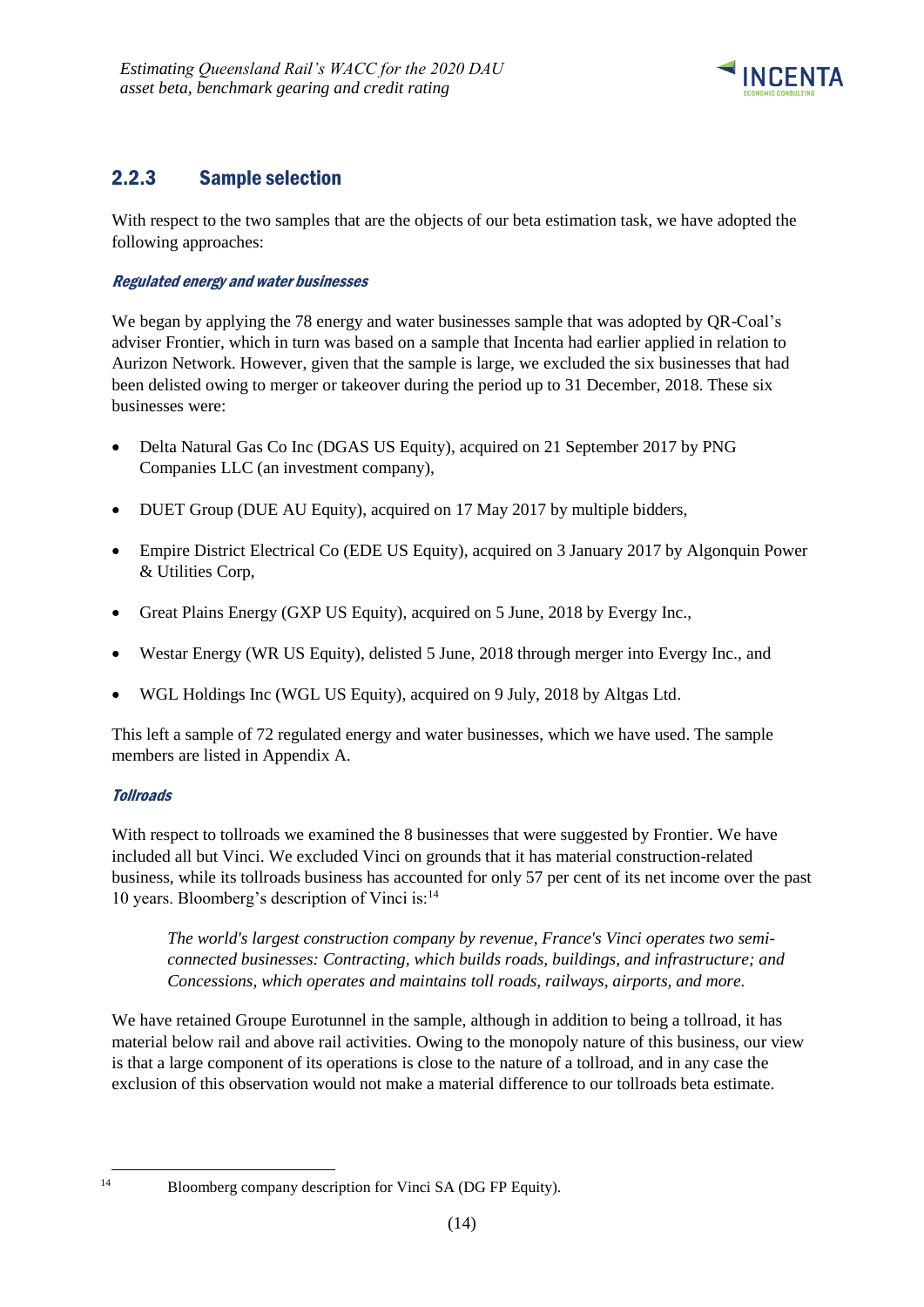

# <span id="page-17-0"></span>2.2.3 Sample selection

With respect to the two samples that are the objects of our beta estimation task, we have adopted the following approaches:

### Regulated energy and water businesses

We began by applying the 78 energy and water businesses sample that was adopted by OR-Coal's adviser Frontier, which in turn was based on a sample that Incenta had earlier applied in relation to Aurizon Network. However, given that the sample is large, we excluded the six businesses that had been delisted owing to merger or takeover during the period up to 31 December, 2018. These six businesses were:

- Delta Natural Gas Co Inc (DGAS US Equity), acquired on 21 September 2017 by PNG Companies LLC (an investment company),
- DUET Group (DUE AU Equity), acquired on 17 May 2017 by multiple bidders,
- Empire District Electrical Co (EDE US Equity), acquired on 3 January 2017 by Algonquin Power & Utilities Corp,
- Great Plains Energy (GXP US Equity), acquired on 5 June, 2018 by Evergy Inc.,
- Westar Energy (WR US Equity), delisted 5 June, 2018 through merger into Evergy Inc., and
- WGL Holdings Inc (WGL US Equity), acquired on 9 July, 2018 by Altgas Ltd.

This left a sample of 72 regulated energy and water businesses, which we have used. The sample members are listed in Appendix A.

### **Tollroads**

With respect to tollroads we examined the 8 businesses that were suggested by Frontier. We have included all but Vinci. We excluded Vinci on grounds that it has material construction-related business, while its tollroads business has accounted for only 57 per cent of its net income over the past 10 years. Bloomberg's description of Vinci is:<sup>14</sup>

*The world's largest construction company by revenue, France's Vinci operates two semiconnected businesses: Contracting, which builds roads, buildings, and infrastructure; and Concessions, which operates and maintains toll roads, railways, airports, and more.* 

We have retained Groupe Eurotunnel in the sample, although in addition to being a tollroad, it has material below rail and above rail activities. Owing to the monopoly nature of this business, our view is that a large component of its operations is close to the nature of a tollroad, and in any case the exclusion of this observation would not make a material difference to our tollroads beta estimate.

<sup>&</sup>lt;sup>14</sup> Bloomberg company description for Vinci SA (DG FP Equity).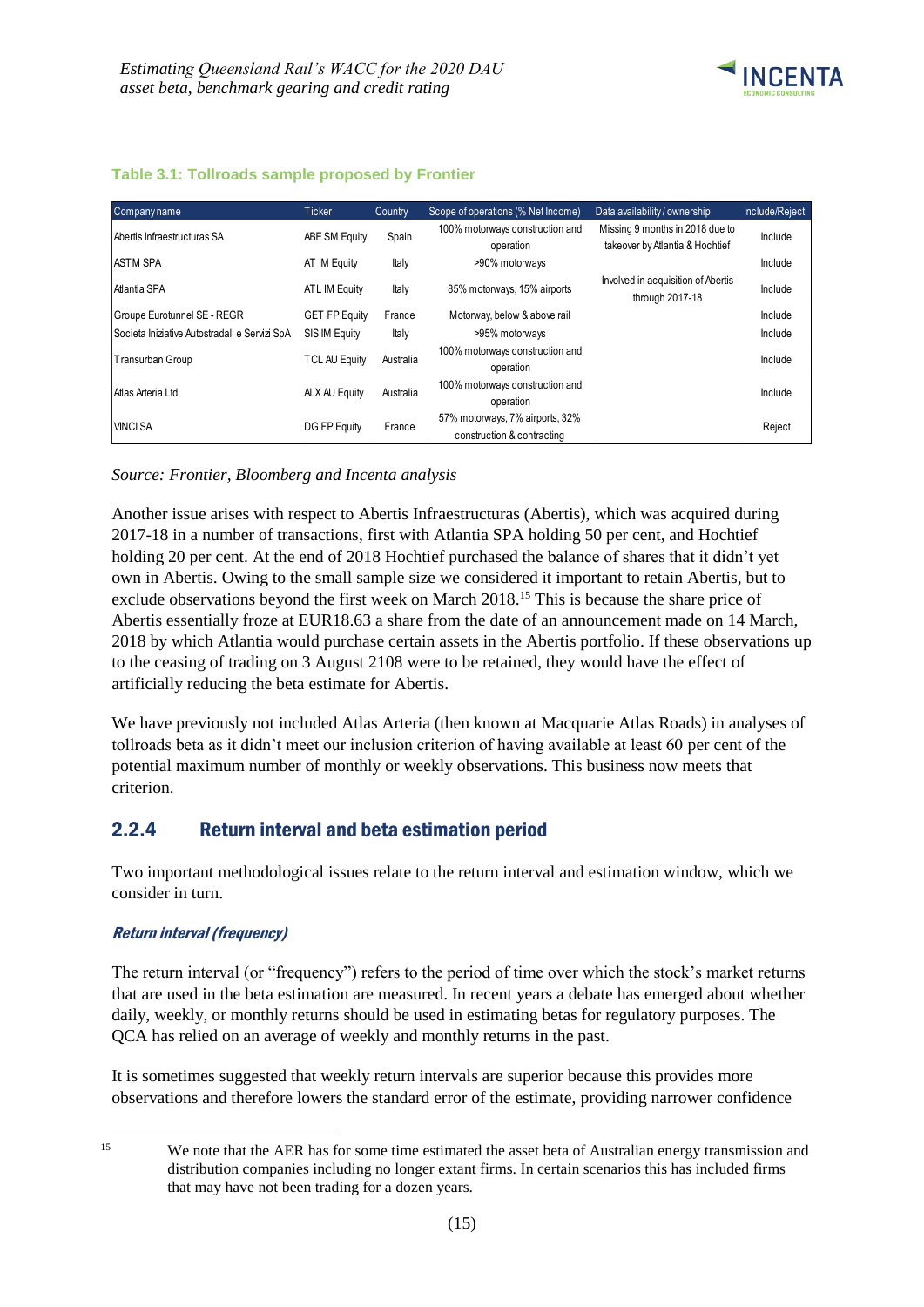

| Table 3.1: Tollroads sample proposed by Frontier |  |  |  |
|--------------------------------------------------|--|--|--|

| Company name                                  | Ticker               | Country   | Scope of operations (% Net Income)                            | Data availability / ownership                                      | Include/Reject |
|-----------------------------------------------|----------------------|-----------|---------------------------------------------------------------|--------------------------------------------------------------------|----------------|
| Abertis Infraestructuras SA                   | ABE SM Equity        | Spain     | 100% motorways construction and<br>operation                  | Missing 9 months in 2018 due to<br>takeover by Atlantia & Hochtief | Include        |
| <b>ASTM SPA</b>                               | AT IM Equity         | Italy     | >90% motorways                                                |                                                                    | Include        |
| Atlantia SPA                                  | ATL IM Equity        | Italy     | 85% motorways, 15% airports                                   | Involved in acquisition of Abertis<br>through 2017-18              | Include        |
| Groupe Eurotunnel SE - REGR                   | <b>GET FP Equity</b> | France    | Motorway, below & above rail                                  |                                                                    | Include        |
| Societa Iniziative Autostradali e Servizi SpA | SIS IM Equity        | Italy     | >95% motorways                                                |                                                                    | Include        |
| Transurban Group                              | <b>TCL AU Equity</b> | Australia | 100% motorways construction and<br>operation                  |                                                                    | Include        |
| Atlas Arteria Ltd                             | ALX AU Equity        | Australia | 100% motorways construction and<br>operation                  |                                                                    | Include        |
| <b>VINCI SA</b>                               | DG FP Equity         | France    | 57% motorways, 7% airports, 32%<br>construction & contracting |                                                                    | Reject         |

### *Source: Frontier, Bloomberg and Incenta analysis*

Another issue arises with respect to Abertis Infraestructuras (Abertis), which was acquired during 2017-18 in a number of transactions, first with Atlantia SPA holding 50 per cent, and Hochtief holding 20 per cent. At the end of 2018 Hochtief purchased the balance of shares that it didn't yet own in Abertis. Owing to the small sample size we considered it important to retain Abertis, but to exclude observations beyond the first week on March 2018.<sup>15</sup> This is because the share price of Abertis essentially froze at EUR18.63 a share from the date of an announcement made on 14 March, 2018 by which Atlantia would purchase certain assets in the Abertis portfolio. If these observations up to the ceasing of trading on 3 August 2108 were to be retained, they would have the effect of artificially reducing the beta estimate for Abertis.

We have previously not included Atlas Arteria (then known at Macquarie Atlas Roads) in analyses of tollroads beta as it didn't meet our inclusion criterion of having available at least 60 per cent of the potential maximum number of monthly or weekly observations. This business now meets that criterion.

### <span id="page-18-0"></span>2.2.4 Return interval and beta estimation period

Two important methodological issues relate to the return interval and estimation window, which we consider in turn.

#### Return interval (frequency)

The return interval (or "frequency") refers to the period of time over which the stock's market returns that are used in the beta estimation are measured. In recent years a debate has emerged about whether daily, weekly, or monthly returns should be used in estimating betas for regulatory purposes. The QCA has relied on an average of weekly and monthly returns in the past.

It is sometimes suggested that weekly return intervals are superior because this provides more observations and therefore lowers the standard error of the estimate, providing narrower confidence

<sup>-</sup>

<sup>&</sup>lt;sup>15</sup> We note that the AER has for some time estimated the asset beta of Australian energy transmission and distribution companies including no longer extant firms. In certain scenarios this has included firms that may have not been trading for a dozen years.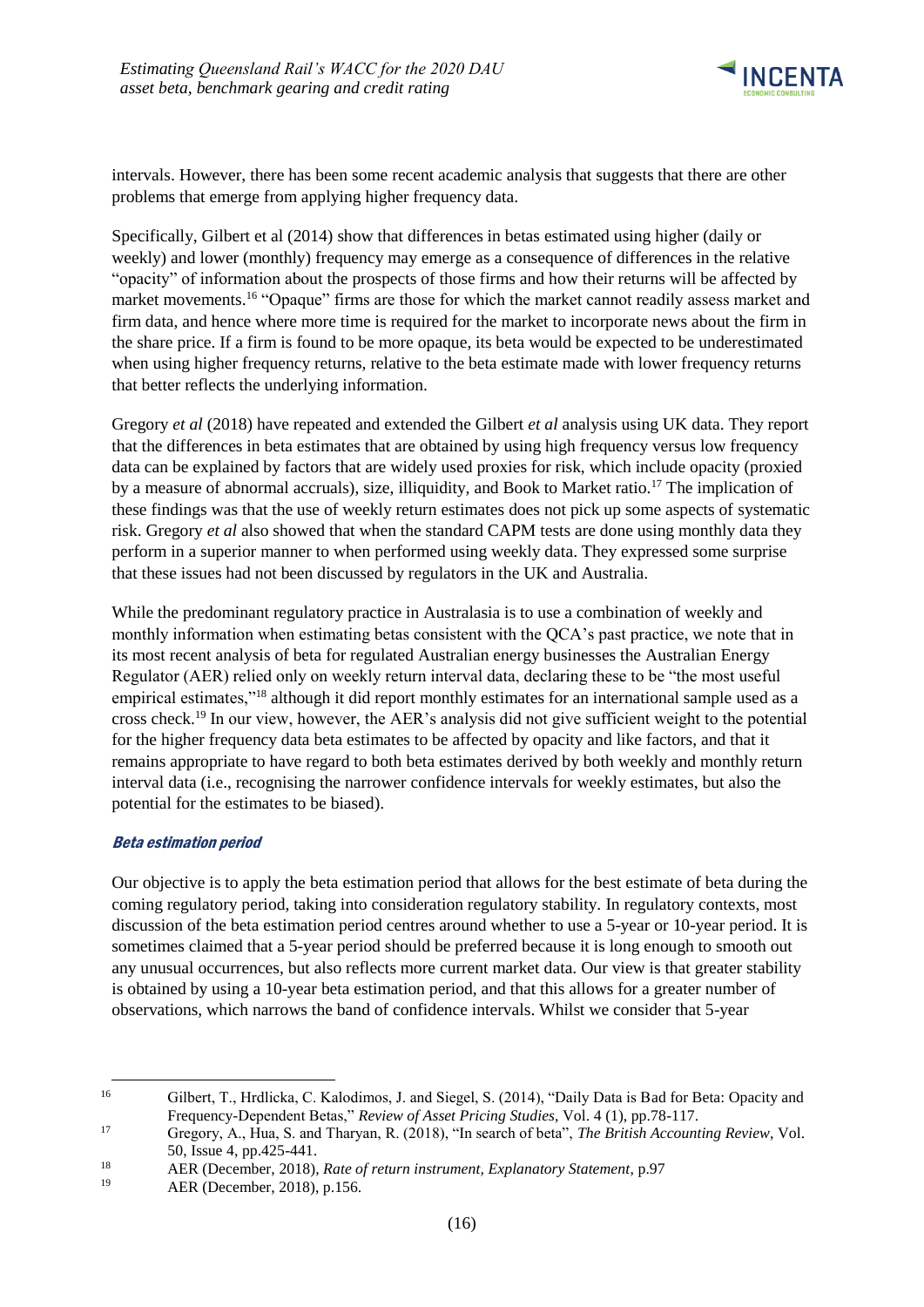

intervals. However, there has been some recent academic analysis that suggests that there are other problems that emerge from applying higher frequency data.

Specifically, Gilbert et al (2014) show that differences in betas estimated using higher (daily or weekly) and lower (monthly) frequency may emerge as a consequence of differences in the relative "opacity" of information about the prospects of those firms and how their returns will be affected by market movements.<sup>16</sup> "Opaque" firms are those for which the market cannot readily assess market and firm data, and hence where more time is required for the market to incorporate news about the firm in the share price. If a firm is found to be more opaque, its beta would be expected to be underestimated when using higher frequency returns, relative to the beta estimate made with lower frequency returns that better reflects the underlying information.

Gregory *et al* (2018) have repeated and extended the Gilbert *et al* analysis using UK data. They report that the differences in beta estimates that are obtained by using high frequency versus low frequency data can be explained by factors that are widely used proxies for risk, which include opacity (proxied by a measure of abnormal accruals), size, illiquidity, and Book to Market ratio.<sup>17</sup> The implication of these findings was that the use of weekly return estimates does not pick up some aspects of systematic risk. Gregory *et al* also showed that when the standard CAPM tests are done using monthly data they perform in a superior manner to when performed using weekly data. They expressed some surprise that these issues had not been discussed by regulators in the UK and Australia.

While the predominant regulatory practice in Australasia is to use a combination of weekly and monthly information when estimating betas consistent with the QCA's past practice, we note that in its most recent analysis of beta for regulated Australian energy businesses the Australian Energy Regulator (AER) relied only on weekly return interval data, declaring these to be "the most useful empirical estimates,"<sup>18</sup> although it did report monthly estimates for an international sample used as a cross check.<sup>19</sup> In our view, however, the AER's analysis did not give sufficient weight to the potential for the higher frequency data beta estimates to be affected by opacity and like factors, and that it remains appropriate to have regard to both beta estimates derived by both weekly and monthly return interval data (i.e., recognising the narrower confidence intervals for weekly estimates, but also the potential for the estimates to be biased).

#### Beta estimation period

Our objective is to apply the beta estimation period that allows for the best estimate of beta during the coming regulatory period, taking into consideration regulatory stability. In regulatory contexts, most discussion of the beta estimation period centres around whether to use a 5-year or 10-year period. It is sometimes claimed that a 5-year period should be preferred because it is long enough to smooth out any unusual occurrences, but also reflects more current market data. Our view is that greater stability is obtained by using a 10-year beta estimation period, and that this allows for a greater number of observations, which narrows the band of confidence intervals. Whilst we consider that 5-year

<sup>-</sup><sup>16</sup> Gilbert, T., Hrdlicka, C. Kalodimos, J. and Siegel, S. (2014), "Daily Data is Bad for Beta: Opacity and Frequency-Dependent Betas," *Review of Asset Pricing Studies*, Vol. 4 (1), pp.78-117.

<sup>17</sup> Gregory, A., Hua, S. and Tharyan, R. (2018), "In search of beta", *The British Accounting Review*, Vol. 50, Issue 4, pp.425-441.

<sup>18</sup> **AER (December, 2018),** *Rate of return instrument, Explanatory Statement***, p.97<sup>19</sup>** 

AER (December, 2018), p.156.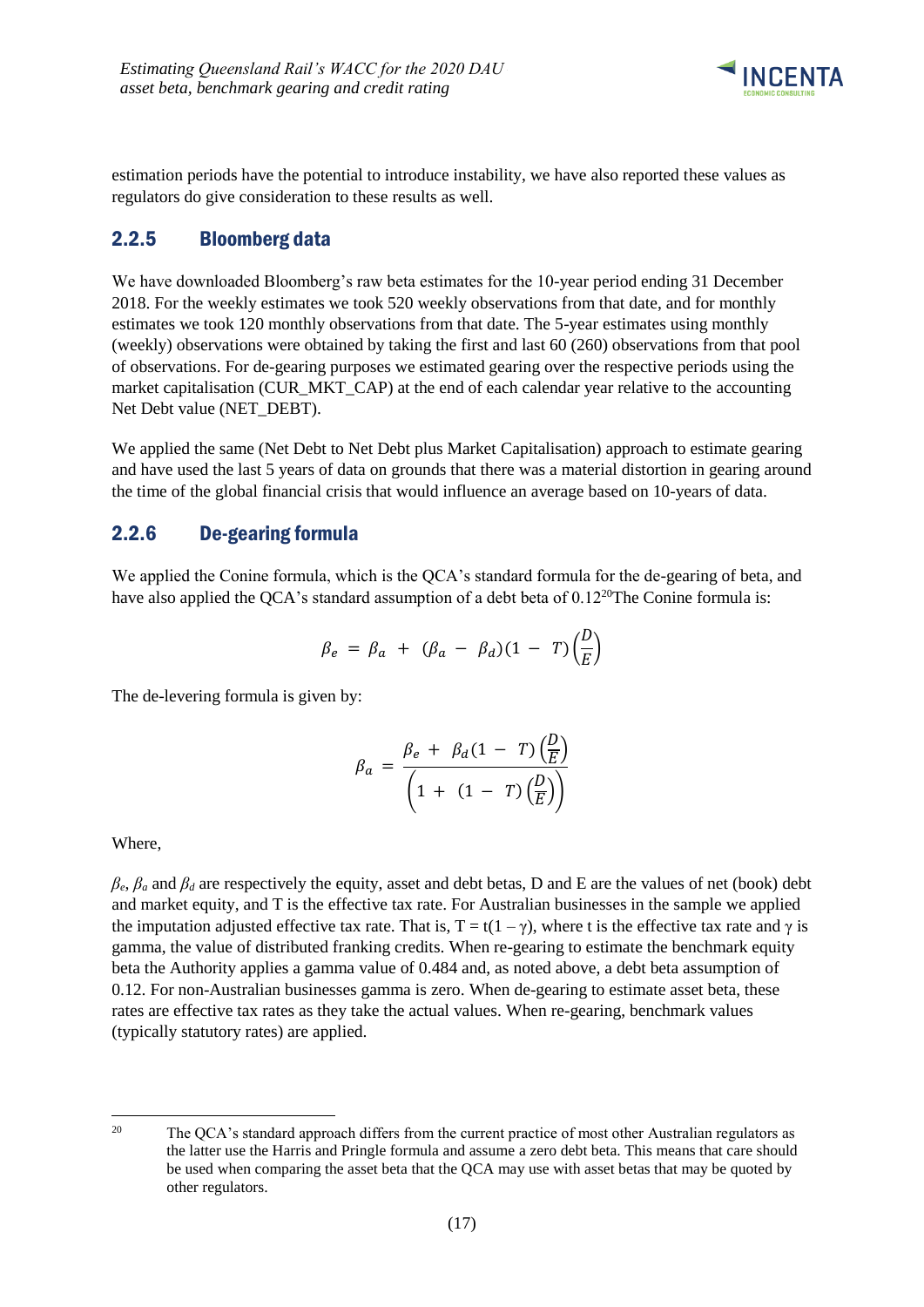

estimation periods have the potential to introduce instability, we have also reported these values as regulators do give consideration to these results as well.

## <span id="page-20-0"></span>2.2.5 Bloomberg data

We have downloaded Bloomberg's raw beta estimates for the 10-year period ending 31 December 2018. For the weekly estimates we took 520 weekly observations from that date, and for monthly estimates we took 120 monthly observations from that date. The 5-year estimates using monthly (weekly) observations were obtained by taking the first and last 60 (260) observations from that pool of observations. For de-gearing purposes we estimated gearing over the respective periods using the market capitalisation (CUR\_MKT\_CAP) at the end of each calendar year relative to the accounting Net Debt value (NET\_DEBT).

We applied the same (Net Debt to Net Debt plus Market Capitalisation) approach to estimate gearing and have used the last 5 years of data on grounds that there was a material distortion in gearing around the time of the global financial crisis that would influence an average based on 10-years of data.

## <span id="page-20-1"></span>2.2.6 De-gearing formula

We applied the Conine formula, which is the QCA's standard formula for the de-gearing of beta, and have also applied the QCA's standard assumption of a debt beta of 0.12<sup>20</sup>The Conine formula is:

$$
\beta_e = \beta_a + (\beta_a - \beta_d)(1 - T)\left(\frac{D}{E}\right)
$$

The de-levering formula is given by:

$$
\beta_a = \frac{\beta_e + \beta_d (1 - T) \left(\frac{D}{E}\right)}{\left(1 + (1 - T) \left(\frac{D}{E}\right)\right)}
$$

Where,

 $\beta_e$ ,  $\beta_a$  and  $\beta_d$  are respectively the equity, asset and debt betas, D and E are the values of net (book) debt and market equity, and T is the effective tax rate. For Australian businesses in the sample we applied the imputation adjusted effective tax rate. That is,  $T = t(1 - \gamma)$ , where t is the effective tax rate and  $\gamma$  is gamma, the value of distributed franking credits. When re-gearing to estimate the benchmark equity beta the Authority applies a gamma value of 0.484 and, as noted above, a debt beta assumption of 0.12. For non-Australian businesses gamma is zero. When de-gearing to estimate asset beta, these rates are effective tax rates as they take the actual values. When re-gearing, benchmark values (typically statutory rates) are applied.

 $20$ The OCA's standard approach differs from the current practice of most other Australian regulators as the latter use the Harris and Pringle formula and assume a zero debt beta. This means that care should be used when comparing the asset beta that the QCA may use with asset betas that may be quoted by other regulators.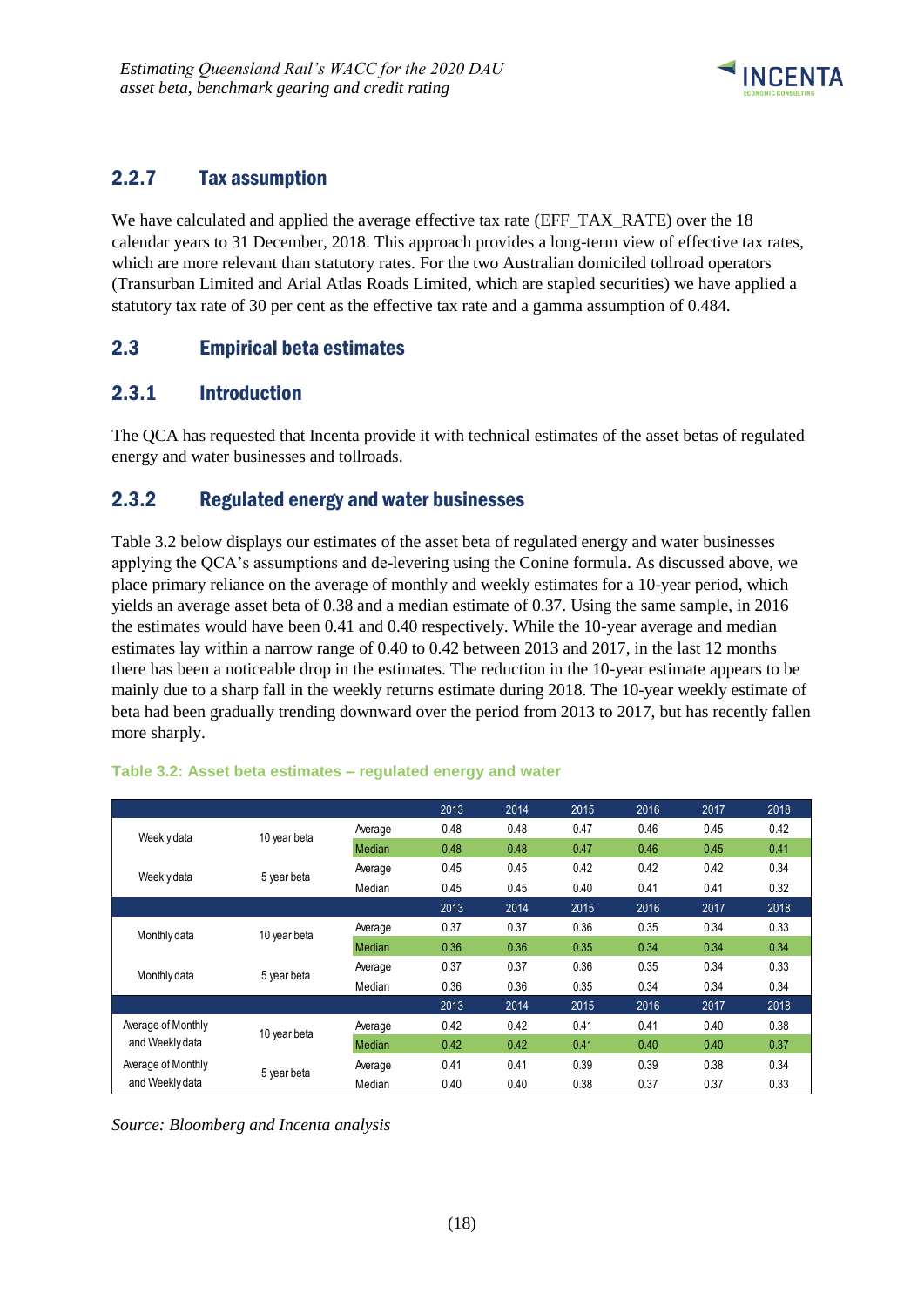

# <span id="page-21-0"></span>2.2.7 Tax assumption

We have calculated and applied the average effective tax rate (EFF\_TAX\_RATE) over the 18 calendar years to 31 December, 2018. This approach provides a long-term view of effective tax rates, which are more relevant than statutory rates. For the two Australian domiciled tollroad operators (Transurban Limited and Arial Atlas Roads Limited, which are stapled securities) we have applied a statutory tax rate of 30 per cent as the effective tax rate and a gamma assumption of 0.484.

# <span id="page-21-1"></span>2.3 Empirical beta estimates

## <span id="page-21-2"></span>2.3.1 Introduction

The QCA has requested that Incenta provide it with technical estimates of the asset betas of regulated energy and water businesses and tollroads.

## <span id="page-21-3"></span>2.3.2 Regulated energy and water businesses

Table 3.2 below displays our estimates of the asset beta of regulated energy and water businesses applying the QCA's assumptions and de-levering using the Conine formula. As discussed above, we place primary reliance on the average of monthly and weekly estimates for a 10-year period, which yields an average asset beta of 0.38 and a median estimate of 0.37. Using the same sample, in 2016 the estimates would have been 0.41 and 0.40 respectively. While the 10-year average and median estimates lay within a narrow range of 0.40 to 0.42 between 2013 and 2017, in the last 12 months there has been a noticeable drop in the estimates. The reduction in the 10-year estimate appears to be mainly due to a sharp fall in the weekly returns estimate during 2018. The 10-year weekly estimate of beta had been gradually trending downward over the period from 2013 to 2017, but has recently fallen more sharply.

|                    |              |         | 2013 | 2014 | 2015 | 2016 | 2017 | 2018 |
|--------------------|--------------|---------|------|------|------|------|------|------|
| Weekly data        | 10 year beta | Average | 0.48 | 0.48 | 0.47 | 0.46 | 0.45 | 0.42 |
|                    |              | Median  | 0.48 | 0.48 | 0.47 | 0.46 | 0.45 | 0.41 |
| Weekly data        | 5 year beta  | Average | 0.45 | 0.45 | 0.42 | 0.42 | 0.42 | 0.34 |
|                    |              | Median  | 0.45 | 0.45 | 0.40 | 0.41 | 0.41 | 0.32 |
|                    |              |         | 2013 | 2014 | 2015 | 2016 | 2017 | 2018 |
| Monthly data       | 10 year beta | Average | 0.37 | 0.37 | 0.36 | 0.35 | 0.34 | 0.33 |
|                    |              | Median  | 0.36 | 0.36 | 0.35 | 0.34 | 0.34 | 0.34 |
| Monthly data       | 5 year beta  | Average | 0.37 | 0.37 | 0.36 | 0.35 | 0.34 | 0.33 |
|                    |              | Median  | 0.36 | 0.36 | 0.35 | 0.34 | 0.34 | 0.34 |
|                    |              |         | 2013 | 2014 | 2015 | 2016 | 2017 | 2018 |
| Average of Monthly | 10 year beta | Average | 0.42 | 0.42 | 0.41 | 0.41 | 0.40 | 0.38 |
| and Weekly data    |              | Median  | 0.42 | 0.42 | 0.41 | 0.40 | 0.40 | 0.37 |
| Average of Monthly | 5 year beta  | Average | 0.41 | 0.41 | 0.39 | 0.39 | 0.38 | 0.34 |
| and Weekly data    |              | Median  | 0.40 | 0.40 | 0.38 | 0.37 | 0.37 | 0.33 |

### **Table 3.2: Asset beta estimates – regulated energy and water**

*Source: Bloomberg and Incenta analysis*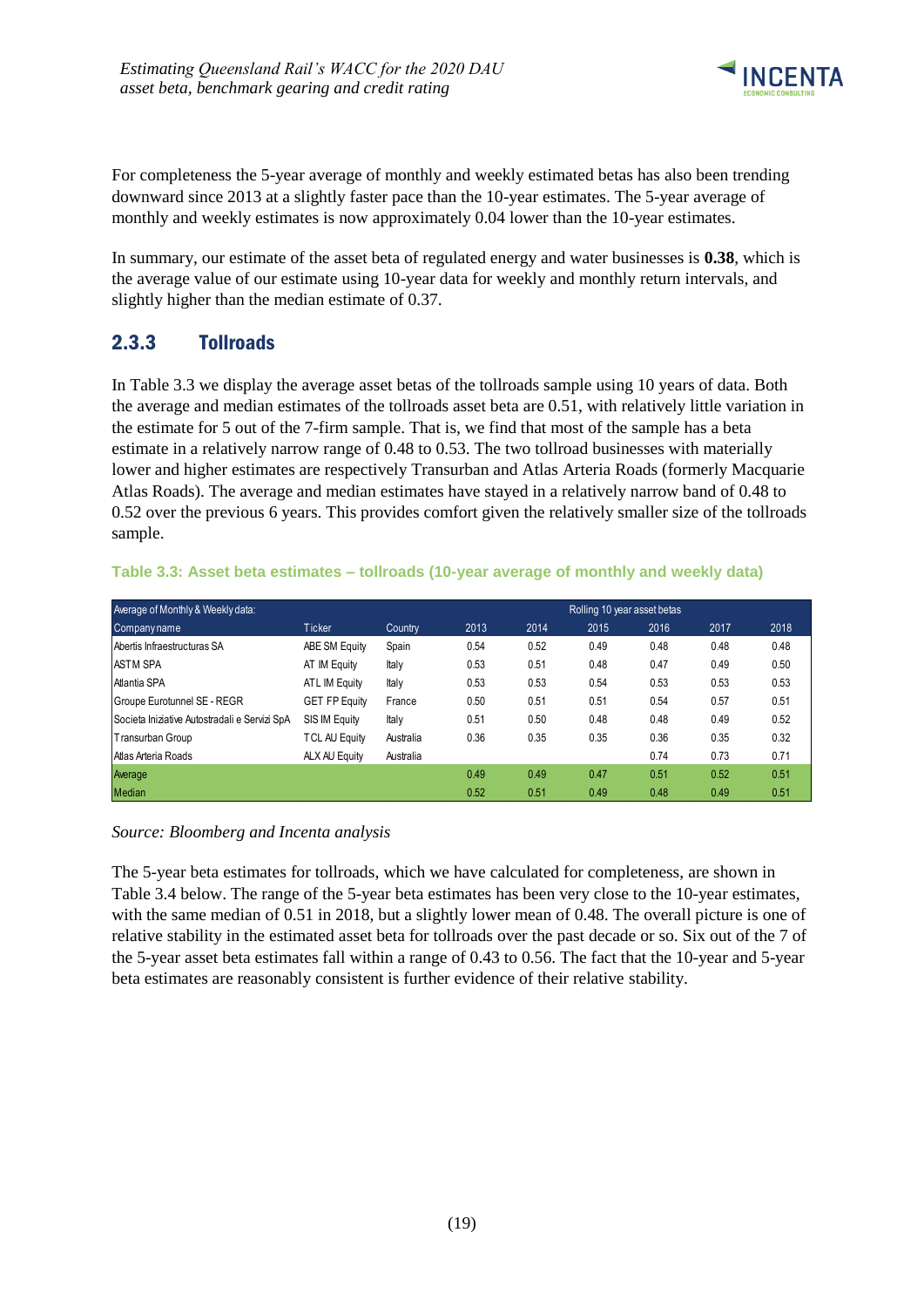

For completeness the 5-year average of monthly and weekly estimated betas has also been trending downward since 2013 at a slightly faster pace than the 10-year estimates. The 5-year average of monthly and weekly estimates is now approximately 0.04 lower than the 10-year estimates.

In summary, our estimate of the asset beta of regulated energy and water businesses is **0.38**, which is the average value of our estimate using 10-year data for weekly and monthly return intervals, and slightly higher than the median estimate of 0.37.

# <span id="page-22-0"></span>2.3.3 Tollroads

In Table 3.3 we display the average asset betas of the tollroads sample using 10 years of data. Both the average and median estimates of the tollroads asset beta are 0.51, with relatively little variation in the estimate for 5 out of the 7-firm sample. That is, we find that most of the sample has a beta estimate in a relatively narrow range of 0.48 to 0.53. The two tollroad businesses with materially lower and higher estimates are respectively Transurban and Atlas Arteria Roads (formerly Macquarie Atlas Roads). The average and median estimates have stayed in a relatively narrow band of 0.48 to 0.52 over the previous 6 years. This provides comfort given the relatively smaller size of the tollroads sample.

### **Table 3.3: Asset beta estimates – tollroads (10-year average of monthly and weekly data)**

| Average of Monthly & Weekly data:             | Rolling 10 year asset betas |           |      |      |      |      |      |      |  |  |
|-----------------------------------------------|-----------------------------|-----------|------|------|------|------|------|------|--|--|
| Company name                                  | <b>Ticker</b>               | Country   | 2013 | 2014 | 2015 | 2016 | 2017 | 2018 |  |  |
| Abertis Infraestructuras SA                   | ABE SM Equity               | Spain     | 0.54 | 0.52 | 0.49 | 0.48 | 0.48 | 0.48 |  |  |
| <b>ASTM SPA</b>                               | AT IM Equity                | Italy     | 0.53 | 0.51 | 0.48 | 0.47 | 0.49 | 0.50 |  |  |
| Atlantia SPA                                  | ATL IM Equity               | Italy     | 0.53 | 0.53 | 0.54 | 0.53 | 0.53 | 0.53 |  |  |
| Groupe Eurotunnel SE - REGR                   | <b>GET FP Equity</b>        | France    | 0.50 | 0.51 | 0.51 | 0.54 | 0.57 | 0.51 |  |  |
| Societa Iniziative Autostradali e Servizi SpA | SIS IM Equity               | Italy     | 0.51 | 0.50 | 0.48 | 0.48 | 0.49 | 0.52 |  |  |
| Transurban Group                              | <b>TCL AU Equity</b>        | Australia | 0.36 | 0.35 | 0.35 | 0.36 | 0.35 | 0.32 |  |  |
| Atlas Arteria Roads                           | ALX AU Equity               | Australia |      |      |      | 0.74 | 0.73 | 0.71 |  |  |
| Average                                       |                             |           | 0.49 | 0.49 | 0.47 | 0.51 | 0.52 | 0.51 |  |  |
| <b>Median</b>                                 |                             |           | 0.52 | 0.51 | 0.49 | 0.48 | 0.49 | 0.51 |  |  |

#### *Source: Bloomberg and Incenta analysis*

The 5-year beta estimates for tollroads, which we have calculated for completeness, are shown in Table 3.4 below. The range of the 5-year beta estimates has been very close to the 10-year estimates, with the same median of 0.51 in 2018, but a slightly lower mean of 0.48. The overall picture is one of relative stability in the estimated asset beta for tollroads over the past decade or so. Six out of the 7 of the 5-year asset beta estimates fall within a range of 0.43 to 0.56. The fact that the 10-year and 5-year beta estimates are reasonably consistent is further evidence of their relative stability.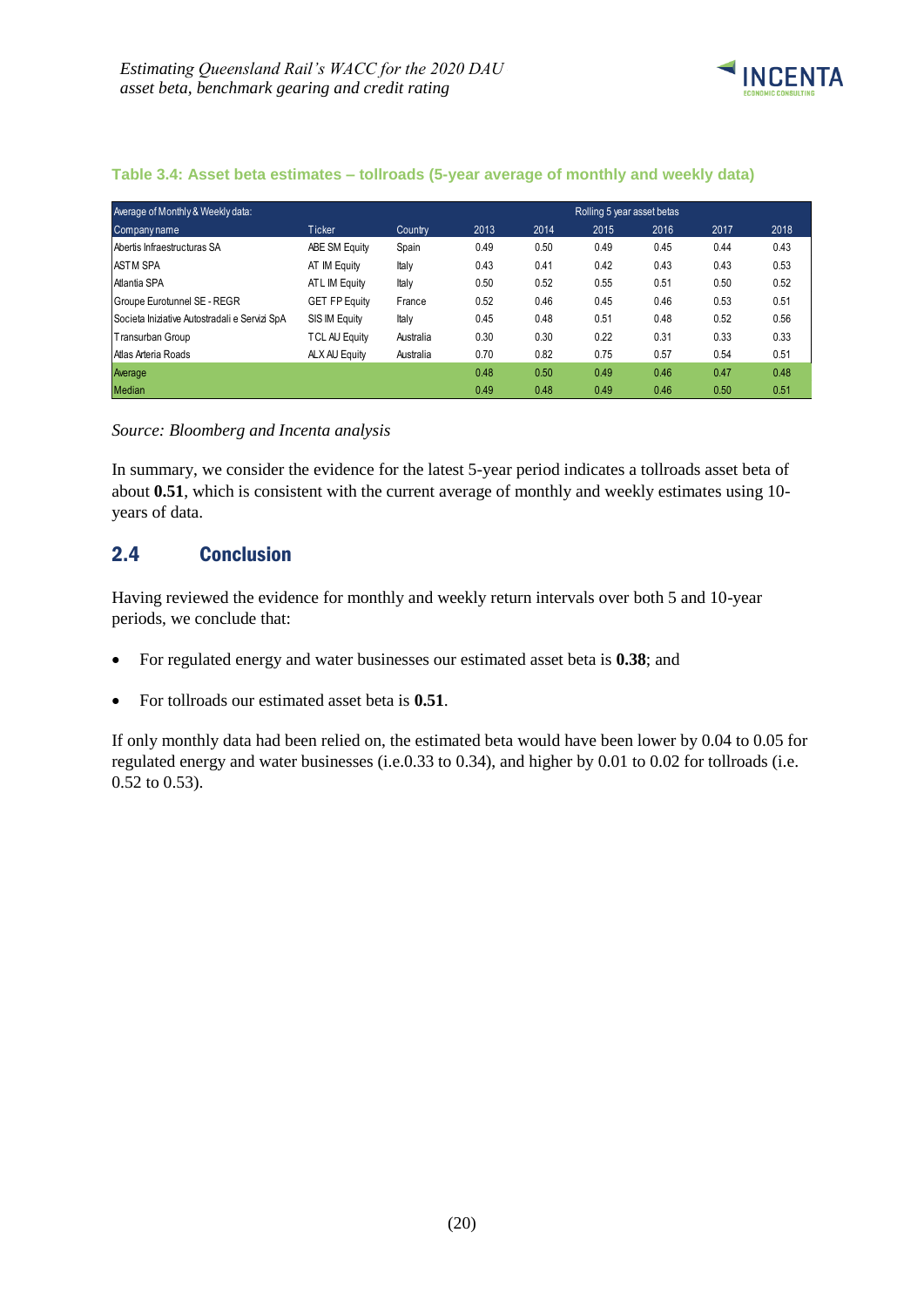

| Average of Monthly & Weekly data:             |                      |           | Rolling 5 year asset betas |      |      |      |      |      |  |
|-----------------------------------------------|----------------------|-----------|----------------------------|------|------|------|------|------|--|
| Companyname                                   | <b>Ticker</b>        | Country   | 2013                       | 2014 | 2015 | 2016 | 2017 | 2018 |  |
| Abertis Infraestructuras SA                   | ABE SM Equity        | Spain     | 0.49                       | 0.50 | 0.49 | 0.45 | 0.44 | 0.43 |  |
| <b>ASTM SPA</b>                               | AT IM Equity         | Italy     | 0.43                       | 0.41 | 0.42 | 0.43 | 0.43 | 0.53 |  |
| Atlantia SPA                                  | ATL IM Equity        | Italy     | 0.50                       | 0.52 | 0.55 | 0.51 | 0.50 | 0.52 |  |
| Groupe Eurotunnel SE - REGR                   | <b>GET FP Equity</b> | France    | 0.52                       | 0.46 | 0.45 | 0.46 | 0.53 | 0.51 |  |
| Societa Iniziative Autostradali e Servizi SpA | SIS IM Equity        | Italy     | 0.45                       | 0.48 | 0.51 | 0.48 | 0.52 | 0.56 |  |
| Transurban Group                              | <b>TCL AU Equity</b> | Australia | 0.30                       | 0.30 | 0.22 | 0.31 | 0.33 | 0.33 |  |
| Atlas Arteria Roads                           | ALX AU Equity        | Australia | 0.70                       | 0.82 | 0.75 | 0.57 | 0.54 | 0.51 |  |
| Average                                       |                      |           | 0.48                       | 0.50 | 0.49 | 0.46 | 0.47 | 0.48 |  |
| <b>Median</b>                                 |                      |           | 0.49                       | 0.48 | 0.49 | 0.46 | 0.50 | 0.51 |  |

#### **Table 3.4: Asset beta estimates – tollroads (5-year average of monthly and weekly data)**

*Source: Bloomberg and Incenta analysis*

In summary, we consider the evidence for the latest 5-year period indicates a tollroads asset beta of about **0.51**, which is consistent with the current average of monthly and weekly estimates using 10 years of data.

### <span id="page-23-0"></span>2.4 Conclusion

Having reviewed the evidence for monthly and weekly return intervals over both 5 and 10-year periods, we conclude that:

- For regulated energy and water businesses our estimated asset beta is **0.38**; and
- For tollroads our estimated asset beta is **0.51**.

If only monthly data had been relied on, the estimated beta would have been lower by 0.04 to 0.05 for regulated energy and water businesses (i.e.0.33 to 0.34), and higher by 0.01 to 0.02 for tollroads (i.e. 0.52 to 0.53).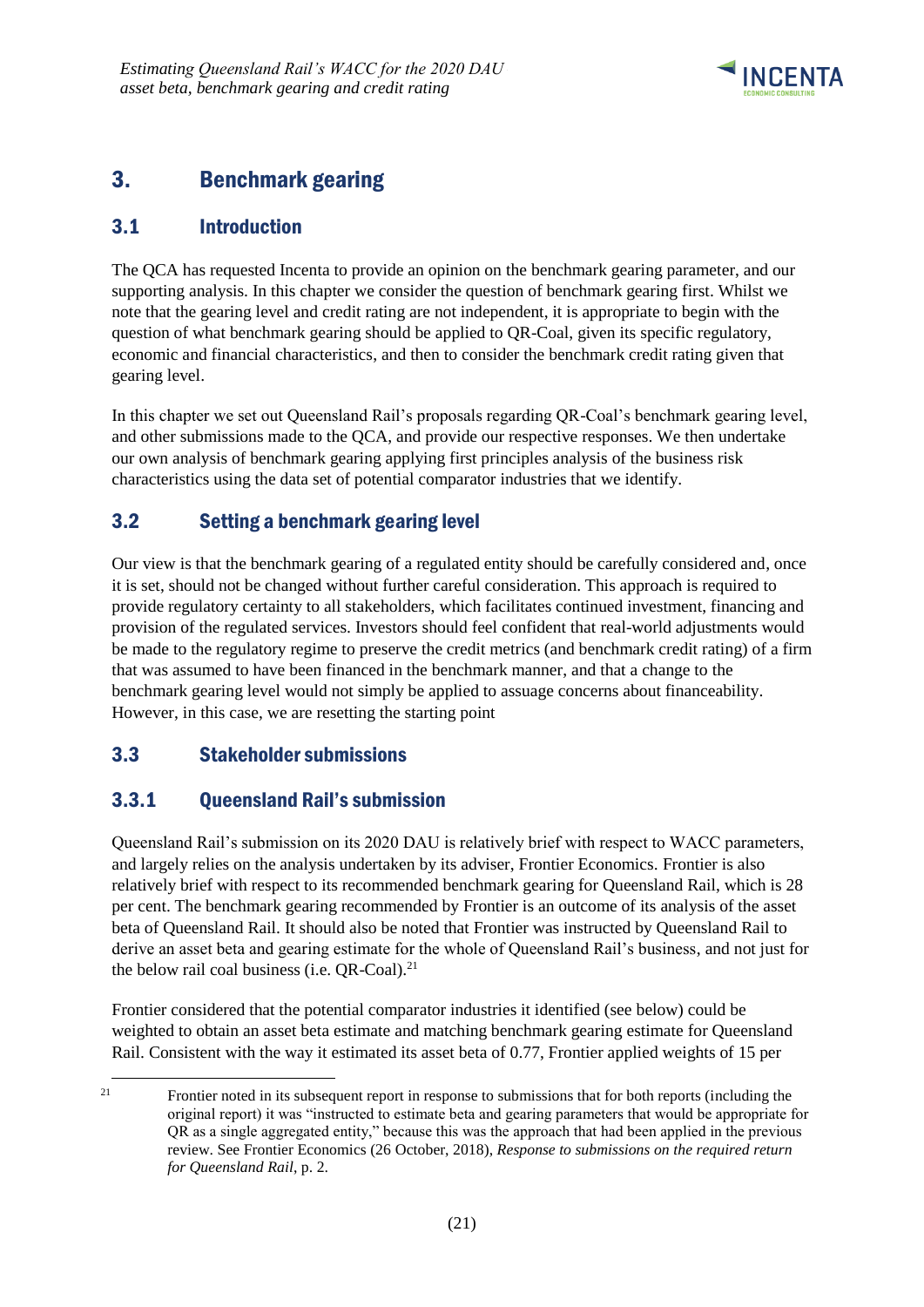

# <span id="page-24-0"></span>3. Benchmark gearing

# <span id="page-24-1"></span>3.1 Introduction

The QCA has requested Incenta to provide an opinion on the benchmark gearing parameter, and our supporting analysis. In this chapter we consider the question of benchmark gearing first. Whilst we note that the gearing level and credit rating are not independent, it is appropriate to begin with the question of what benchmark gearing should be applied to QR-Coal, given its specific regulatory, economic and financial characteristics, and then to consider the benchmark credit rating given that gearing level.

In this chapter we set out Queensland Rail's proposals regarding QR-Coal's benchmark gearing level, and other submissions made to the QCA, and provide our respective responses. We then undertake our own analysis of benchmark gearing applying first principles analysis of the business risk characteristics using the data set of potential comparator industries that we identify.

# <span id="page-24-2"></span>3.2 Setting a benchmark gearing level

Our view is that the benchmark gearing of a regulated entity should be carefully considered and, once it is set, should not be changed without further careful consideration. This approach is required to provide regulatory certainty to all stakeholders, which facilitates continued investment, financing and provision of the regulated services. Investors should feel confident that real-world adjustments would be made to the regulatory regime to preserve the credit metrics (and benchmark credit rating) of a firm that was assumed to have been financed in the benchmark manner, and that a change to the benchmark gearing level would not simply be applied to assuage concerns about financeability. However, in this case, we are resetting the starting point

# <span id="page-24-3"></span>3.3 Stakeholder submissions

-

# <span id="page-24-4"></span>3.3.1 Queensland Rail's submission

Queensland Rail's submission on its 2020 DAU is relatively brief with respect to WACC parameters, and largely relies on the analysis undertaken by its adviser, Frontier Economics. Frontier is also relatively brief with respect to its recommended benchmark gearing for Queensland Rail, which is 28 per cent. The benchmark gearing recommended by Frontier is an outcome of its analysis of the asset beta of Queensland Rail. It should also be noted that Frontier was instructed by Queensland Rail to derive an asset beta and gearing estimate for the whole of Queensland Rail's business, and not just for the below rail coal business (i.e.  $QR$ -Coal).<sup>21</sup>

Frontier considered that the potential comparator industries it identified (see below) could be weighted to obtain an asset beta estimate and matching benchmark gearing estimate for Queensland Rail. Consistent with the way it estimated its asset beta of 0.77, Frontier applied weights of 15 per

<sup>&</sup>lt;sup>21</sup> Frontier noted in its subsequent report in response to submissions that for both reports (including the original report) it was "instructed to estimate beta and gearing parameters that would be appropriate for QR as a single aggregated entity," because this was the approach that had been applied in the previous review. See Frontier Economics (26 October, 2018), *Response to submissions on the required return for Queensland Rail*, p. 2.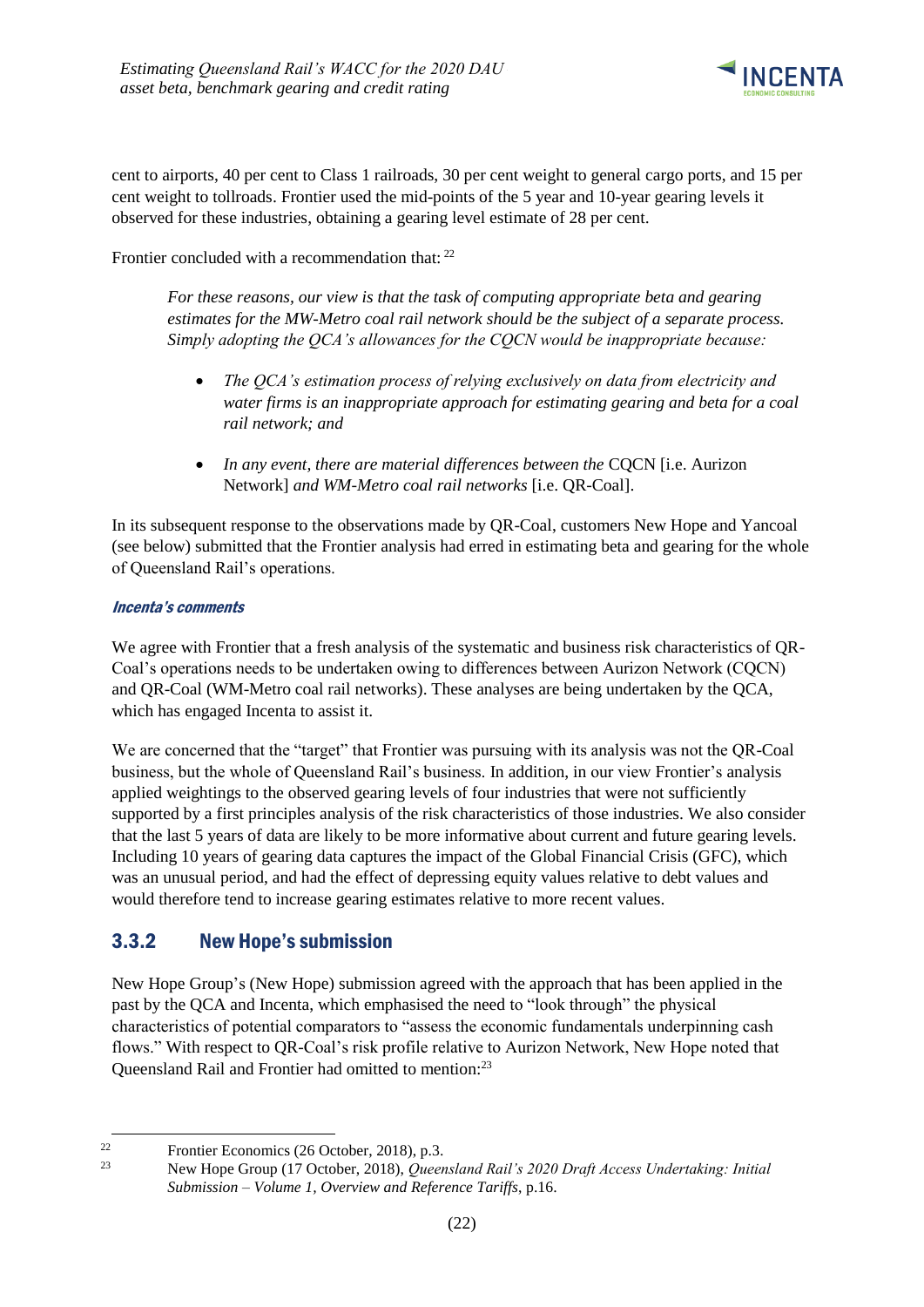

cent to airports, 40 per cent to Class 1 railroads, 30 per cent weight to general cargo ports, and 15 per cent weight to tollroads. Frontier used the mid-points of the 5 year and 10-year gearing levels it observed for these industries, obtaining a gearing level estimate of 28 per cent.

Frontier concluded with a recommendation that: <sup>22</sup>

*For these reasons, our view is that the task of computing appropriate beta and gearing estimates for the MW-Metro coal rail network should be the subject of a separate process. Simply adopting the QCA's allowances for the CQCN would be inappropriate because:* 

- *The QCA's estimation process of relying exclusively on data from electricity and water firms is an inappropriate approach for estimating gearing and beta for a coal rail network; and*
- In any event, there are material differences between the CQCN [i.e. Aurizon Network] *and WM-Metro coal rail networks* [i.e. QR-Coal].

In its subsequent response to the observations made by QR-Coal, customers New Hope and Yancoal (see below) submitted that the Frontier analysis had erred in estimating beta and gearing for the whole of Queensland Rail's operations.

### Incenta's comments

We agree with Frontier that a fresh analysis of the systematic and business risk characteristics of QR-Coal's operations needs to be undertaken owing to differences between Aurizon Network (CQCN) and QR-Coal (WM-Metro coal rail networks). These analyses are being undertaken by the QCA, which has engaged Incenta to assist it.

We are concerned that the "target" that Frontier was pursuing with its analysis was not the QR-Coal business, but the whole of Queensland Rail's business. In addition, in our view Frontier's analysis applied weightings to the observed gearing levels of four industries that were not sufficiently supported by a first principles analysis of the risk characteristics of those industries. We also consider that the last 5 years of data are likely to be more informative about current and future gearing levels. Including 10 years of gearing data captures the impact of the Global Financial Crisis (GFC), which was an unusual period, and had the effect of depressing equity values relative to debt values and would therefore tend to increase gearing estimates relative to more recent values.

### <span id="page-25-0"></span>3.3.2 New Hope's submission

New Hope Group's (New Hope) submission agreed with the approach that has been applied in the past by the QCA and Incenta, which emphasised the need to "look through" the physical characteristics of potential comparators to "assess the economic fundamentals underpinning cash flows." With respect to QR-Coal's risk profile relative to Aurizon Network, New Hope noted that Queensland Rail and Frontier had omitted to mention:<sup>23</sup>

-

<sup>&</sup>lt;sup>22</sup> Frontier Economics (26 October, 2018), p.3.<br><sup>23</sup> May Hans Group (17 October, 2018), Quant

<sup>23</sup> New Hope Group (17 October, 2018), *Queensland Rail's 2020 Draft Access Undertaking: Initial Submission – Volume 1, Overview and Reference Tariffs*, p.16.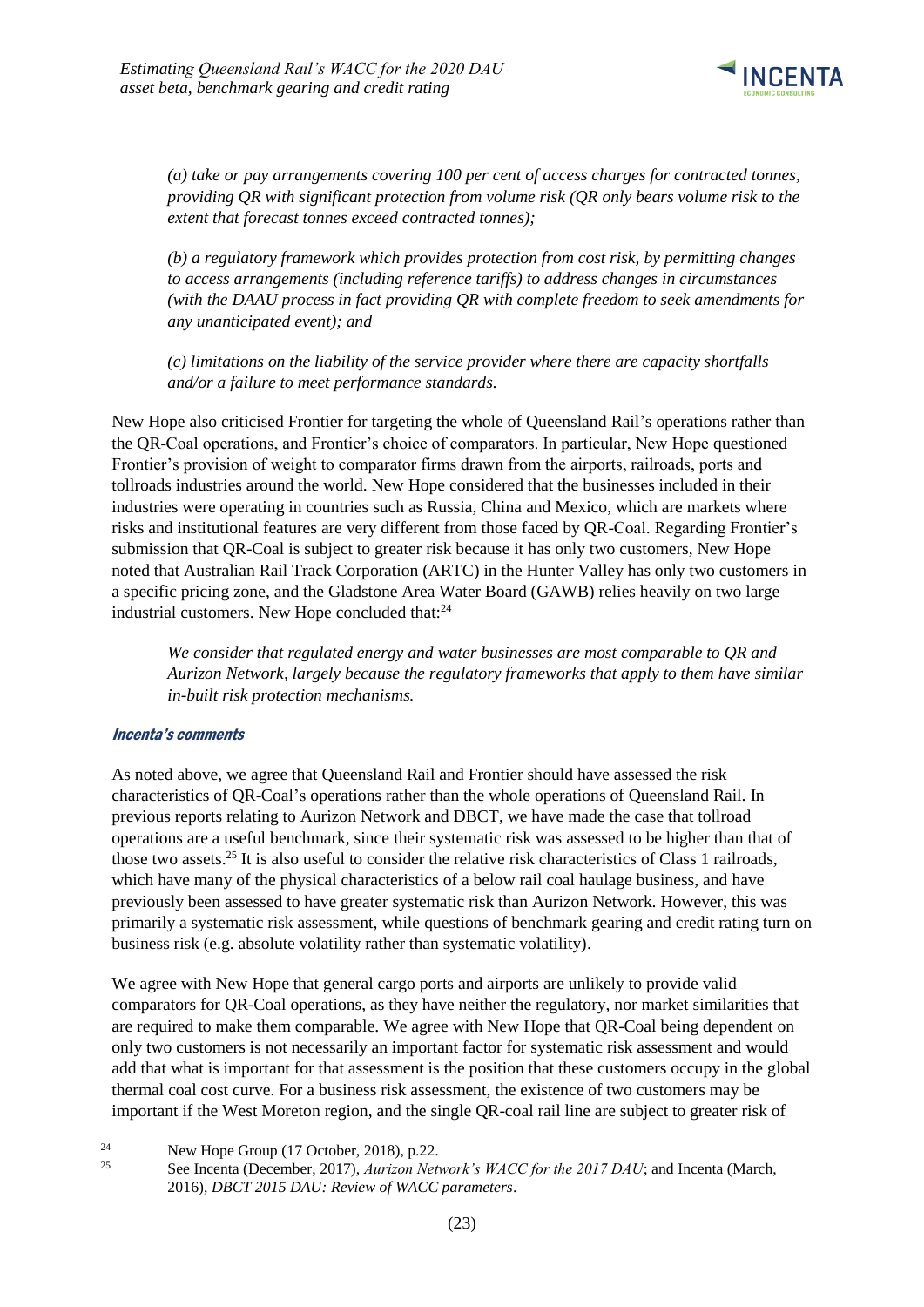

*(a) take or pay arrangements covering 100 per cent of access charges for contracted tonnes, providing QR with significant protection from volume risk (QR only bears volume risk to the extent that forecast tonnes exceed contracted tonnes);* 

*(b) a regulatory framework which provides protection from cost risk, by permitting changes to access arrangements (including reference tariffs) to address changes in circumstances (with the DAAU process in fact providing QR with complete freedom to seek amendments for any unanticipated event); and* 

*(c) limitations on the liability of the service provider where there are capacity shortfalls and/or a failure to meet performance standards.*

New Hope also criticised Frontier for targeting the whole of Queensland Rail's operations rather than the QR-Coal operations, and Frontier's choice of comparators. In particular, New Hope questioned Frontier's provision of weight to comparator firms drawn from the airports, railroads, ports and tollroads industries around the world. New Hope considered that the businesses included in their industries were operating in countries such as Russia, China and Mexico, which are markets where risks and institutional features are very different from those faced by QR-Coal. Regarding Frontier's submission that QR-Coal is subject to greater risk because it has only two customers, New Hope noted that Australian Rail Track Corporation (ARTC) in the Hunter Valley has only two customers in a specific pricing zone, and the Gladstone Area Water Board (GAWB) relies heavily on two large industrial customers. New Hope concluded that:<sup>24</sup>

*We consider that regulated energy and water businesses are most comparable to QR and Aurizon Network, largely because the regulatory frameworks that apply to them have similar in-built risk protection mechanisms.*

#### Incenta's comments

-

As noted above, we agree that Queensland Rail and Frontier should have assessed the risk characteristics of QR-Coal's operations rather than the whole operations of Queensland Rail. In previous reports relating to Aurizon Network and DBCT, we have made the case that tollroad operations are a useful benchmark, since their systematic risk was assessed to be higher than that of those two assets.<sup>25</sup> It is also useful to consider the relative risk characteristics of Class 1 railroads, which have many of the physical characteristics of a below rail coal haulage business, and have previously been assessed to have greater systematic risk than Aurizon Network. However, this was primarily a systematic risk assessment, while questions of benchmark gearing and credit rating turn on business risk (e.g. absolute volatility rather than systematic volatility).

We agree with New Hope that general cargo ports and airports are unlikely to provide valid comparators for QR-Coal operations, as they have neither the regulatory, nor market similarities that are required to make them comparable. We agree with New Hope that QR-Coal being dependent on only two customers is not necessarily an important factor for systematic risk assessment and would add that what is important for that assessment is the position that these customers occupy in the global thermal coal cost curve. For a business risk assessment, the existence of two customers may be important if the West Moreton region, and the single QR-coal rail line are subject to greater risk of

<sup>&</sup>lt;sup>24</sup> New Hope Group (17 October, 2018), p.22.<br><sup>25</sup> See Jacquete (Describer, 2017), August Mathem

<sup>25</sup> See Incenta (December, 2017), *Aurizon Network's WACC for the 2017 DAU*; and Incenta (March, 2016), *DBCT 2015 DAU: Review of WACC parameters*.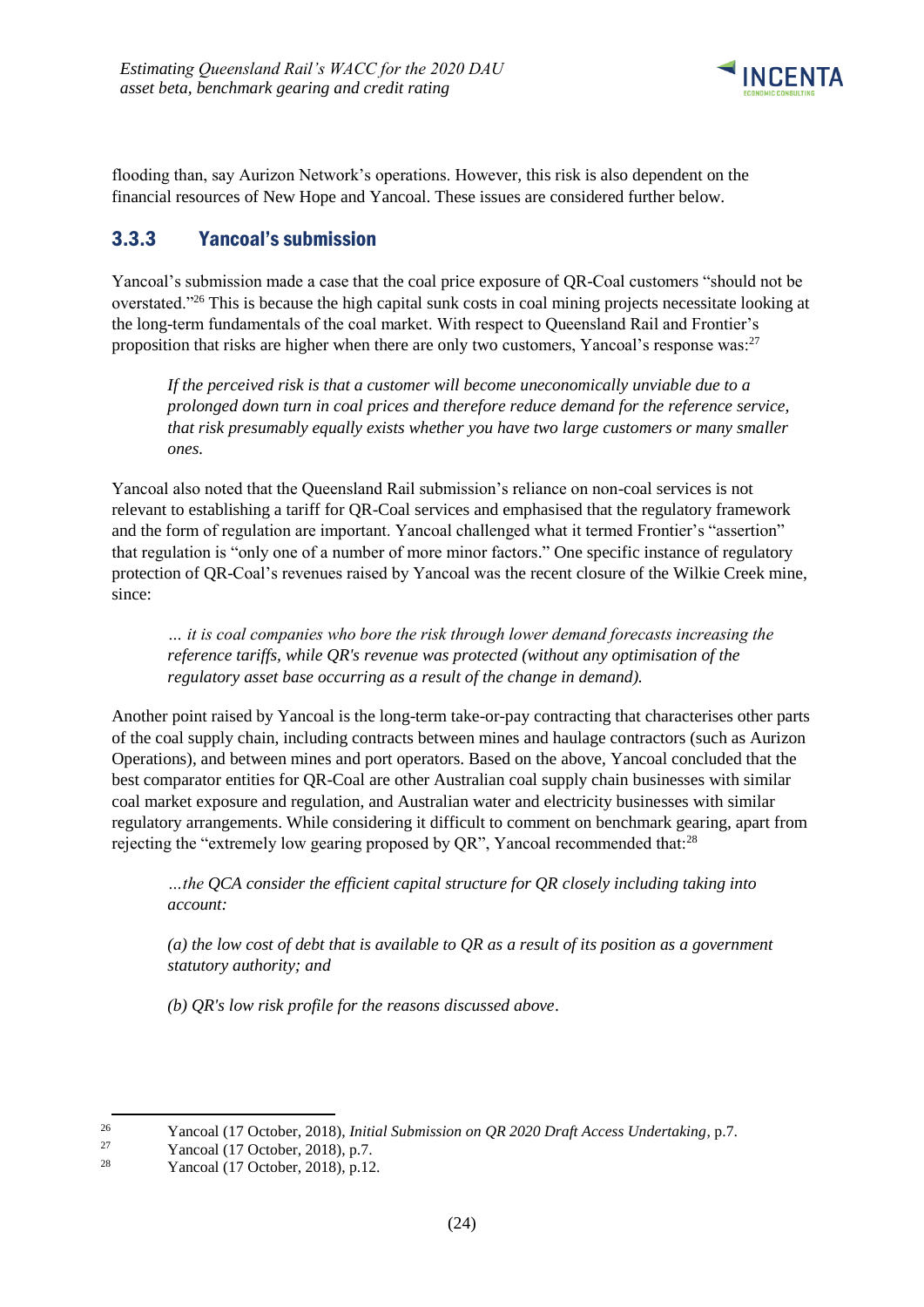

flooding than, say Aurizon Network's operations. However, this risk is also dependent on the financial resources of New Hope and Yancoal. These issues are considered further below.

# <span id="page-27-0"></span>3.3.3 Yancoal's submission

Yancoal's submission made a case that the coal price exposure of QR-Coal customers "should not be overstated."<sup>26</sup> This is because the high capital sunk costs in coal mining projects necessitate looking at the long-term fundamentals of the coal market. With respect to Queensland Rail and Frontier's proposition that risks are higher when there are only two customers, Yancoal's response was:<sup>27</sup>

*If the perceived risk is that a customer will become uneconomically unviable due to a prolonged down turn in coal prices and therefore reduce demand for the reference service, that risk presumably equally exists whether you have two large customers or many smaller ones.*

Yancoal also noted that the Queensland Rail submission's reliance on non-coal services is not relevant to establishing a tariff for QR-Coal services and emphasised that the regulatory framework and the form of regulation are important. Yancoal challenged what it termed Frontier's "assertion" that regulation is "only one of a number of more minor factors." One specific instance of regulatory protection of QR-Coal's revenues raised by Yancoal was the recent closure of the Wilkie Creek mine, since:

*… it is coal companies who bore the risk through lower demand forecasts increasing the reference tariffs, while QR's revenue was protected (without any optimisation of the regulatory asset base occurring as a result of the change in demand).* 

Another point raised by Yancoal is the long-term take-or-pay contracting that characterises other parts of the coal supply chain, including contracts between mines and haulage contractors (such as Aurizon Operations), and between mines and port operators. Based on the above, Yancoal concluded that the best comparator entities for QR-Coal are other Australian coal supply chain businesses with similar coal market exposure and regulation, and Australian water and electricity businesses with similar regulatory arrangements. While considering it difficult to comment on benchmark gearing, apart from rejecting the "extremely low gearing proposed by QR", Yancoal recommended that:<sup>28</sup>

*…the QCA consider the efficient capital structure for QR closely including taking into account:* 

*(a) the low cost of debt that is available to QR as a result of its position as a government statutory authority; and* 

*(b) QR's low risk profile for the reasons discussed above*.

1

<sup>&</sup>lt;sup>26</sup> Yancoal (17 October, 2018), *Initial Submission on QR 2020 Draft Access Undertaking*, p.7.<br><sup>27</sup> Yancoal (17 October, 2018), p.7.

<sup>&</sup>lt;sup>27</sup> Yancoal (17 October, 2018), p.7.<br><sup>28</sup> Yancoal (17 October, 2018), p.12

Yancoal (17 October, 2018), p.12.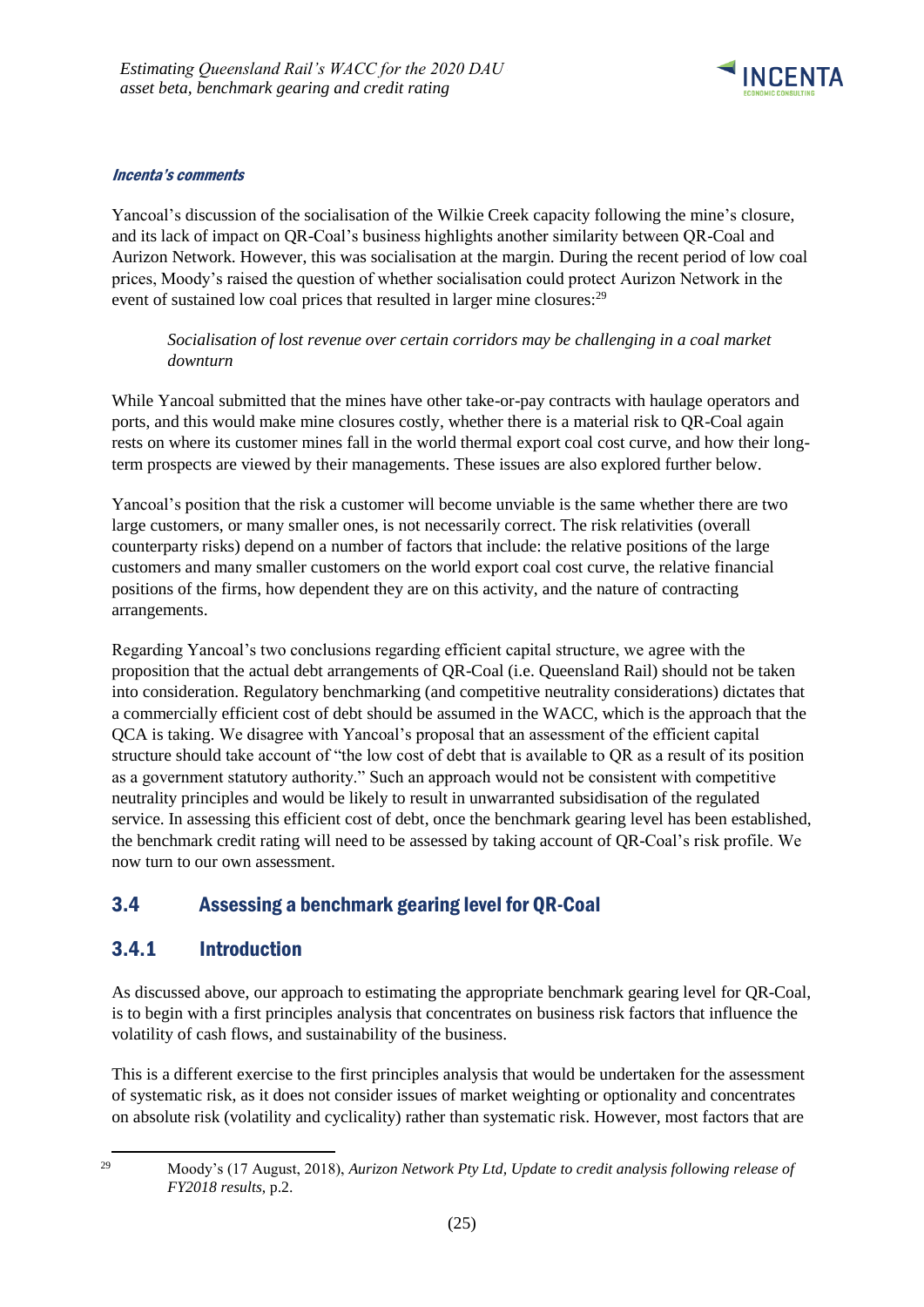

### Incenta's comments

Yancoal's discussion of the socialisation of the Wilkie Creek capacity following the mine's closure, and its lack of impact on QR-Coal's business highlights another similarity between QR-Coal and Aurizon Network. However, this was socialisation at the margin. During the recent period of low coal prices, Moody's raised the question of whether socialisation could protect Aurizon Network in the event of sustained low coal prices that resulted in larger mine closures:<sup>29</sup>

*Socialisation of lost revenue over certain corridors may be challenging in a coal market downturn*

While Yancoal submitted that the mines have other take-or-pay contracts with haulage operators and ports, and this would make mine closures costly, whether there is a material risk to QR-Coal again rests on where its customer mines fall in the world thermal export coal cost curve, and how their longterm prospects are viewed by their managements. These issues are also explored further below.

Yancoal's position that the risk a customer will become unviable is the same whether there are two large customers, or many smaller ones, is not necessarily correct. The risk relativities (overall counterparty risks) depend on a number of factors that include: the relative positions of the large customers and many smaller customers on the world export coal cost curve, the relative financial positions of the firms, how dependent they are on this activity, and the nature of contracting arrangements.

Regarding Yancoal's two conclusions regarding efficient capital structure, we agree with the proposition that the actual debt arrangements of QR-Coal (i.e. Queensland Rail) should not be taken into consideration. Regulatory benchmarking (and competitive neutrality considerations) dictates that a commercially efficient cost of debt should be assumed in the WACC, which is the approach that the QCA is taking. We disagree with Yancoal's proposal that an assessment of the efficient capital structure should take account of "the low cost of debt that is available to QR as a result of its position as a government statutory authority." Such an approach would not be consistent with competitive neutrality principles and would be likely to result in unwarranted subsidisation of the regulated service. In assessing this efficient cost of debt, once the benchmark gearing level has been established, the benchmark credit rating will need to be assessed by taking account of QR-Coal's risk profile. We now turn to our own assessment.

# <span id="page-28-0"></span>3.4 Assessing a benchmark gearing level for QR-Coal

# <span id="page-28-1"></span>3.4.1 Introduction

As discussed above, our approach to estimating the appropriate benchmark gearing level for QR-Coal, is to begin with a first principles analysis that concentrates on business risk factors that influence the volatility of cash flows, and sustainability of the business.

This is a different exercise to the first principles analysis that would be undertaken for the assessment of systematic risk, as it does not consider issues of market weighting or optionality and concentrates on absolute risk (volatility and cyclicality) rather than systematic risk. However, most factors that are

-

<sup>29</sup> Moody's (17 August, 2018), *Aurizon Network Pty Ltd, Update to credit analysis following release of FY2018 results*, p.2.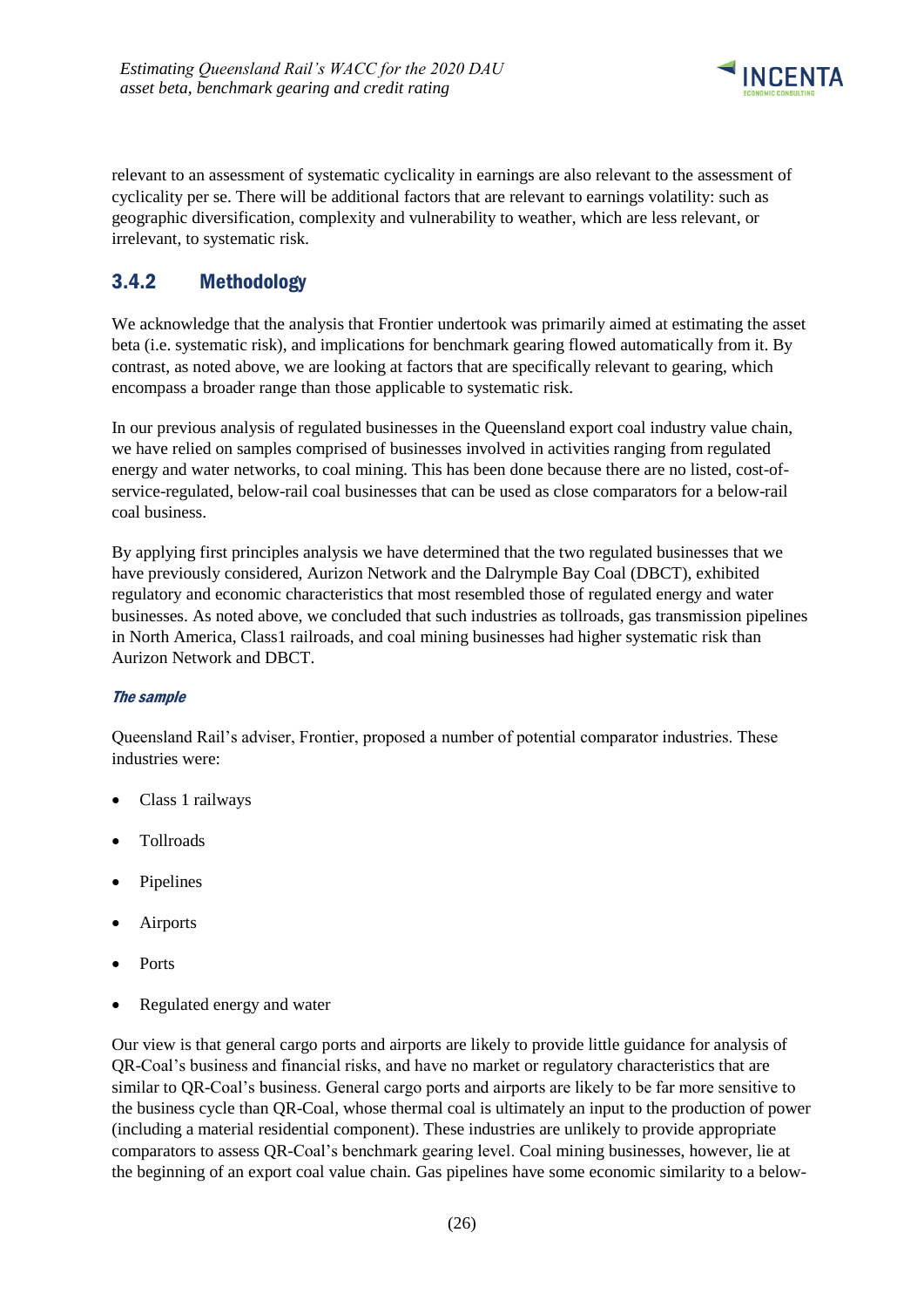

relevant to an assessment of systematic cyclicality in earnings are also relevant to the assessment of cyclicality per se. There will be additional factors that are relevant to earnings volatility: such as geographic diversification, complexity and vulnerability to weather, which are less relevant, or irrelevant, to systematic risk.

# <span id="page-29-0"></span>3.4.2 Methodology

We acknowledge that the analysis that Frontier undertook was primarily aimed at estimating the asset beta (i.e. systematic risk), and implications for benchmark gearing flowed automatically from it. By contrast, as noted above, we are looking at factors that are specifically relevant to gearing, which encompass a broader range than those applicable to systematic risk.

In our previous analysis of regulated businesses in the Queensland export coal industry value chain, we have relied on samples comprised of businesses involved in activities ranging from regulated energy and water networks, to coal mining. This has been done because there are no listed, cost-ofservice-regulated, below-rail coal businesses that can be used as close comparators for a below-rail coal business.

By applying first principles analysis we have determined that the two regulated businesses that we have previously considered, Aurizon Network and the Dalrymple Bay Coal (DBCT), exhibited regulatory and economic characteristics that most resembled those of regulated energy and water businesses. As noted above, we concluded that such industries as tollroads, gas transmission pipelines in North America, Class1 railroads, and coal mining businesses had higher systematic risk than Aurizon Network and DBCT.

### The sample

Queensland Rail's adviser, Frontier, proposed a number of potential comparator industries. These industries were:

- Class 1 railways
- Tollroads
- **Pipelines**
- **Airports**
- Ports
- Regulated energy and water

Our view is that general cargo ports and airports are likely to provide little guidance for analysis of QR-Coal's business and financial risks, and have no market or regulatory characteristics that are similar to QR-Coal's business. General cargo ports and airports are likely to be far more sensitive to the business cycle than QR-Coal, whose thermal coal is ultimately an input to the production of power (including a material residential component). These industries are unlikely to provide appropriate comparators to assess QR-Coal's benchmark gearing level. Coal mining businesses, however, lie at the beginning of an export coal value chain. Gas pipelines have some economic similarity to a below-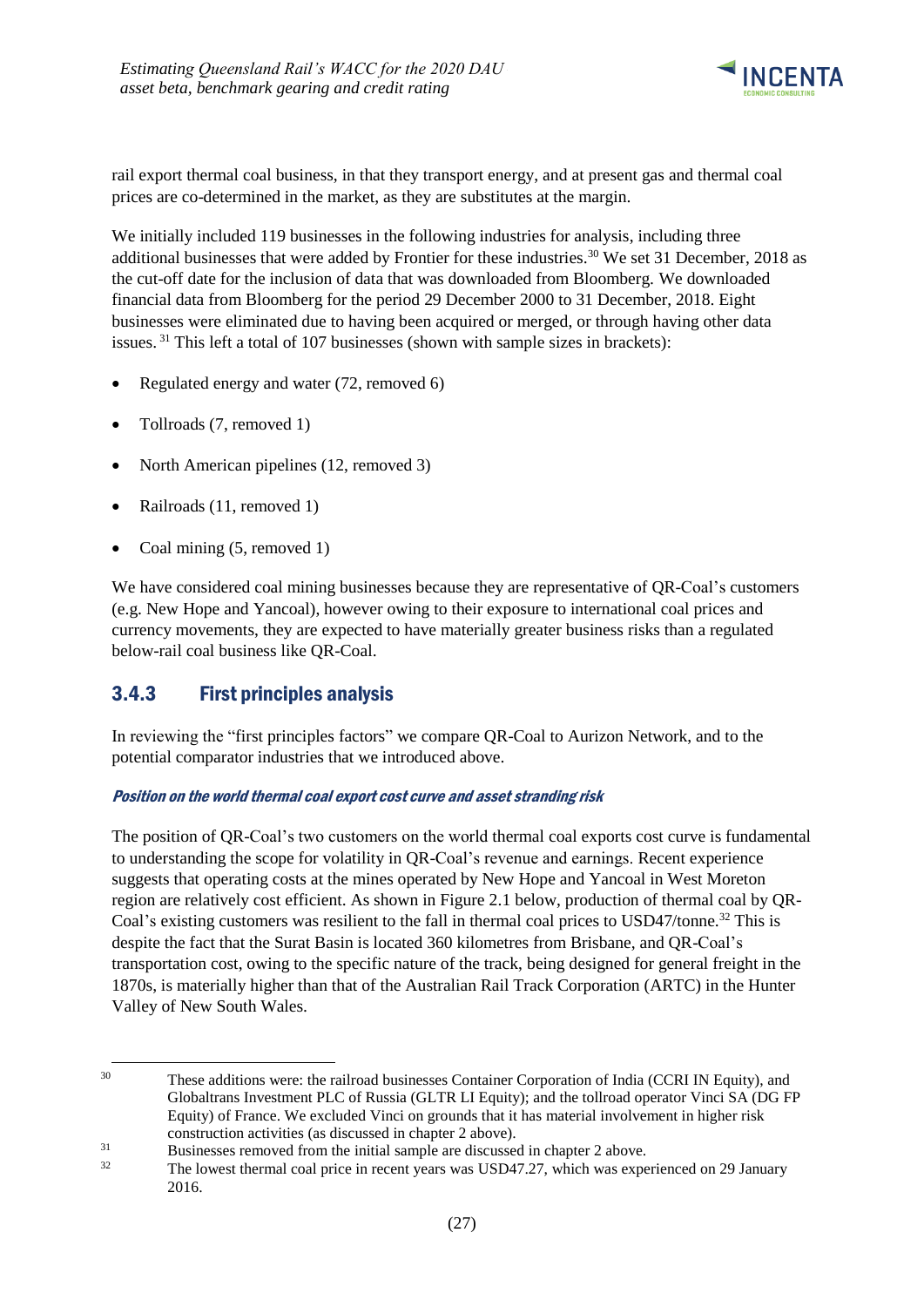

rail export thermal coal business, in that they transport energy, and at present gas and thermal coal prices are co-determined in the market, as they are substitutes at the margin.

We initially included 119 businesses in the following industries for analysis, including three additional businesses that were added by Frontier for these industries.<sup>30</sup> We set 31 December, 2018 as the cut-off date for the inclusion of data that was downloaded from Bloomberg. We downloaded financial data from Bloomberg for the period 29 December 2000 to 31 December, 2018. Eight businesses were eliminated due to having been acquired or merged, or through having other data issues. <sup>31</sup> This left a total of 107 businesses (shown with sample sizes in brackets):

- Regulated energy and water (72, removed 6)
- Tollroads (7, removed 1)
- North American pipelines (12, removed 3)
- Railroads (11, removed 1)
- Coal mining  $(5,$  removed 1)

1

We have considered coal mining businesses because they are representative of QR-Coal's customers (e.g. New Hope and Yancoal), however owing to their exposure to international coal prices and currency movements, they are expected to have materially greater business risks than a regulated below-rail coal business like QR-Coal.

### <span id="page-30-0"></span>3.4.3 First principles analysis

In reviewing the "first principles factors" we compare QR-Coal to Aurizon Network, and to the potential comparator industries that we introduced above.

#### Position on the world thermal coal export cost curve and asset stranding risk

The position of QR-Coal's two customers on the world thermal coal exports cost curve is fundamental to understanding the scope for volatility in QR-Coal's revenue and earnings. Recent experience suggests that operating costs at the mines operated by New Hope and Yancoal in West Moreton region are relatively cost efficient. As shown in Figure 2.1 below, production of thermal coal by QR-Coal's existing customers was resilient to the fall in thermal coal prices to USD47/tonne.<sup>32</sup> This is despite the fact that the Surat Basin is located 360 kilometres from Brisbane, and QR-Coal's transportation cost, owing to the specific nature of the track, being designed for general freight in the 1870s, is materially higher than that of the Australian Rail Track Corporation (ARTC) in the Hunter Valley of New South Wales.

<sup>30</sup> These additions were: the railroad businesses Container Corporation of India (CCRI IN Equity), and Globaltrans Investment PLC of Russia (GLTR LI Equity); and the tollroad operator Vinci SA (DG FP Equity) of France. We excluded Vinci on grounds that it has material involvement in higher risk construction activities (as discussed in chapter 2 above).

 $31$  Businesses removed from the initial sample are discussed in chapter 2 above.

The lowest thermal coal price in recent years was USD47.27, which was experienced on 29 January 2016.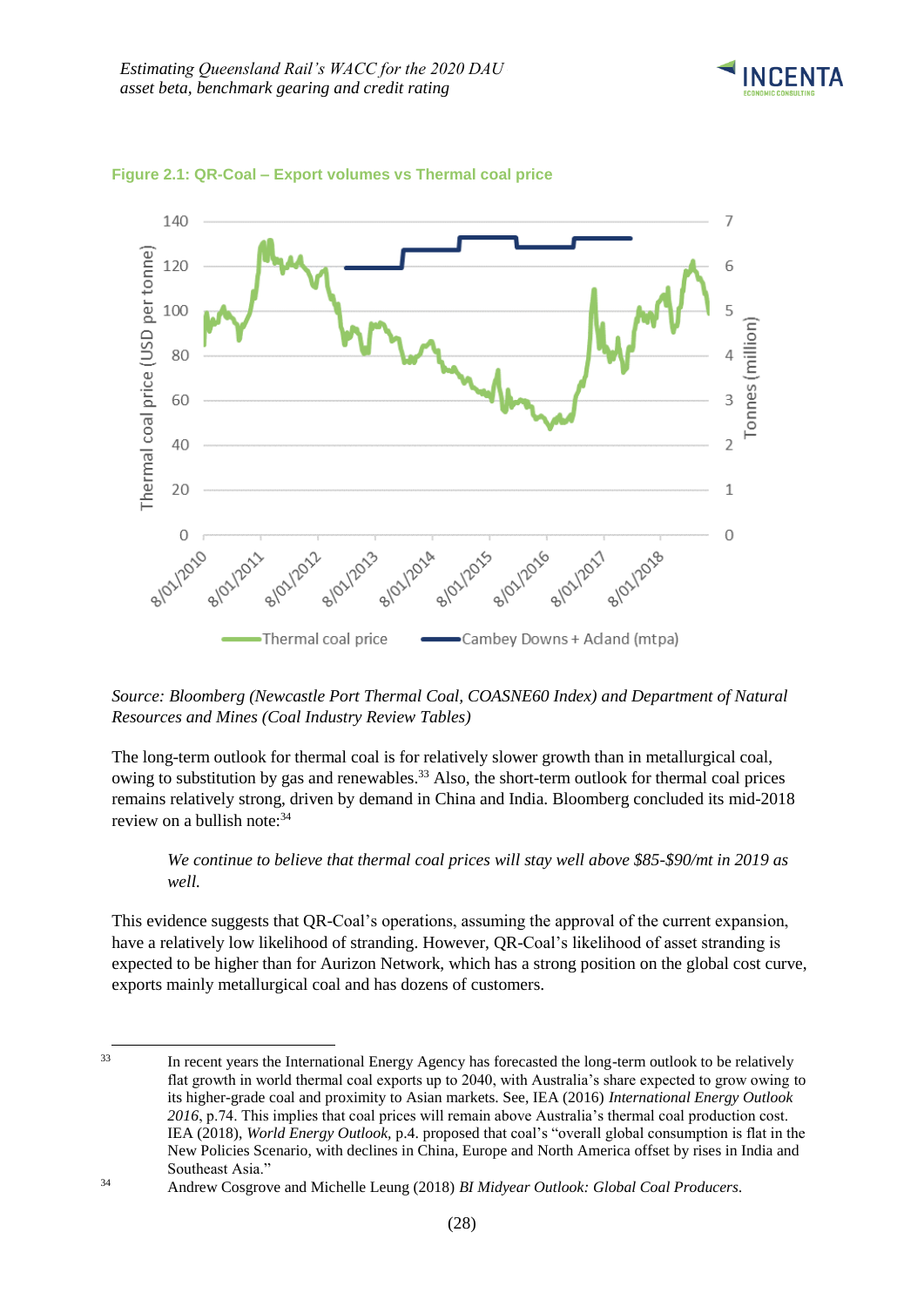



#### **Figure 2.1: QR-Coal – Export volumes vs Thermal coal price**

*Source: Bloomberg (Newcastle Port Thermal Coal, COASNE60 Index) and Department of Natural Resources and Mines (Coal Industry Review Tables)*

The long-term outlook for thermal coal is for relatively slower growth than in metallurgical coal, owing to substitution by gas and renewables.<sup>33</sup> Also, the short-term outlook for thermal coal prices remains relatively strong, driven by demand in China and India. Bloomberg concluded its mid-2018 review on a bullish note: 34

*We continue to believe that thermal coal prices will stay well above \$85-\$90/mt in 2019 as well.*

This evidence suggests that QR-Coal's operations, assuming the approval of the current expansion, have a relatively low likelihood of stranding. However, QR-Coal's likelihood of asset stranding is expected to be higher than for Aurizon Network, which has a strong position on the global cost curve, exports mainly metallurgical coal and has dozens of customers.

<sup>33</sup> In recent years the International Energy Agency has forecasted the long-term outlook to be relatively flat growth in world thermal coal exports up to 2040, with Australia's share expected to grow owing to its higher-grade coal and proximity to Asian markets. See, IEA (2016) *International Energy Outlook 2016*, p.74. This implies that coal prices will remain above Australia's thermal coal production cost. IEA (2018), *World Energy Outlook,* p.4. proposed that coal's "overall global consumption is flat in the New Policies Scenario, with declines in China, Europe and North America offset by rises in India and Southeast Asia."

-

<sup>34</sup> Andrew Cosgrove and Michelle Leung (2018) *BI Midyear Outlook: Global Coal Producers.*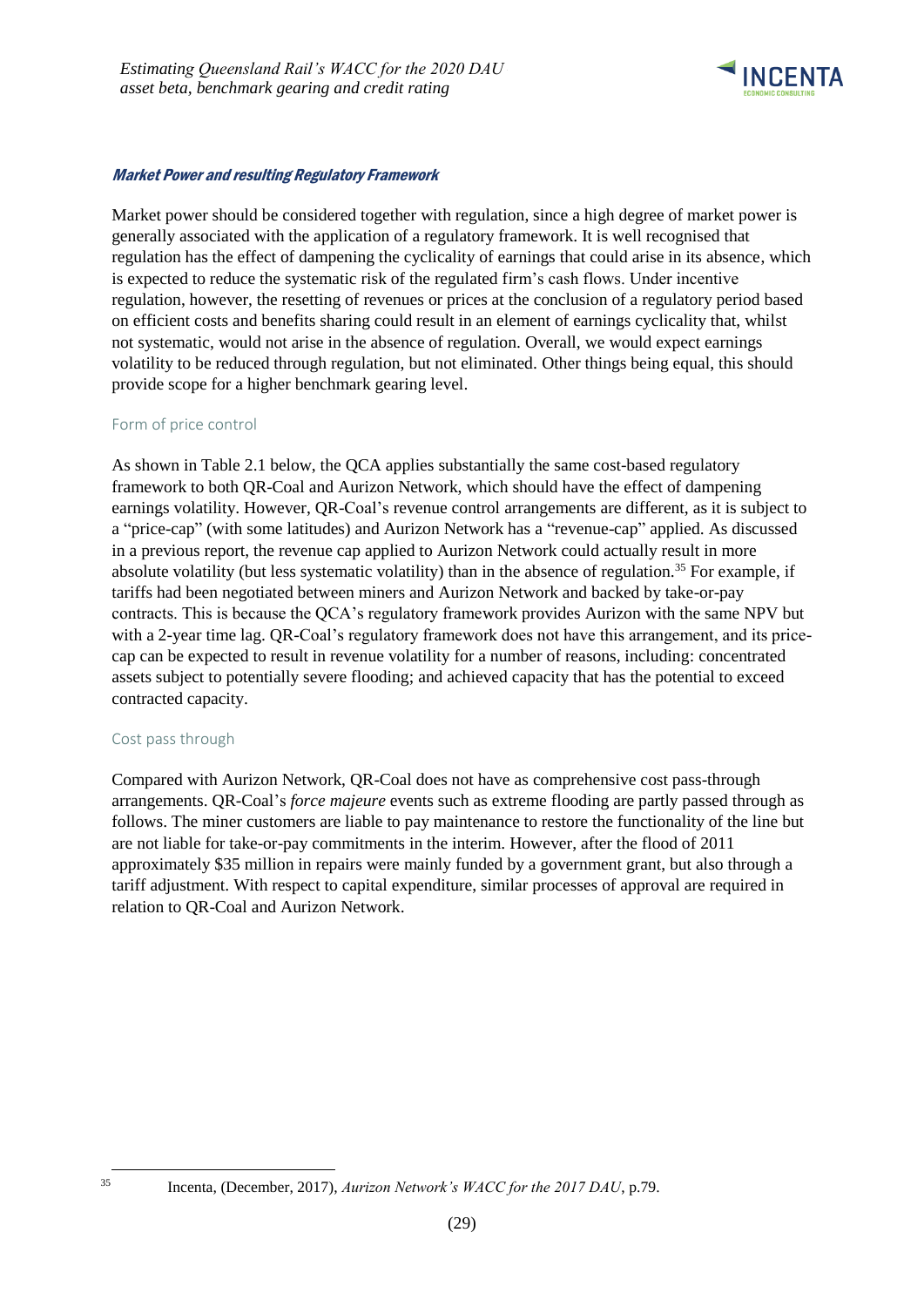

### Market Power and resulting Regulatory Framework

Market power should be considered together with regulation, since a high degree of market power is generally associated with the application of a regulatory framework. It is well recognised that regulation has the effect of dampening the cyclicality of earnings that could arise in its absence, which is expected to reduce the systematic risk of the regulated firm's cash flows. Under incentive regulation, however, the resetting of revenues or prices at the conclusion of a regulatory period based on efficient costs and benefits sharing could result in an element of earnings cyclicality that, whilst not systematic, would not arise in the absence of regulation. Overall, we would expect earnings volatility to be reduced through regulation, but not eliminated. Other things being equal, this should provide scope for a higher benchmark gearing level.

#### Form of price control

As shown in Table 2.1 below, the QCA applies substantially the same cost-based regulatory framework to both QR-Coal and Aurizon Network, which should have the effect of dampening earnings volatility. However, QR-Coal's revenue control arrangements are different, as it is subject to a "price-cap" (with some latitudes) and Aurizon Network has a "revenue-cap" applied. As discussed in a previous report, the revenue cap applied to Aurizon Network could actually result in more absolute volatility (but less systematic volatility) than in the absence of regulation.<sup>35</sup> For example, if tariffs had been negotiated between miners and Aurizon Network and backed by take-or-pay contracts. This is because the QCA's regulatory framework provides Aurizon with the same NPV but with a 2-year time lag. QR-Coal's regulatory framework does not have this arrangement, and its pricecap can be expected to result in revenue volatility for a number of reasons, including: concentrated assets subject to potentially severe flooding; and achieved capacity that has the potential to exceed contracted capacity.

#### Cost pass through

Compared with Aurizon Network, QR-Coal does not have as comprehensive cost pass-through arrangements. QR-Coal's *force majeure* events such as extreme flooding are partly passed through as follows. The miner customers are liable to pay maintenance to restore the functionality of the line but are not liable for take-or-pay commitments in the interim. However, after the flood of 2011 approximately \$35 million in repairs were mainly funded by a government grant, but also through a tariff adjustment. With respect to capital expenditure, similar processes of approval are required in relation to QR-Coal and Aurizon Network.

1

<sup>35</sup> Incenta, (December, 2017), *Aurizon Network's WACC for the 2017 DAU*, p.79.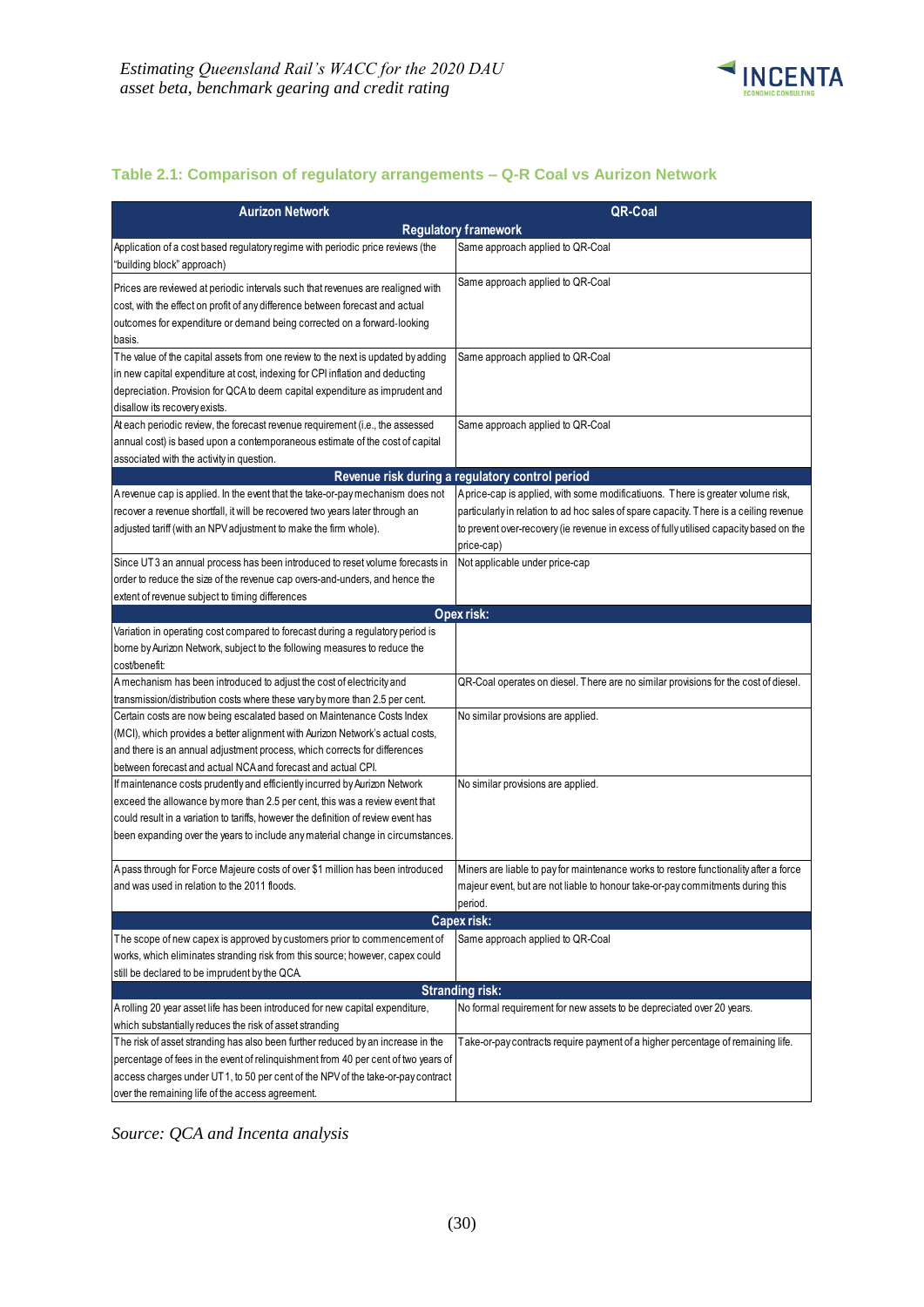

### **Table 2.1: Comparison of regulatory arrangements – Q-R Coal vs Aurizon Network**

| <b>Aurizon Network</b>                                                                                                                                                                                                                                                                                                                                                                            | QR-Coal                                                                                                                                                                                                                                                                                                             |
|---------------------------------------------------------------------------------------------------------------------------------------------------------------------------------------------------------------------------------------------------------------------------------------------------------------------------------------------------------------------------------------------------|---------------------------------------------------------------------------------------------------------------------------------------------------------------------------------------------------------------------------------------------------------------------------------------------------------------------|
|                                                                                                                                                                                                                                                                                                                                                                                                   | <b>Regulatory framework</b>                                                                                                                                                                                                                                                                                         |
| Application of a cost based regulatory regime with periodic price reviews (the<br>"building block" approach)                                                                                                                                                                                                                                                                                      | Same approach applied to QR-Coal                                                                                                                                                                                                                                                                                    |
| Prices are reviewed at periodic intervals such that revenues are realigned with<br>cost, with the effect on profit of any difference between forecast and actual<br>outcomes for expenditure or demand being corrected on a forward-looking<br>basis.                                                                                                                                             | Same approach applied to QR-Coal                                                                                                                                                                                                                                                                                    |
| The value of the capital assets from one review to the next is updated by adding<br>in new capital expenditure at cost, indexing for CPI inflation and deducting<br>depreciation. Provision for QCA to deem capital expenditure as imprudent and<br>disallow its recovery exists.                                                                                                                 | Same approach applied to QR-Coal                                                                                                                                                                                                                                                                                    |
| At each periodic review, the forecast revenue requirement (i.e., the assessed<br>annual cost) is based upon a contemporaneous estimate of the cost of capital<br>associated with the activity in question.                                                                                                                                                                                        | Same approach applied to QR-Coal                                                                                                                                                                                                                                                                                    |
|                                                                                                                                                                                                                                                                                                                                                                                                   | Revenue risk during a regulatory control period                                                                                                                                                                                                                                                                     |
| A revenue cap is applied. In the event that the take-or-pay mechanism does not<br>recover a revenue shortfall, it will be recovered two years later through an<br>adjusted tariff (with an NPV adjustment to make the firm whole).<br>Since UT3 an annual process has been introduced to reset volume forecasts in<br>order to reduce the size of the revenue cap overs-and-unders, and hence the | A price-cap is applied, with some modificatiuons. There is greater volume risk,<br>particularly in relation to ad hoc sales of spare capacity. There is a ceiling revenue<br>to prevent over-recovery (ie revenue in excess of fully utilised capacity based on the<br>price-cap)<br>Not applicable under price-cap |
| extent of revenue subject to timing differences                                                                                                                                                                                                                                                                                                                                                   |                                                                                                                                                                                                                                                                                                                     |
|                                                                                                                                                                                                                                                                                                                                                                                                   | Opex risk:                                                                                                                                                                                                                                                                                                          |
| Variation in operating cost compared to forecast during a regulatory period is<br>borne by Aurizon Network, subject to the following measures to reduce the<br>cost/benefit:                                                                                                                                                                                                                      |                                                                                                                                                                                                                                                                                                                     |
| Amechanism has been introduced to adjust the cost of electricity and<br>transmission/distribution costs where these vary by more than 2.5 per cent.                                                                                                                                                                                                                                               | QR-Coal operates on diesel. There are no similar provisions for the cost of diesel.                                                                                                                                                                                                                                 |
| Certain costs are now being escalated based on Maintenance Costs Index<br>(MCI), which provides a better alignment with Aurizon Network's actual costs,<br>and there is an annual adjustment process, which corrects for differences<br>between forecast and actual NCA and forecast and actual CPI.                                                                                              | No similar provisions are applied.                                                                                                                                                                                                                                                                                  |
| If maintenance costs prudently and efficiently incurred by Aurizon Network<br>exceed the allowance by more than 2.5 per cent, this was a review event that<br>could result in a variation to tariffs, however the definition of review event has<br>been expanding over the years to include any material change in circumstances.                                                                | No similar provisions are applied.                                                                                                                                                                                                                                                                                  |
| Apass through for Force Majeure costs of over \$1 million has been introduced<br>and was used in relation to the 2011 floods.                                                                                                                                                                                                                                                                     | Miners are liable to pay for maintenance works to restore functionality after a force<br>majeur event, but are not liable to honour take-or-pay commitments during this<br>period.                                                                                                                                  |
|                                                                                                                                                                                                                                                                                                                                                                                                   | Capex risk:                                                                                                                                                                                                                                                                                                         |
| The scope of new capex is approved by customers prior to commencement of<br>works, which eliminates stranding risk from this source; however, capex could<br>still be declared to be imprudent by the QCA.                                                                                                                                                                                        | Same approach applied to QR-Coal                                                                                                                                                                                                                                                                                    |
|                                                                                                                                                                                                                                                                                                                                                                                                   | <b>Stranding risk:</b>                                                                                                                                                                                                                                                                                              |
| Arolling 20 year asset life has been introduced for new capital expenditure,<br>which substantially reduces the risk of asset stranding<br>The risk of asset stranding has also been further reduced by an increase in the                                                                                                                                                                        | No formal requirement for new assets to be depreciated over 20 years.<br>Take-or-pay contracts require payment of a higher percentage of remaining life.                                                                                                                                                            |
| percentage of fees in the event of relinquishment from 40 per cent of two years of<br>access charges under UT1, to 50 per cent of the NPV of the take-or-pay contract<br>over the remaining life of the access agreement.                                                                                                                                                                         |                                                                                                                                                                                                                                                                                                                     |

*Source: QCA and Incenta analysis*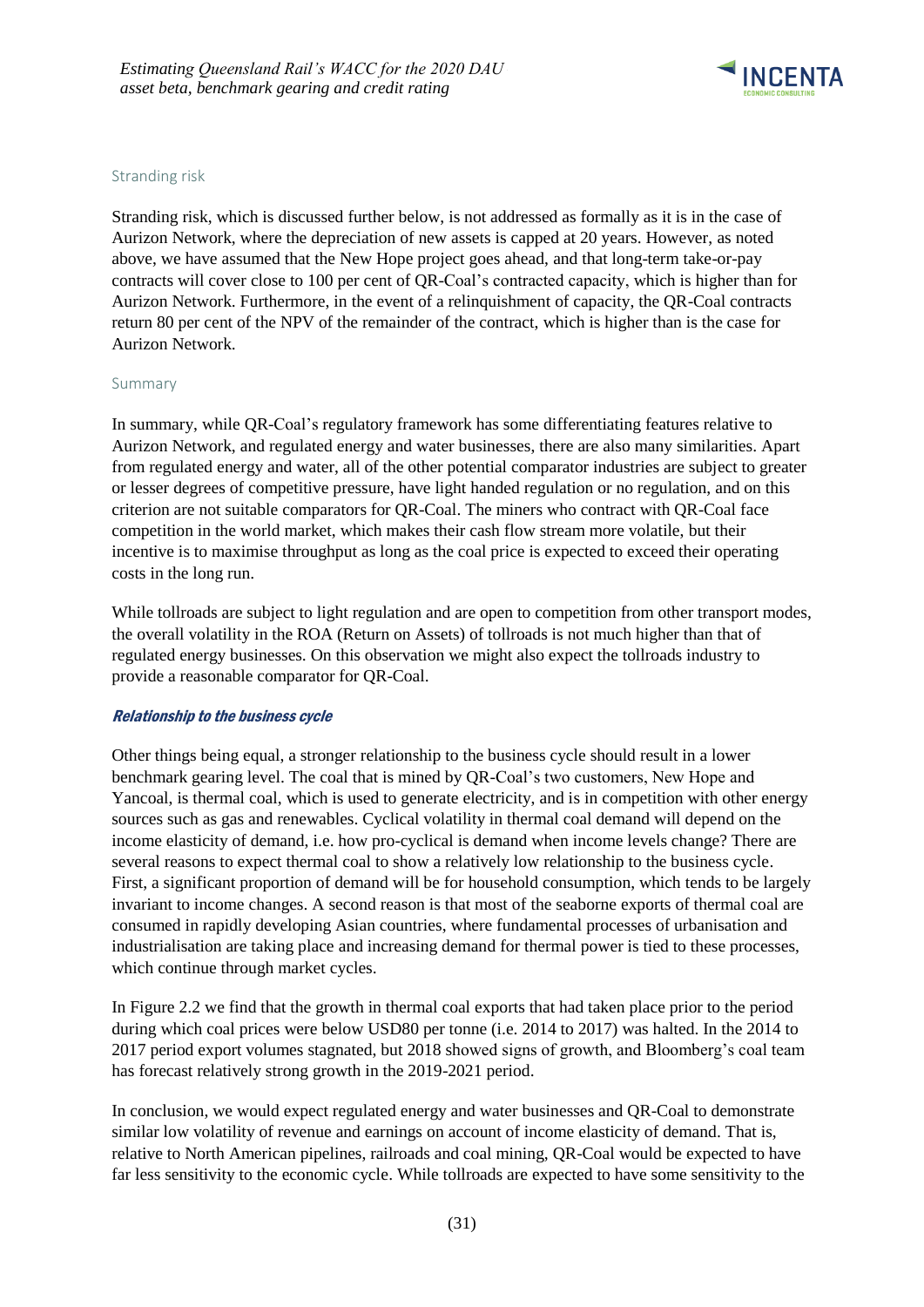

#### Stranding risk

Stranding risk, which is discussed further below, is not addressed as formally as it is in the case of Aurizon Network, where the depreciation of new assets is capped at 20 years. However, as noted above, we have assumed that the New Hope project goes ahead, and that long-term take-or-pay contracts will cover close to 100 per cent of QR-Coal's contracted capacity, which is higher than for Aurizon Network. Furthermore, in the event of a relinquishment of capacity, the QR-Coal contracts return 80 per cent of the NPV of the remainder of the contract, which is higher than is the case for Aurizon Network.

#### Summary

In summary, while QR-Coal's regulatory framework has some differentiating features relative to Aurizon Network, and regulated energy and water businesses, there are also many similarities. Apart from regulated energy and water, all of the other potential comparator industries are subject to greater or lesser degrees of competitive pressure, have light handed regulation or no regulation, and on this criterion are not suitable comparators for QR-Coal. The miners who contract with QR-Coal face competition in the world market, which makes their cash flow stream more volatile, but their incentive is to maximise throughput as long as the coal price is expected to exceed their operating costs in the long run.

While tollroads are subject to light regulation and are open to competition from other transport modes, the overall volatility in the ROA (Return on Assets) of tollroads is not much higher than that of regulated energy businesses. On this observation we might also expect the tollroads industry to provide a reasonable comparator for QR-Coal.

#### Relationship to the business cycle

Other things being equal, a stronger relationship to the business cycle should result in a lower benchmark gearing level. The coal that is mined by QR-Coal's two customers, New Hope and Yancoal, is thermal coal, which is used to generate electricity, and is in competition with other energy sources such as gas and renewables. Cyclical volatility in thermal coal demand will depend on the income elasticity of demand, i.e. how pro-cyclical is demand when income levels change? There are several reasons to expect thermal coal to show a relatively low relationship to the business cycle. First, a significant proportion of demand will be for household consumption, which tends to be largely invariant to income changes. A second reason is that most of the seaborne exports of thermal coal are consumed in rapidly developing Asian countries, where fundamental processes of urbanisation and industrialisation are taking place and increasing demand for thermal power is tied to these processes, which continue through market cycles.

In Figure 2.2 we find that the growth in thermal coal exports that had taken place prior to the period during which coal prices were below USD80 per tonne (i.e. 2014 to 2017) was halted. In the 2014 to 2017 period export volumes stagnated, but 2018 showed signs of growth, and Bloomberg's coal team has forecast relatively strong growth in the 2019-2021 period.

In conclusion, we would expect regulated energy and water businesses and QR-Coal to demonstrate similar low volatility of revenue and earnings on account of income elasticity of demand. That is, relative to North American pipelines, railroads and coal mining, QR-Coal would be expected to have far less sensitivity to the economic cycle. While tollroads are expected to have some sensitivity to the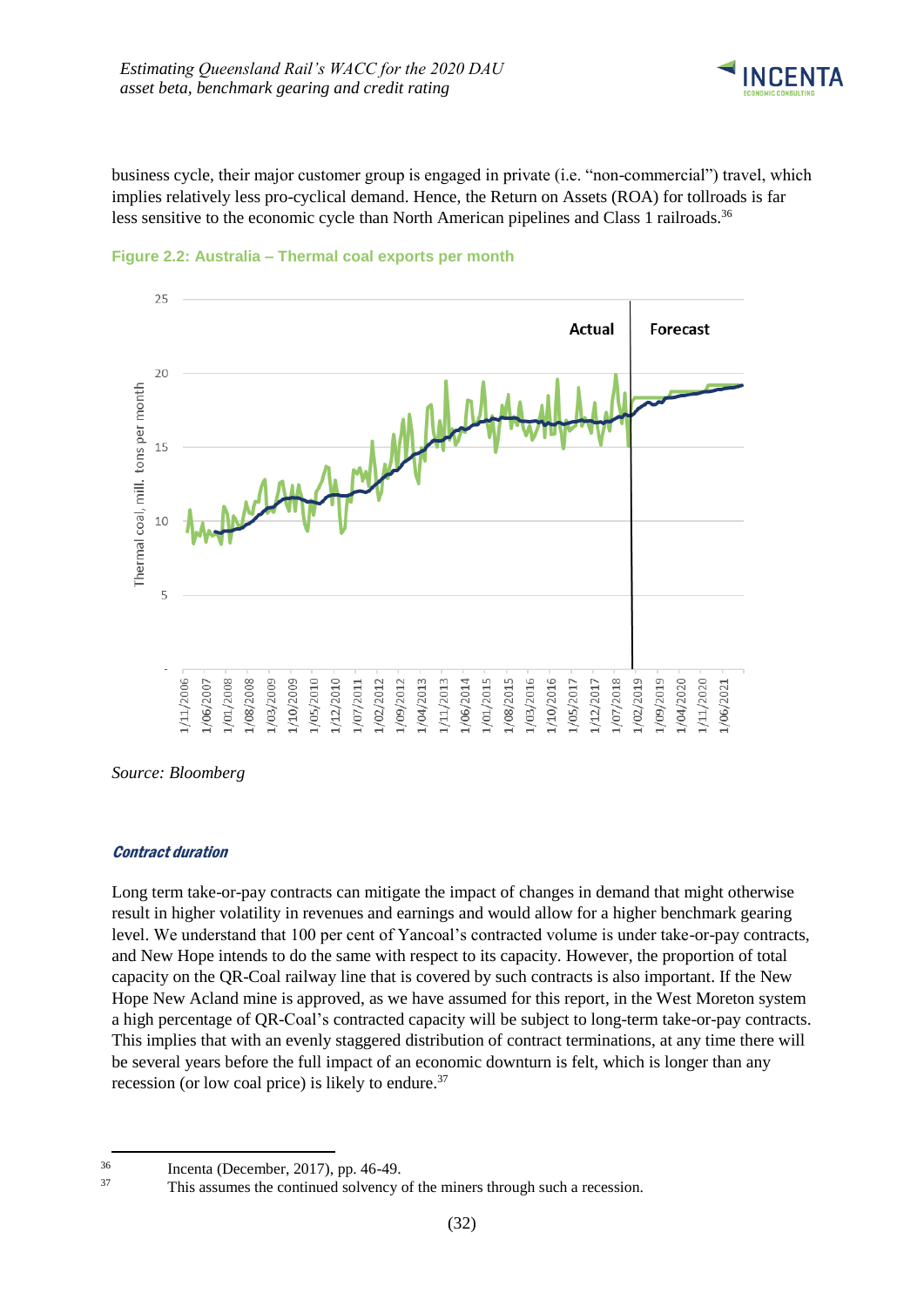

business cycle, their major customer group is engaged in private (i.e. "non-commercial") travel, which implies relatively less pro-cyclical demand. Hence, the Return on Assets (ROA) for tollroads is far less sensitive to the economic cycle than North American pipelines and Class 1 railroads.<sup>36</sup>





#### *Source: Bloomberg*

#### Contract duration

-

Long term take-or-pay contracts can mitigate the impact of changes in demand that might otherwise result in higher volatility in revenues and earnings and would allow for a higher benchmark gearing level. We understand that 100 per cent of Yancoal's contracted volume is under take-or-pay contracts, and New Hope intends to do the same with respect to its capacity. However, the proportion of total capacity on the QR-Coal railway line that is covered by such contracts is also important. If the New Hope New Acland mine is approved, as we have assumed for this report, in the West Moreton system a high percentage of QR-Coal's contracted capacity will be subject to long-term take-or-pay contracts. This implies that with an evenly staggered distribution of contract terminations, at any time there will be several years before the full impact of an economic downturn is felt, which is longer than any recession (or low coal price) is likely to endure.<sup>37</sup>

 $\frac{36}{37}$  Incenta (December, 2017), pp. 46-49.<br>This assumes the continued solvency

This assumes the continued solvency of the miners through such a recession.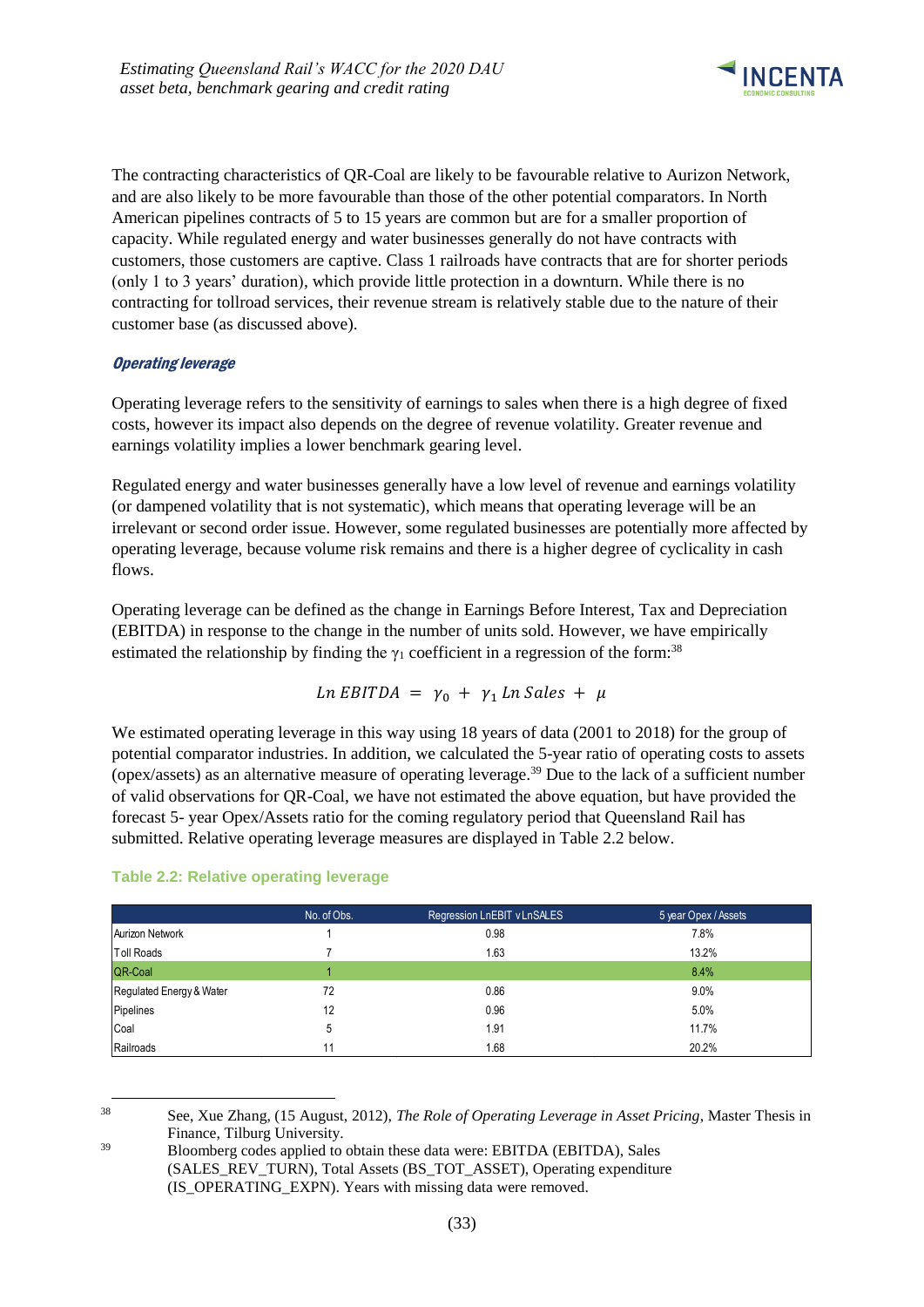

The contracting characteristics of QR-Coal are likely to be favourable relative to Aurizon Network, and are also likely to be more favourable than those of the other potential comparators. In North American pipelines contracts of 5 to 15 years are common but are for a smaller proportion of capacity. While regulated energy and water businesses generally do not have contracts with customers, those customers are captive. Class 1 railroads have contracts that are for shorter periods (only 1 to 3 years' duration), which provide little protection in a downturn. While there is no contracting for tollroad services, their revenue stream is relatively stable due to the nature of their customer base (as discussed above).

### Operating leverage

Operating leverage refers to the sensitivity of earnings to sales when there is a high degree of fixed costs, however its impact also depends on the degree of revenue volatility. Greater revenue and earnings volatility implies a lower benchmark gearing level.

Regulated energy and water businesses generally have a low level of revenue and earnings volatility (or dampened volatility that is not systematic), which means that operating leverage will be an irrelevant or second order issue. However, some regulated businesses are potentially more affected by operating leverage, because volume risk remains and there is a higher degree of cyclicality in cash flows.

Operating leverage can be defined as the change in Earnings Before Interest, Tax and Depreciation (EBITDA) in response to the change in the number of units sold. However, we have empirically estimated the relationship by finding the  $\gamma_1$  coefficient in a regression of the form:<sup>38</sup>

$$
Ln EBITDA = \gamma_0 + \gamma_1 Ln Sales + \mu
$$

We estimated operating leverage in this way using 18 years of data (2001 to 2018) for the group of potential comparator industries. In addition, we calculated the 5-year ratio of operating costs to assets (opex/assets) as an alternative measure of operating leverage.<sup>39</sup> Due to the lack of a sufficient number of valid observations for QR-Coal, we have not estimated the above equation, but have provided the forecast 5- year Opex/Assets ratio for the coming regulatory period that Queensland Rail has submitted. Relative operating leverage measures are displayed in Table 2.2 below.

|                          | No. of Obs. | Regression LnEBIT v LnSALES | 5 year Opex / Assets |
|--------------------------|-------------|-----------------------------|----------------------|
| Aurizon Network          |             | 0.98                        | 7.8%                 |
| <b>Toll Roads</b>        |             | 1.63                        | 13.2%                |
| QR-Coal                  |             |                             | 8.4%                 |
| Regulated Energy & Water | 72          | 0.86                        | 9.0%                 |
| Pipelines                | 12          | 0.96                        | 5.0%                 |
| Coal                     | 5           | 1.91                        | 11.7%                |
| Railroads                |             | 1.68                        | 20.2%                |

#### **Table 2.2: Relative operating leverage**

1 <sup>38</sup> See, Xue Zhang, (15 August, 2012), *The Role of Operating Leverage in Asset Pricing*, Master Thesis in Finance, Tilburg University.

<sup>39</sup> Bloomberg codes applied to obtain these data were: EBITDA (EBITDA), Sales (SALES REV\_TURN), Total Assets (BS\_TOT\_ASSET), Operating expenditure (IS\_OPERATING\_EXPN). Years with missing data were removed.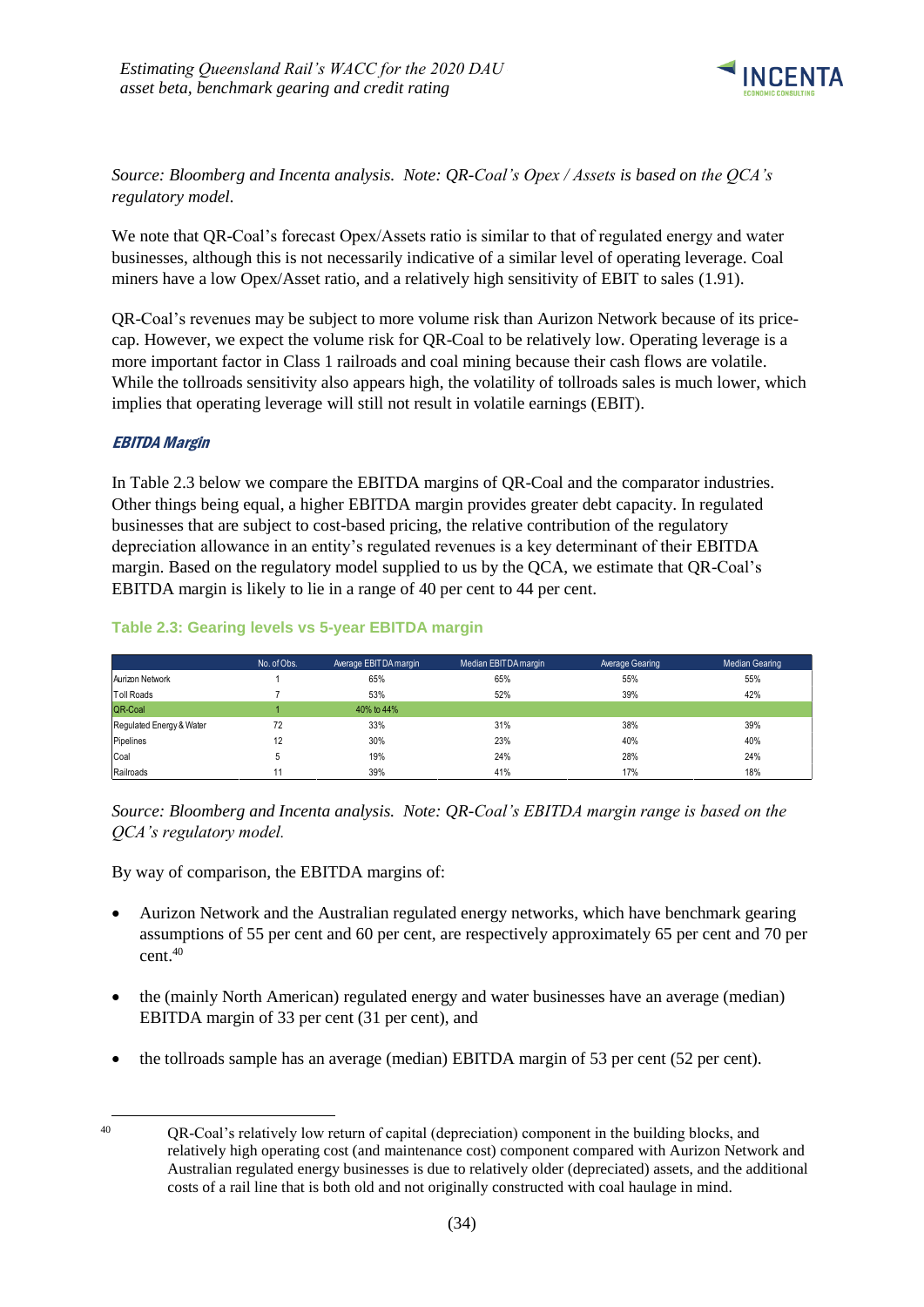

*Source: Bloomberg and Incenta analysis. Note: QR-Coal's Opex / Assets is based on the QCA's regulatory model.*

We note that QR-Coal's forecast Opex/Assets ratio is similar to that of regulated energy and water businesses, although this is not necessarily indicative of a similar level of operating leverage. Coal miners have a low Opex/Asset ratio, and a relatively high sensitivity of EBIT to sales (1.91).

QR-Coal's revenues may be subject to more volume risk than Aurizon Network because of its pricecap. However, we expect the volume risk for QR-Coal to be relatively low. Operating leverage is a more important factor in Class 1 railroads and coal mining because their cash flows are volatile. While the tollroads sensitivity also appears high, the volatility of tollroads sales is much lower, which implies that operating leverage will still not result in volatile earnings (EBIT).

### EBITDA Margin

In Table 2.3 below we compare the EBITDA margins of QR-Coal and the comparator industries. Other things being equal, a higher EBITDA margin provides greater debt capacity. In regulated businesses that are subject to cost-based pricing, the relative contribution of the regulatory depreciation allowance in an entity's regulated revenues is a key determinant of their EBITDA margin. Based on the regulatory model supplied to us by the QCA, we estimate that QR-Coal's EBITDA margin is likely to lie in a range of 40 per cent to 44 per cent.

|                          | No. of Obs. | Average EBITDA margin | Median EBITDA margin | Average Gearing | Median Gearing |
|--------------------------|-------------|-----------------------|----------------------|-----------------|----------------|
| Aurizon Network          |             | 65%                   | 65%                  | 55%             | 55%            |
| Toll Roads               |             | 53%                   | 52%                  | 39%             | 42%            |
| QR-Coal                  |             | 40% to 44%            |                      |                 |                |
| Regulated Energy & Water | 72          | 33%                   | 31%                  | 38%             | 39%            |
| Pipelines                | 12          | 30%                   | 23%                  | 40%             | 40%            |
| Coal                     |             | 19%                   | 24%                  | 28%             | 24%            |
| Railroads                |             | 39%                   | 41%                  | 17%             | 18%            |

#### **Table 2.3: Gearing levels vs 5-year EBITDA margin**

*Source: Bloomberg and Incenta analysis. Note: QR-Coal's EBITDA margin range is based on the QCA's regulatory model.*

By way of comparison, the EBITDA margins of:

- Aurizon Network and the Australian regulated energy networks, which have benchmark gearing assumptions of 55 per cent and 60 per cent, are respectively approximately 65 per cent and 70 per cent. 40
- the (mainly North American) regulated energy and water businesses have an average (median) EBITDA margin of 33 per cent (31 per cent), and
- the tollroads sample has an average (median) EBITDA margin of 53 per cent (52 per cent).

<sup>1</sup> 

<sup>40</sup> QR-Coal's relatively low return of capital (depreciation) component in the building blocks, and relatively high operating cost (and maintenance cost) component compared with Aurizon Network and Australian regulated energy businesses is due to relatively older (depreciated) assets, and the additional costs of a rail line that is both old and not originally constructed with coal haulage in mind.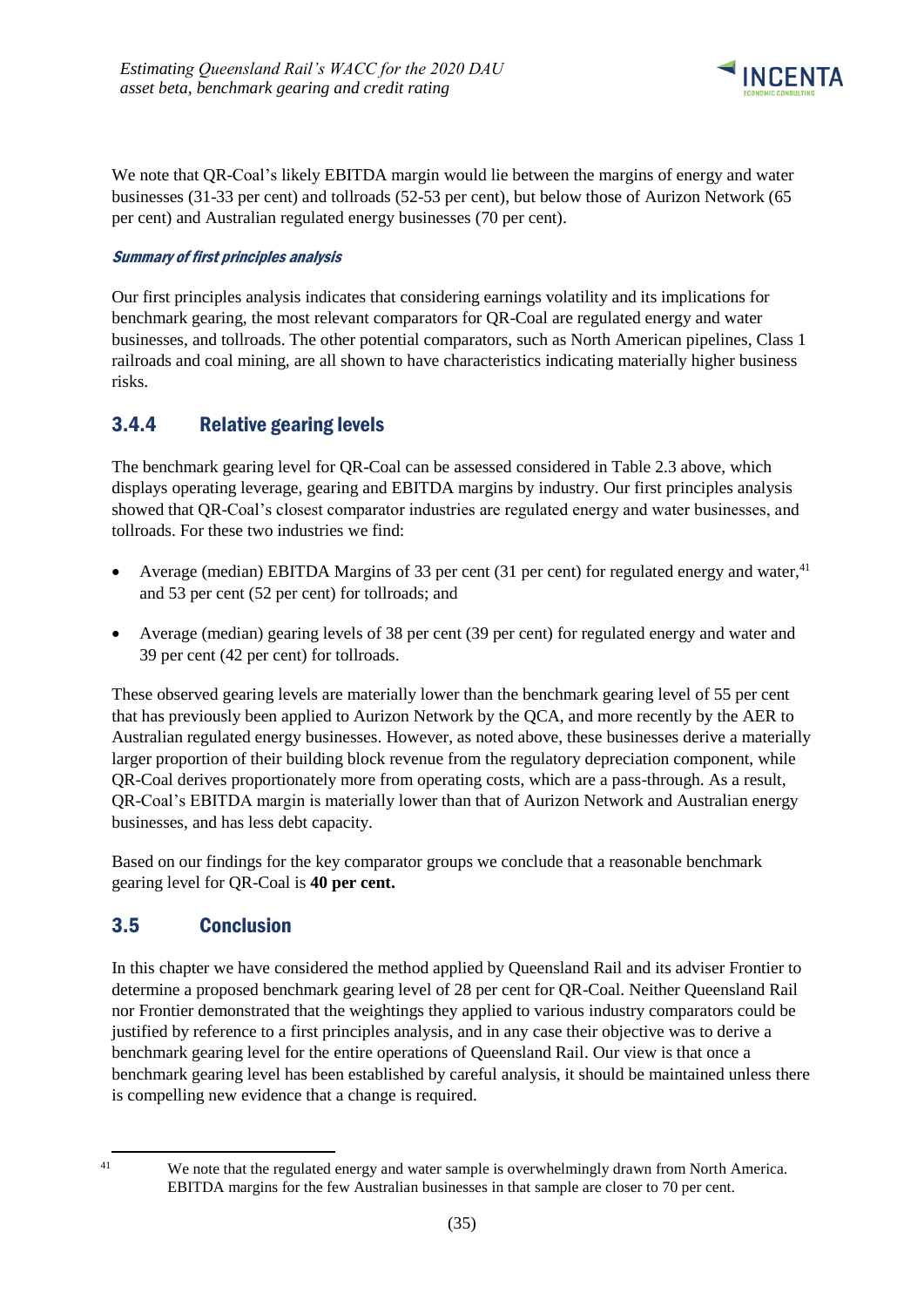

We note that QR-Coal's likely EBITDA margin would lie between the margins of energy and water businesses (31-33 per cent) and tollroads (52-53 per cent), but below those of Aurizon Network (65 per cent) and Australian regulated energy businesses (70 per cent).

### Summary of first principles analysis

Our first principles analysis indicates that considering earnings volatility and its implications for benchmark gearing, the most relevant comparators for QR-Coal are regulated energy and water businesses, and tollroads. The other potential comparators, such as North American pipelines, Class 1 railroads and coal mining, are all shown to have characteristics indicating materially higher business risks.

### <span id="page-38-0"></span>3.4.4 Relative gearing levels

The benchmark gearing level for QR-Coal can be assessed considered in Table 2.3 above, which displays operating leverage, gearing and EBITDA margins by industry. Our first principles analysis showed that QR-Coal's closest comparator industries are regulated energy and water businesses, and tollroads. For these two industries we find:

- Average (median) EBITDA Margins of 33 per cent (31 per cent) for regulated energy and water, $41$ and 53 per cent (52 per cent) for tollroads; and
- Average (median) gearing levels of 38 per cent (39 per cent) for regulated energy and water and 39 per cent (42 per cent) for tollroads.

These observed gearing levels are materially lower than the benchmark gearing level of 55 per cent that has previously been applied to Aurizon Network by the QCA, and more recently by the AER to Australian regulated energy businesses. However, as noted above, these businesses derive a materially larger proportion of their building block revenue from the regulatory depreciation component, while QR-Coal derives proportionately more from operating costs, which are a pass-through. As a result, QR-Coal's EBITDA margin is materially lower than that of Aurizon Network and Australian energy businesses, and has less debt capacity.

Based on our findings for the key comparator groups we conclude that a reasonable benchmark gearing level for QR-Coal is **40 per cent.**

### <span id="page-38-1"></span>3.5 Conclusion

In this chapter we have considered the method applied by Queensland Rail and its adviser Frontier to determine a proposed benchmark gearing level of 28 per cent for QR-Coal. Neither Queensland Rail nor Frontier demonstrated that the weightings they applied to various industry comparators could be justified by reference to a first principles analysis, and in any case their objective was to derive a benchmark gearing level for the entire operations of Queensland Rail. Our view is that once a benchmark gearing level has been established by careful analysis, it should be maintained unless there is compelling new evidence that a change is required.

-

<sup>&</sup>lt;sup>41</sup> We note that the regulated energy and water sample is overwhelmingly drawn from North America. EBITDA margins for the few Australian businesses in that sample are closer to 70 per cent.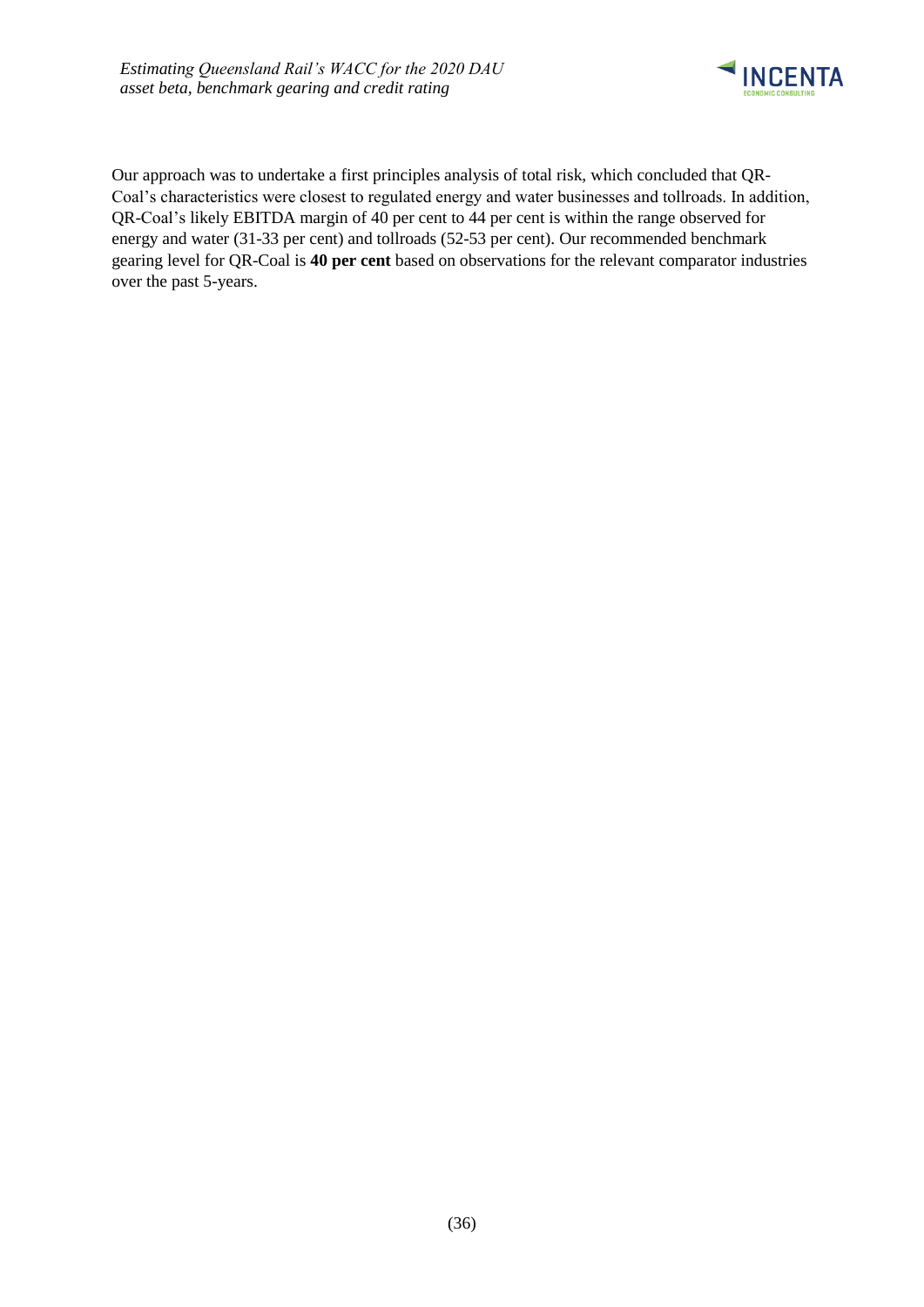

Our approach was to undertake a first principles analysis of total risk, which concluded that QR-Coal's characteristics were closest to regulated energy and water businesses and tollroads. In addition, QR-Coal's likely EBITDA margin of 40 per cent to 44 per cent is within the range observed for energy and water (31-33 per cent) and tollroads (52-53 per cent). Our recommended benchmark gearing level for QR-Coal is **40 per cent** based on observations for the relevant comparator industries over the past 5-years.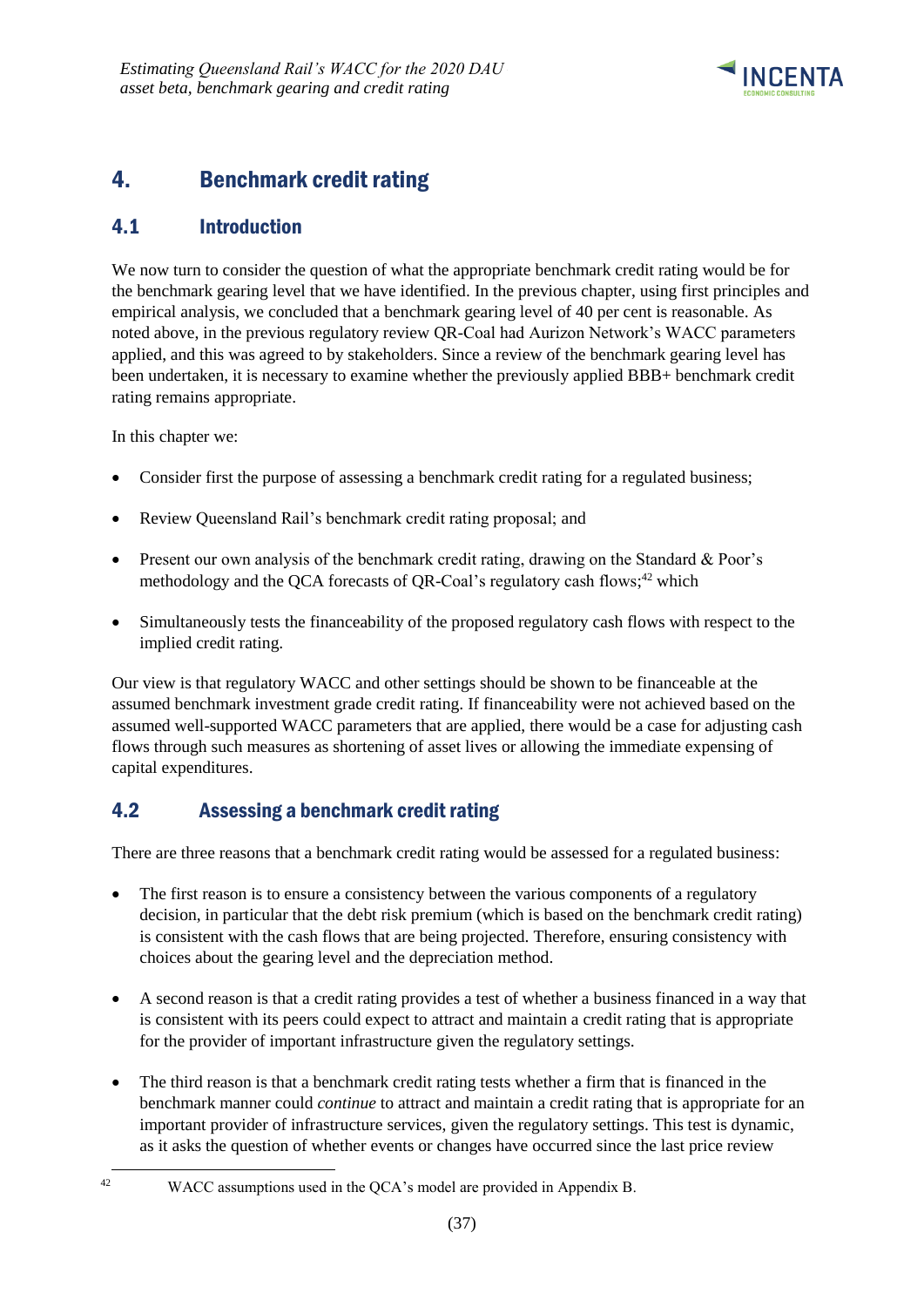

# <span id="page-40-0"></span>4. Benchmark credit rating

# <span id="page-40-1"></span>4.1 Introduction

We now turn to consider the question of what the appropriate benchmark credit rating would be for the benchmark gearing level that we have identified. In the previous chapter, using first principles and empirical analysis, we concluded that a benchmark gearing level of 40 per cent is reasonable. As noted above, in the previous regulatory review QR-Coal had Aurizon Network's WACC parameters applied, and this was agreed to by stakeholders. Since a review of the benchmark gearing level has been undertaken, it is necessary to examine whether the previously applied BBB+ benchmark credit rating remains appropriate.

In this chapter we:

- Consider first the purpose of assessing a benchmark credit rating for a regulated business;
- Review Queensland Rail's benchmark credit rating proposal; and
- Present our own analysis of the benchmark credit rating, drawing on the Standard & Poor's methodology and the QCA forecasts of QR-Coal's regulatory cash flows;<sup>42</sup> which
- Simultaneously tests the financeability of the proposed regulatory cash flows with respect to the implied credit rating.

Our view is that regulatory WACC and other settings should be shown to be financeable at the assumed benchmark investment grade credit rating. If financeability were not achieved based on the assumed well-supported WACC parameters that are applied, there would be a case for adjusting cash flows through such measures as shortening of asset lives or allowing the immediate expensing of capital expenditures.

# <span id="page-40-2"></span>4.2 Assessing a benchmark credit rating

There are three reasons that a benchmark credit rating would be assessed for a regulated business:

- The first reason is to ensure a consistency between the various components of a regulatory decision, in particular that the debt risk premium (which is based on the benchmark credit rating) is consistent with the cash flows that are being projected. Therefore, ensuring consistency with choices about the gearing level and the depreciation method.
- A second reason is that a credit rating provides a test of whether a business financed in a way that is consistent with its peers could expect to attract and maintain a credit rating that is appropriate for the provider of important infrastructure given the regulatory settings.
- The third reason is that a benchmark credit rating tests whether a firm that is financed in the benchmark manner could *continue* to attract and maintain a credit rating that is appropriate for an important provider of infrastructure services, given the regulatory settings. This test is dynamic, as it asks the question of whether events or changes have occurred since the last price review

<sup>1</sup> 

<sup>42</sup> WACC assumptions used in the QCA's model are provided in Appendix B.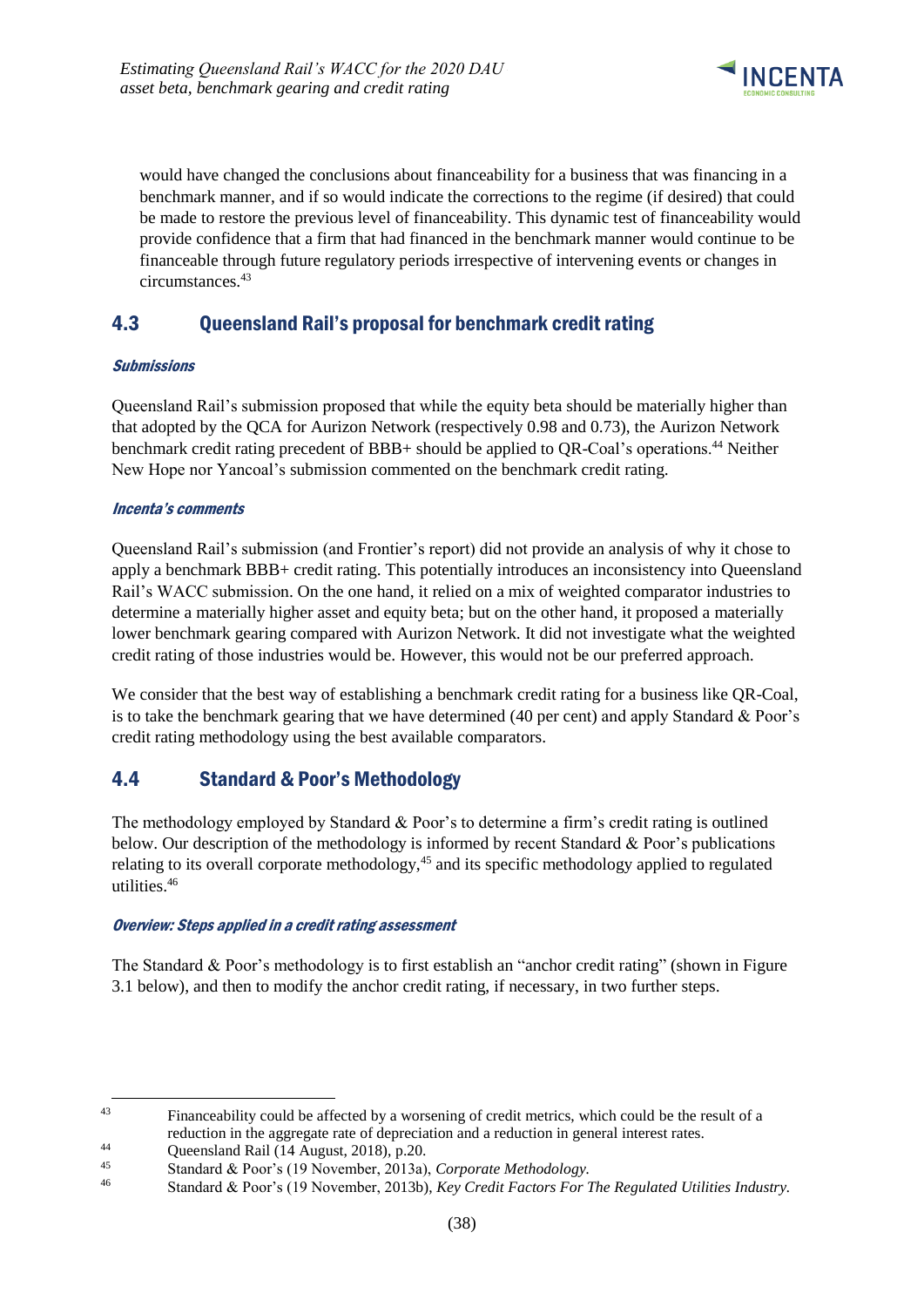

would have changed the conclusions about financeability for a business that was financing in a benchmark manner, and if so would indicate the corrections to the regime (if desired) that could be made to restore the previous level of financeability. This dynamic test of financeability would provide confidence that a firm that had financed in the benchmark manner would continue to be financeable through future regulatory periods irrespective of intervening events or changes in circumstances.<sup>43</sup>

## <span id="page-41-0"></span>4.3 Queensland Rail's proposal for benchmark credit rating

### **Submissions**

Queensland Rail's submission proposed that while the equity beta should be materially higher than that adopted by the QCA for Aurizon Network (respectively 0.98 and 0.73), the Aurizon Network benchmark credit rating precedent of BBB+ should be applied to QR-Coal's operations.<sup>44</sup> Neither New Hope nor Yancoal's submission commented on the benchmark credit rating.

### Incenta's comments

Queensland Rail's submission (and Frontier's report) did not provide an analysis of why it chose to apply a benchmark BBB+ credit rating. This potentially introduces an inconsistency into Queensland Rail's WACC submission. On the one hand, it relied on a mix of weighted comparator industries to determine a materially higher asset and equity beta; but on the other hand, it proposed a materially lower benchmark gearing compared with Aurizon Network. It did not investigate what the weighted credit rating of those industries would be. However, this would not be our preferred approach.

We consider that the best way of establishing a benchmark credit rating for a business like QR-Coal, is to take the benchmark gearing that we have determined (40 per cent) and apply Standard & Poor's credit rating methodology using the best available comparators.

### <span id="page-41-1"></span>4.4 Standard & Poor's Methodology

The methodology employed by Standard & Poor's to determine a firm's credit rating is outlined below. Our description of the methodology is informed by recent Standard & Poor's publications relating to its overall corporate methodology,<sup>45</sup> and its specific methodology applied to regulated utilities.<sup>46</sup>

### Overview: Steps applied in a credit rating assessment

The Standard & Poor's methodology is to first establish an "anchor credit rating" (shown in Figure 3.1 below), and then to modify the anchor credit rating, if necessary, in two further steps.

<sup>1</sup> <sup>43</sup> Financeability could be affected by a worsening of credit metrics, which could be the result of a reduction in the aggregate rate of depreciation and a reduction in general interest rates.

<sup>44</sup> Queensland Rail  $(14 \text{ August}, 2018)$ , p.20.<br>45 Stendard & Bear's  $(10 \text{ Network})$  2012.

<sup>45</sup> Standard & Poor's (19 November, 2013a), *Corporate Methodology.*

<sup>46</sup> Standard & Poor's (19 November, 2013b), *Key Credit Factors For The Regulated Utilities Industry.*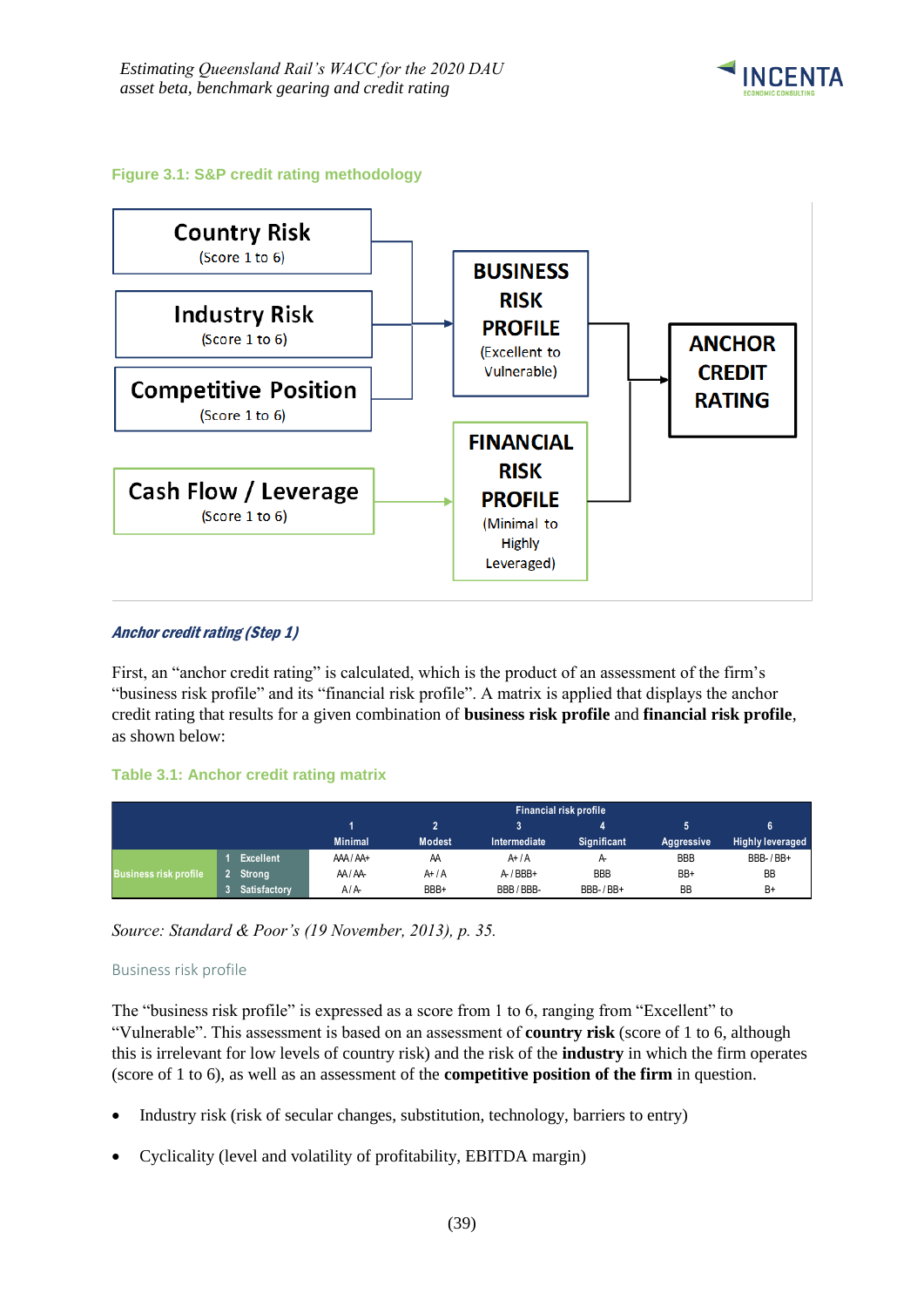

#### **Figure 3.1: S&P credit rating methodology**



#### Anchor credit rating (Step 1)

First, an "anchor credit rating" is calculated, which is the product of an assessment of the firm's "business risk profile" and its "financial risk profile". A matrix is applied that displays the anchor credit rating that results for a given combination of **business risk profile** and **financial risk profile**, as shown below:

#### **Table 3.1: Anchor credit rating matrix**

|                              |                  |                | <b>Financial risk profile</b> |              |                |            |                         |  |  |  |  |
|------------------------------|------------------|----------------|-------------------------------|--------------|----------------|------------|-------------------------|--|--|--|--|
|                              |                  |                |                               |              |                |            | 6                       |  |  |  |  |
|                              |                  | <b>Minimal</b> | <b>Modest</b>                 | Intermediate | Significant    | Aggressive | <b>Highly leveraged</b> |  |  |  |  |
|                              | <b>Excellent</b> | AAA/AA+        | AA                            | $A+ / A$     | $\uparrow$     | <b>BBB</b> | BBB-/BB+                |  |  |  |  |
| <b>Business risk profile</b> | Strong           | AA/AA          | $A+ / A$                      | $A$ -/BBB+   | <b>BBB</b>     | BB+        | <b>BB</b>               |  |  |  |  |
|                              | Satisfactory     | A/A            | BBB+                          | BBB/BBB-     | $BBB-$ / $BB+$ | <b>BB</b>  | B+                      |  |  |  |  |

*Source: Standard & Poor's (19 November, 2013), p. 35.*

#### Business risk profile

The "business risk profile" is expressed as a score from 1 to 6, ranging from "Excellent" to "Vulnerable". This assessment is based on an assessment of **country risk** (score of 1 to 6, although this is irrelevant for low levels of country risk) and the risk of the **industry** in which the firm operates (score of 1 to 6), as well as an assessment of the **competitive position of the firm** in question.

- Industry risk (risk of secular changes, substitution, technology, barriers to entry)
- Cyclicality (level and volatility of profitability, EBITDA margin)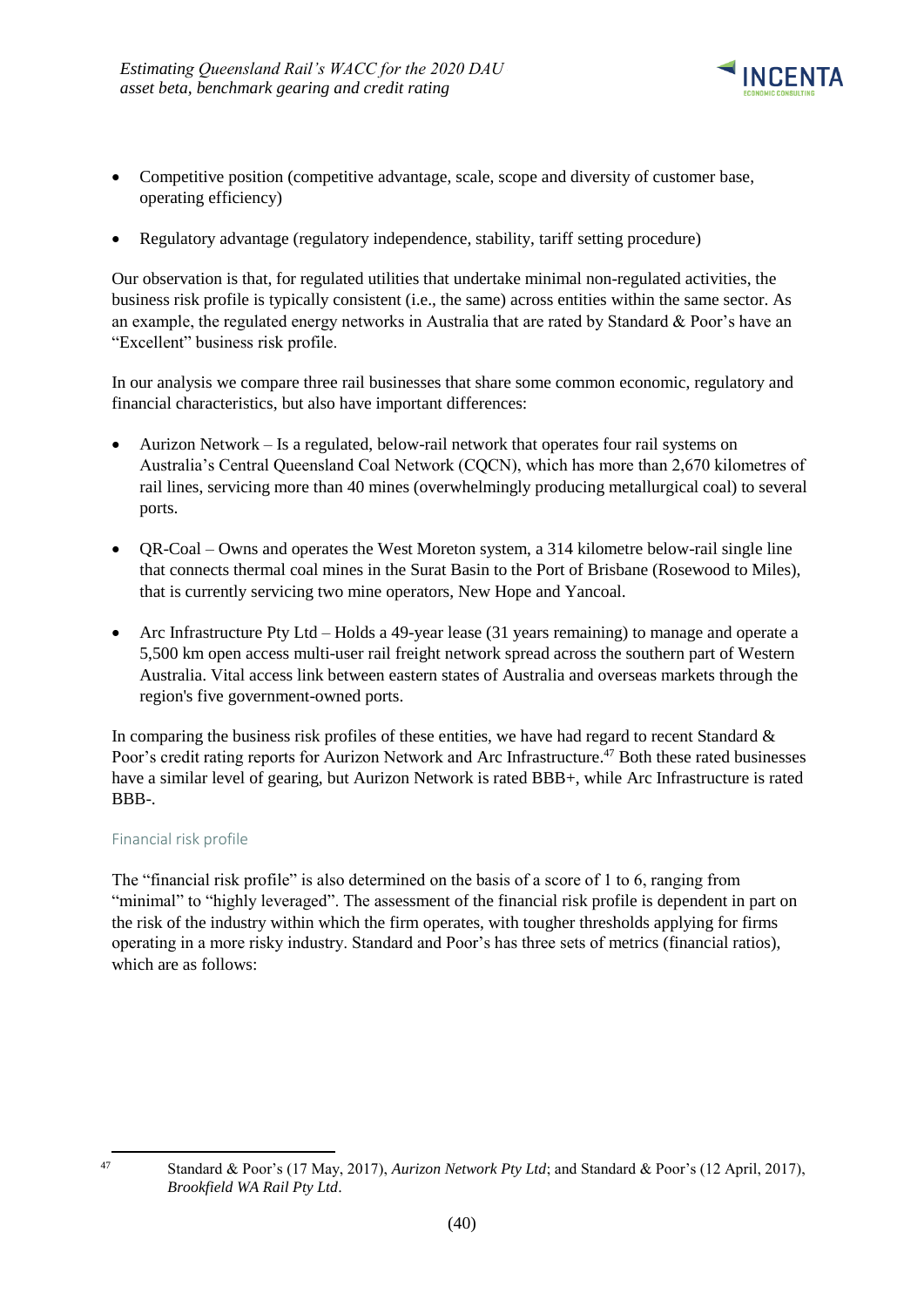

- Competitive position (competitive advantage, scale, scope and diversity of customer base, operating efficiency)
- Regulatory advantage (regulatory independence, stability, tariff setting procedure)

Our observation is that, for regulated utilities that undertake minimal non-regulated activities, the business risk profile is typically consistent (i.e., the same) across entities within the same sector. As an example, the regulated energy networks in Australia that are rated by Standard & Poor's have an "Excellent" business risk profile.

In our analysis we compare three rail businesses that share some common economic, regulatory and financial characteristics, but also have important differences:

- Aurizon Network Is a regulated, below-rail network that operates four rail systems on Australia's Central Queensland Coal Network (CQCN), which has more than 2,670 kilometres of rail lines, servicing more than 40 mines (overwhelmingly producing metallurgical coal) to several ports.
- QR-Coal Owns and operates the West Moreton system, a 314 kilometre below-rail single line that connects thermal coal mines in the Surat Basin to the Port of Brisbane (Rosewood to Miles), that is currently servicing two mine operators, New Hope and Yancoal.
- Arc Infrastructure Pty Ltd Holds a 49-year lease (31 years remaining) to manage and operate a 5,500 km open access multi-user rail freight network spread across the southern part of Western Australia. Vital access link between eastern states of Australia and overseas markets through the region's five government-owned ports.

In comparing the business risk profiles of these entities, we have had regard to recent Standard  $\&$ Poor's credit rating reports for Aurizon Network and Arc Infrastructure.<sup>47</sup> Both these rated businesses have a similar level of gearing, but Aurizon Network is rated BBB+, while Arc Infrastructure is rated BBB-.

### Financial risk profile

The "financial risk profile" is also determined on the basis of a score of 1 to 6, ranging from "minimal" to "highly leveraged". The assessment of the financial risk profile is dependent in part on the risk of the industry within which the firm operates, with tougher thresholds applying for firms operating in a more risky industry. Standard and Poor's has three sets of metrics (financial ratios), which are as follows:

<sup>-</sup>

<sup>47</sup> Standard & Poor's (17 May, 2017), *Aurizon Network Pty Ltd*; and Standard & Poor's (12 April, 2017), *Brookfield WA Rail Pty Ltd*.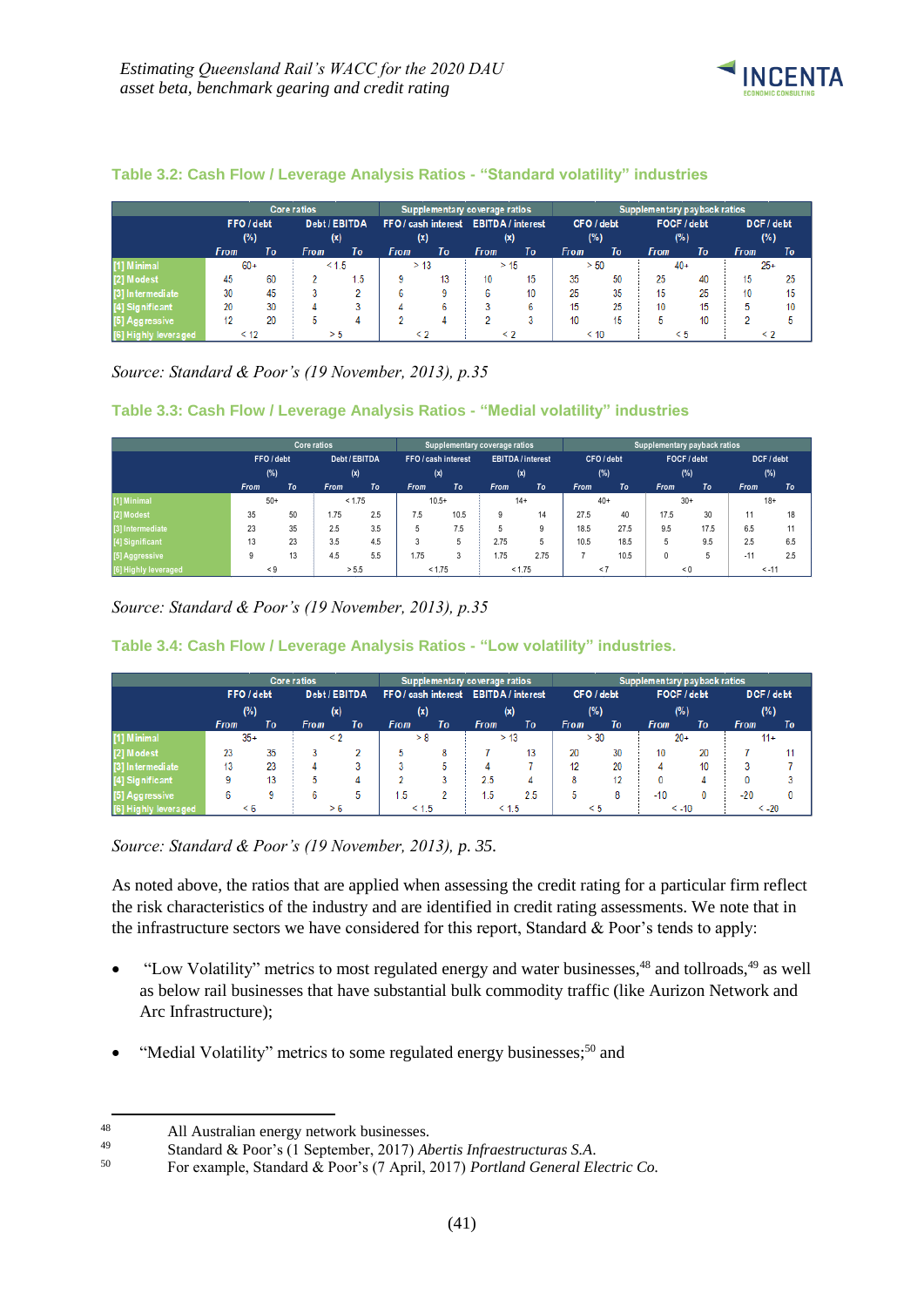

### **Table 3.2: Cash Flow / Leverage Analysis Ratios - "Standard volatility" industries**

|                             |                             |    | <b>Core ratios</b>                    |       |             | Supplementary coverage ratios |             |             | Supplementary payback ratios |      |             |    |             |    |
|-----------------------------|-----------------------------|----|---------------------------------------|-------|-------------|-------------------------------|-------------|-------------|------------------------------|------|-------------|----|-------------|----|
|                             | Debt / EBITDA<br>FFO / debt |    | FFO / cash interest EBITDA / interest |       |             | CFO / debt                    |             | FOCF / debt |                              |      | DCF / debt  |    |             |    |
|                             | (%)                         |    |                                       | (x)   |             | (x)                           |             | (x)         |                              | (%)  | (%)         |    | (%)         |    |
|                             | <b>From</b>                 | To | <b>From</b>                           | To    | <b>From</b> | To                            | <b>From</b> | To          | <b>From</b>                  | To   | <b>From</b> | To | <b>From</b> | To |
| [1] Minimal                 | $60+$                       |    |                                       | < 1.5 | > 13        |                               |             | > 15        | > 50                         |      | $40+$       |    | $25+$       |    |
| [2] Modest                  | 45                          | 60 |                                       | 1.5   | q           | 13                            | 10          | 15          | 35                           | 50   | 25          | 40 | 15          | 25 |
| [3] Intermediate            | 30                          | 45 |                                       |       |             |                               | 6.          | 10          | 25                           | 35   | 15          | 25 | 10          | 15 |
| [4] Significant             | 20                          | 30 |                                       |       |             | ь                             |             | 6           | 15                           | 25   | 10          | 15 |             | 10 |
| [5] Aggressive              |                             | 20 |                                       |       |             |                               |             |             | 10                           | 15   |             | 10 |             |    |
| <b>[6] Highly leveraged</b> | < 12                        |    |                                       | > 5   |             |                               |             | $\leq 2$    |                              | < 10 |             |    |             |    |

*Source: Standard & Poor's (19 November, 2013), p.35*

### **Table 3.3: Cash Flow / Leverage Analysis Ratios - "Medial volatility" industries**

|                      |             |                          | <b>Core ratios</b> |     |                                             |           | Supplementary coverage ratios |                                                    |             |      | Supplementary payback ratios |      |                   |         |
|----------------------|-------------|--------------------------|--------------------|-----|---------------------------------------------|-----------|-------------------------------|----------------------------------------------------|-------------|------|------------------------------|------|-------------------|---------|
|                      |             | FFO / debt<br>(x)<br>(%) |                    |     | Debt / EBITDA<br>FFO / cash interest<br>(x) |           |                               | <b>EBITDA</b> / interest<br>CFO/debt<br>(%)<br>(x) |             |      | FOCF / debt<br>(%)           |      | DCF / debt<br>(%) |         |
|                      | <b>From</b> | To                       | <b>From</b>        | To  | <b>From</b>                                 | <b>To</b> | <b>From</b>                   | To                                                 | <b>From</b> | To   | <b>From</b>                  | To   | <b>From</b>       | To      |
| [1] Minimal          | $50+$       |                          | < 1.75             |     |                                             | $10.5+$   |                               | $14+$                                              | $40+$       |      | $30+$                        |      |                   | $18+$   |
| [2] Modest           | 35          | 50                       | 1.75               | 2.5 | 7.5                                         | 10.5      | 9                             | 14                                                 | 27.5        | 40   | 17.5                         | 30   | 11                | 18      |
| [3] Intermediate     | 23          | 35                       | 2.5                | 3.5 | 5                                           | 7.5       | 5                             | 9                                                  | 18.5        | 27.5 | 9.5                          | 17.5 | 6.5               | 11      |
| [4] Significant      | 13          | 23                       | 3.5                | 4.5 | 3                                           | 5         | 2.75                          | 5                                                  | 10.5        | 18.5 | 5                            | 9.5  | 2.5               | 6.5     |
| [5] Aggressive       | 9           | 13                       | 4.5                | 5.5 | 1.75                                        | 3         | 1.75                          | 2.75                                               |             | 10.5 | 0                            | 5    | $-11$             | 2.5     |
| [6] Highly leveraged | $\leq 9$    |                          | > 5.5              |     |                                             | < 1.75    |                               | < 1.75                                             | < 7         |      | < 0                          |      |                   | $< -11$ |

*Source: Standard & Poor's (19 November, 2013), p.35*

**Table 3.4: Cash Flow / Leverage Analysis Ratios - "Low volatility" industries.**

|                  |                             |    | <b>Core ratios</b>                    |    | Supplementary coverage ratios |            |             |             | Supplementary payback ratios |            |             |    |             |         |
|------------------|-----------------------------|----|---------------------------------------|----|-------------------------------|------------|-------------|-------------|------------------------------|------------|-------------|----|-------------|---------|
|                  | Debt / EBITDA<br>FFO / debt |    | FFO / cash interest EBITDA / interest |    |                               | CFO / debt |             | FOCF / debt |                              | DCF / debt |             |    |             |         |
|                  | (%)<br>(x)                  |    | (x)<br>(x)                            |    | (%)                           |            | (% )        |             | (%)                          |            |             |    |             |         |
|                  | <b>From</b>                 | To | <b>From</b>                           | To | From                          | To         | <b>From</b> | To          | From                         | To         | <b>From</b> | To | <b>From</b> | To      |
| [1] Minimal      | $35+$                       |    | $\leq$ 2                              |    | > 8                           |            |             | > 13        | > 30                         |            | $20+$       |    | $11+$       |         |
| [2] Modest       | 23                          | 35 |                                       |    | b.                            | 8          |             |             | 20                           | 30         | 10          | 20 |             |         |
| [3] Intermediate | 13                          | 23 |                                       |    |                               |            |             |             | 12                           | 20         | 4           | 10 |             |         |
| [4] Significant  | a                           | 13 |                                       |    |                               |            | 2.5         | Δ           | 8                            | 12         | n           |    |             |         |
| [5] Aggressive   | ь                           |    |                                       |    | .5                            |            | .5          | 2.5         |                              | 8          | $-10$       |    | $-20$       | O       |
| ahly leveraged   | $\leq 6$                    |    |                                       | 6  | < 1.5                         |            |             | < 1.5       | $\leq 5$                     |            | $< -10$     |    |             | $< -20$ |

*Source: Standard & Poor's (19 November, 2013), p. 35.*

As noted above, the ratios that are applied when assessing the credit rating for a particular firm reflect the risk characteristics of the industry and are identified in credit rating assessments. We note that in the infrastructure sectors we have considered for this report, Standard & Poor's tends to apply:

- "Low Volatility" metrics to most regulated energy and water businesses,<sup>48</sup> and tollroads,<sup>49</sup> as well as below rail businesses that have substantial bulk commodity traffic (like Aurizon Network and Arc Infrastructure);
- "Medial Volatility" metrics to some regulated energy businesses;<sup>50</sup> and

1

<sup>48</sup> All Australian energy network businesses.<br>  $\frac{49}{2}$  Standard & Poor's (1 September 2017) 4b

<sup>49</sup> Standard & Poor's (1 September, 2017) *Abertis Infraestructuras S.A*.

<sup>50</sup> For example, Standard & Poor's (7 April, 2017) *Portland General Electric Co.*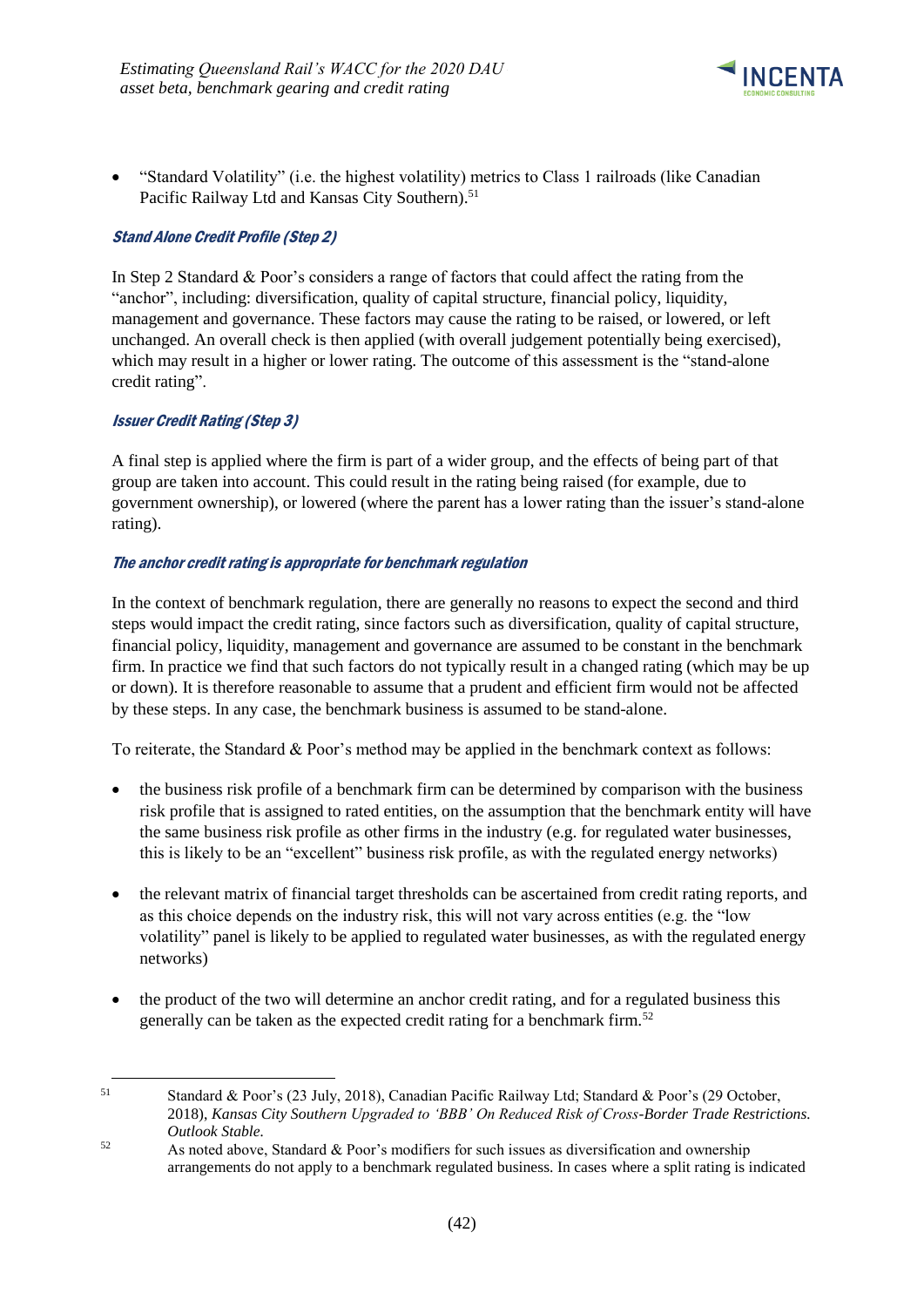

• "Standard Volatility" (i.e. the highest volatility) metrics to Class 1 railroads (like Canadian Pacific Railway Ltd and Kansas City Southern).<sup>51</sup>

### Stand Alone Credit Profile (Step 2)

In Step 2 Standard & Poor's considers a range of factors that could affect the rating from the "anchor", including: diversification, quality of capital structure, financial policy, liquidity, management and governance. These factors may cause the rating to be raised, or lowered, or left unchanged. An overall check is then applied (with overall judgement potentially being exercised), which may result in a higher or lower rating. The outcome of this assessment is the "stand-alone credit rating".

### Issuer Credit Rating (Step 3)

-

A final step is applied where the firm is part of a wider group, and the effects of being part of that group are taken into account. This could result in the rating being raised (for example, due to government ownership), or lowered (where the parent has a lower rating than the issuer's stand-alone rating).

#### The anchor credit rating is appropriate for benchmark regulation

In the context of benchmark regulation, there are generally no reasons to expect the second and third steps would impact the credit rating, since factors such as diversification, quality of capital structure, financial policy, liquidity, management and governance are assumed to be constant in the benchmark firm. In practice we find that such factors do not typically result in a changed rating (which may be up or down). It is therefore reasonable to assume that a prudent and efficient firm would not be affected by these steps. In any case, the benchmark business is assumed to be stand-alone.

To reiterate, the Standard & Poor's method may be applied in the benchmark context as follows:

- the business risk profile of a benchmark firm can be determined by comparison with the business risk profile that is assigned to rated entities, on the assumption that the benchmark entity will have the same business risk profile as other firms in the industry (e.g. for regulated water businesses, this is likely to be an "excellent" business risk profile, as with the regulated energy networks)
- the relevant matrix of financial target thresholds can be ascertained from credit rating reports, and as this choice depends on the industry risk, this will not vary across entities (e.g. the "low volatility" panel is likely to be applied to regulated water businesses, as with the regulated energy networks)
- the product of the two will determine an anchor credit rating, and for a regulated business this generally can be taken as the expected credit rating for a benchmark firm.<sup>52</sup>

<sup>51</sup> Standard & Poor's (23 July, 2018), Canadian Pacific Railway Ltd; Standard & Poor's (29 October, 2018), *Kansas City Southern Upgraded to 'BBB' On Reduced Risk of Cross-Border Trade Restrictions. Outlook Stable.*

 $52$  As noted above, Standard & Poor's modifiers for such issues as diversification and ownership arrangements do not apply to a benchmark regulated business. In cases where a split rating is indicated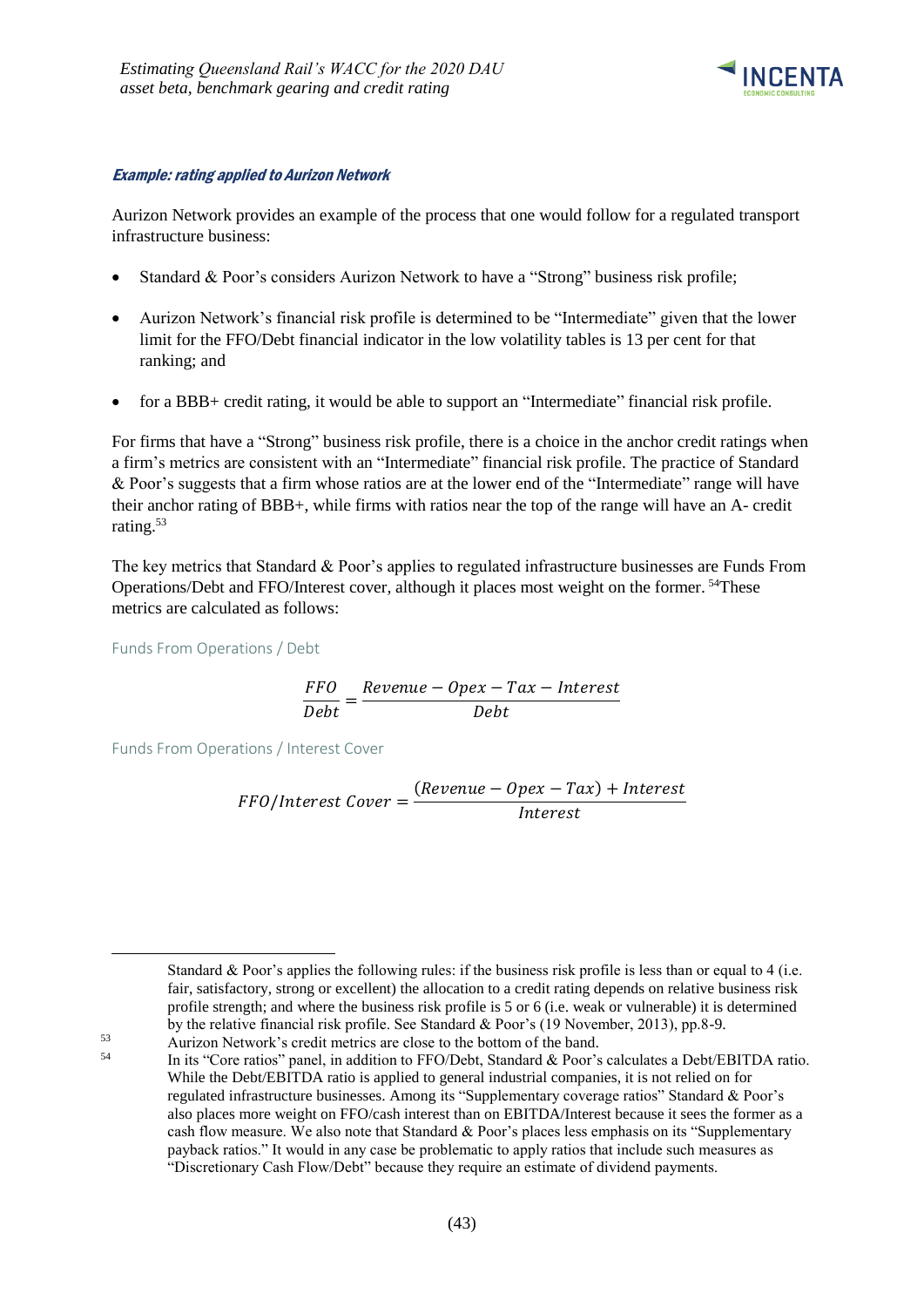

#### Example: rating applied to Aurizon Network

Aurizon Network provides an example of the process that one would follow for a regulated transport infrastructure business:

- Standard & Poor's considers Aurizon Network to have a "Strong" business risk profile;
- Aurizon Network's financial risk profile is determined to be "Intermediate" given that the lower limit for the FFO/Debt financial indicator in the low volatility tables is 13 per cent for that ranking; and
- for a BBB+ credit rating, it would be able to support an "Intermediate" financial risk profile.

For firms that have a "Strong" business risk profile, there is a choice in the anchor credit ratings when a firm's metrics are consistent with an "Intermediate" financial risk profile. The practice of Standard & Poor's suggests that a firm whose ratios are at the lower end of the "Intermediate" range will have their anchor rating of BBB+, while firms with ratios near the top of the range will have an A- credit rating. 53

The key metrics that Standard & Poor's applies to regulated infrastructure businesses are Funds From Operations/Debt and FFO/Interest cover, although it places most weight on the former. <sup>54</sup>These metrics are calculated as follows:

Funds From Operations / Debt

-

$$
\frac{FFO}{Debt} = \frac{Revenue - Opex - Tax - Interest}{Debt}
$$

Funds From Operations / Interest Cover

$$
FFO/Interest \textit{Cover} = \frac{(Revenue - Opez - Tax) + Interest}{Interest}
$$

Standard & Poor's applies the following rules: if the business risk profile is less than or equal to 4 (i.e. fair, satisfactory, strong or excellent) the allocation to a credit rating depends on relative business risk profile strength; and where the business risk profile is 5 or 6 (i.e. weak or vulnerable) it is determined by the relative financial risk profile. See Standard & Poor's (19 November, 2013), pp.8-9.

<sup>53</sup> Aurizon Network's credit metrics are close to the bottom of the band.

<sup>54</sup> In its "Core ratios" panel, in addition to FFO/Debt, Standard & Poor's calculates a Debt/EBITDA ratio. While the Debt/EBITDA ratio is applied to general industrial companies, it is not relied on for regulated infrastructure businesses. Among its "Supplementary coverage ratios" Standard & Poor's also places more weight on FFO/cash interest than on EBITDA/Interest because it sees the former as a cash flow measure. We also note that Standard & Poor's places less emphasis on its "Supplementary payback ratios." It would in any case be problematic to apply ratios that include such measures as "Discretionary Cash Flow/Debt" because they require an estimate of dividend payments.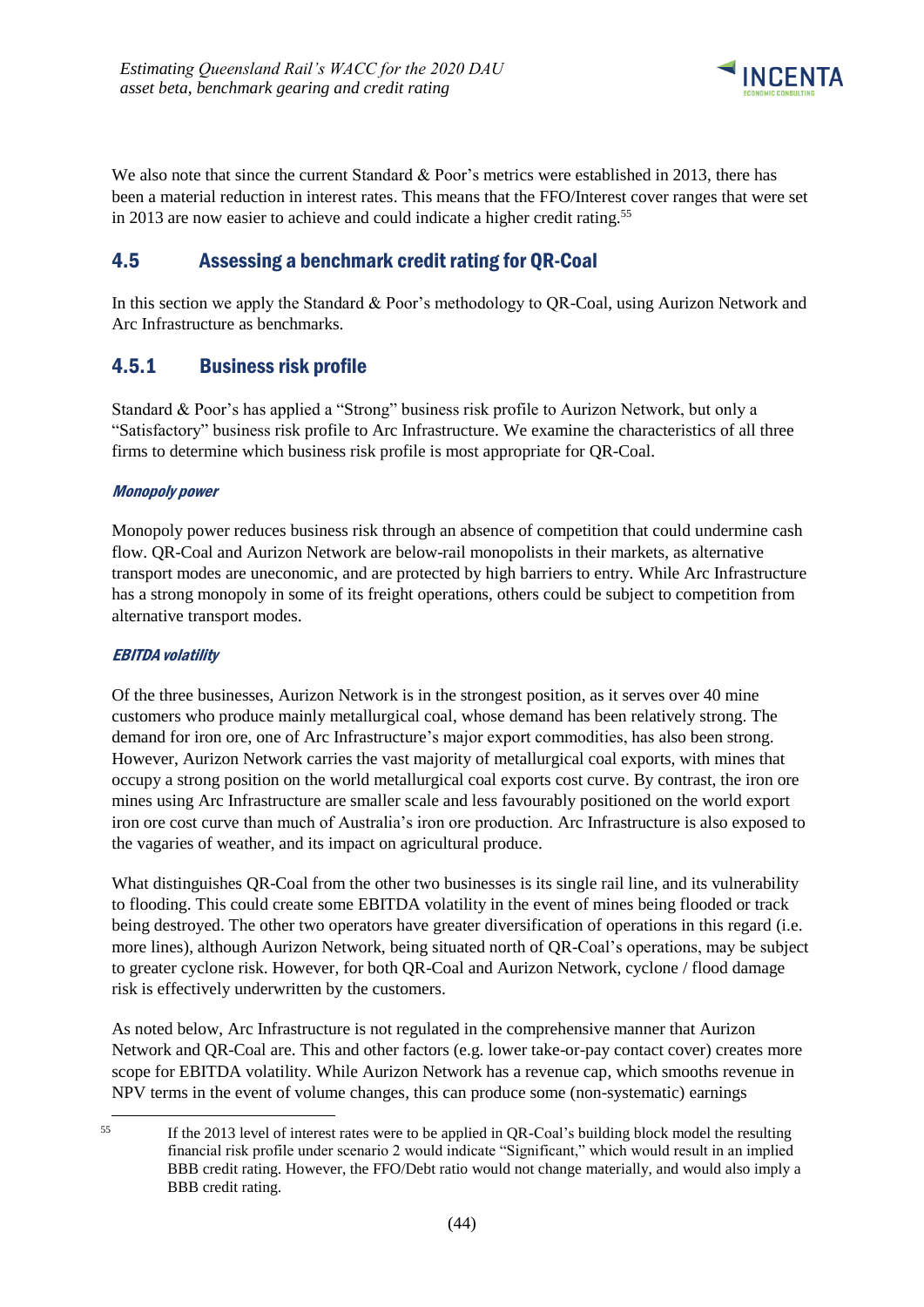

We also note that since the current Standard & Poor's metrics were established in 2013, there has been a material reduction in interest rates. This means that the FFO/Interest cover ranges that were set in 2013 are now easier to achieve and could indicate a higher credit rating.<sup>55</sup>

# <span id="page-47-0"></span>4.5 Assessing a benchmark credit rating for QR-Coal

In this section we apply the Standard & Poor's methodology to QR-Coal, using Aurizon Network and Arc Infrastructure as benchmarks.

### <span id="page-47-1"></span>4.5.1 Business risk profile

Standard & Poor's has applied a "Strong" business risk profile to Aurizon Network, but only a "Satisfactory" business risk profile to Arc Infrastructure. We examine the characteristics of all three firms to determine which business risk profile is most appropriate for QR-Coal.

### Monopoly power

Monopoly power reduces business risk through an absence of competition that could undermine cash flow. QR-Coal and Aurizon Network are below-rail monopolists in their markets, as alternative transport modes are uneconomic, and are protected by high barriers to entry. While Arc Infrastructure has a strong monopoly in some of its freight operations, others could be subject to competition from alternative transport modes.

### EBITDA volatility

1

Of the three businesses, Aurizon Network is in the strongest position, as it serves over 40 mine customers who produce mainly metallurgical coal, whose demand has been relatively strong. The demand for iron ore, one of Arc Infrastructure's major export commodities, has also been strong. However, Aurizon Network carries the vast majority of metallurgical coal exports, with mines that occupy a strong position on the world metallurgical coal exports cost curve. By contrast, the iron ore mines using Arc Infrastructure are smaller scale and less favourably positioned on the world export iron ore cost curve than much of Australia's iron ore production. Arc Infrastructure is also exposed to the vagaries of weather, and its impact on agricultural produce.

What distinguishes QR-Coal from the other two businesses is its single rail line, and its vulnerability to flooding. This could create some EBITDA volatility in the event of mines being flooded or track being destroyed. The other two operators have greater diversification of operations in this regard (i.e. more lines), although Aurizon Network, being situated north of QR-Coal's operations, may be subject to greater cyclone risk. However, for both QR-Coal and Aurizon Network, cyclone / flood damage risk is effectively underwritten by the customers.

As noted below, Arc Infrastructure is not regulated in the comprehensive manner that Aurizon Network and QR-Coal are. This and other factors (e.g. lower take-or-pay contact cover) creates more scope for EBITDA volatility. While Aurizon Network has a revenue cap, which smooths revenue in NPV terms in the event of volume changes, this can produce some (non-systematic) earnings

<sup>55</sup> If the 2013 level of interest rates were to be applied in OR-Coal's building block model the resulting financial risk profile under scenario 2 would indicate "Significant," which would result in an implied BBB credit rating. However, the FFO/Debt ratio would not change materially, and would also imply a BBB credit rating.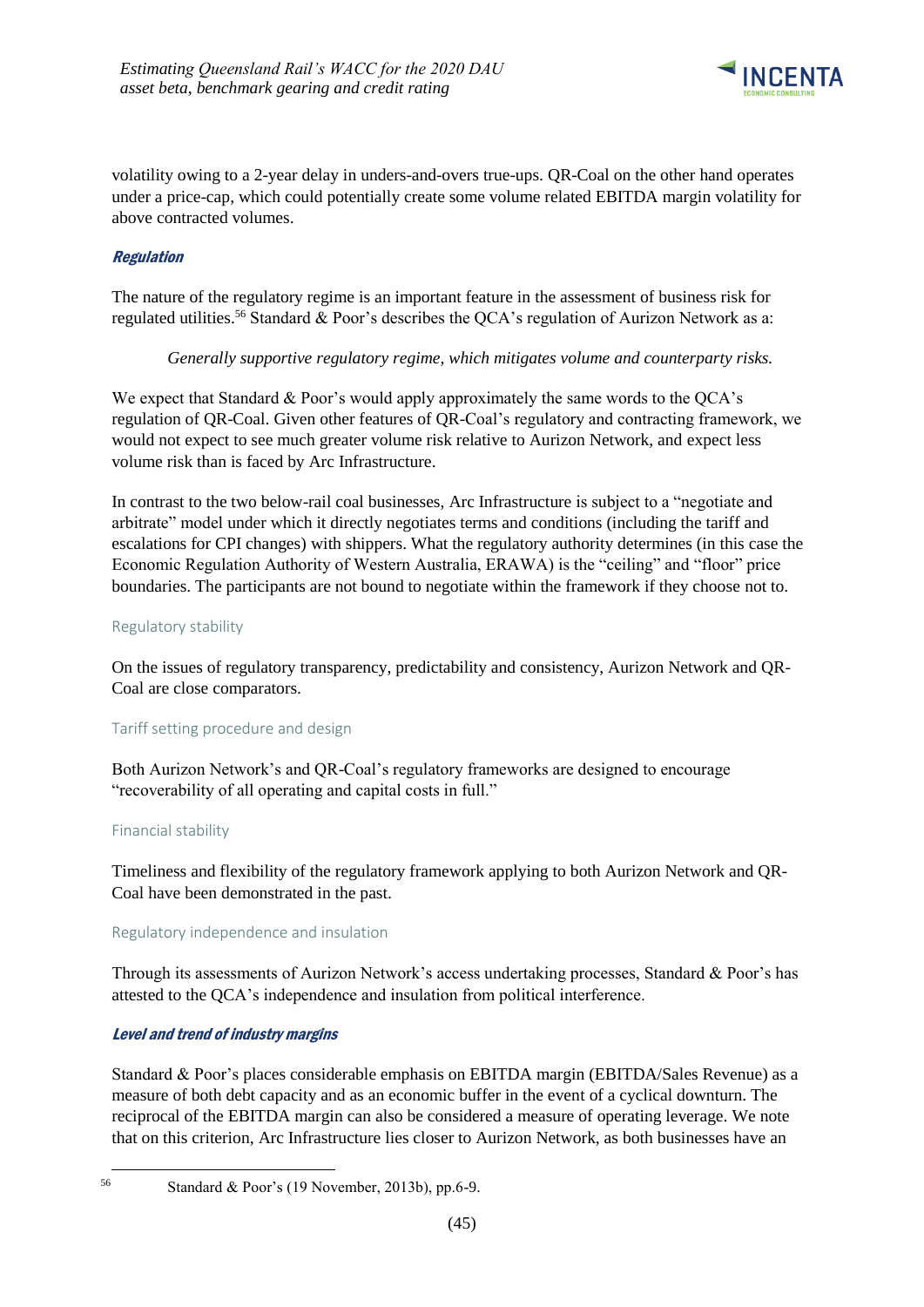

volatility owing to a 2-year delay in unders-and-overs true-ups. QR-Coal on the other hand operates under a price-cap, which could potentially create some volume related EBITDA margin volatility for above contracted volumes.

### Regulation

The nature of the regulatory regime is an important feature in the assessment of business risk for regulated utilities.<sup>56</sup> Standard & Poor's describes the QCA's regulation of Aurizon Network as a:

#### *Generally supportive regulatory regime, which mitigates volume and counterparty risks.*

We expect that Standard & Poor's would apply approximately the same words to the QCA's regulation of QR-Coal. Given other features of QR-Coal's regulatory and contracting framework, we would not expect to see much greater volume risk relative to Aurizon Network, and expect less volume risk than is faced by Arc Infrastructure.

In contrast to the two below-rail coal businesses, Arc Infrastructure is subject to a "negotiate and arbitrate" model under which it directly negotiates terms and conditions (including the tariff and escalations for CPI changes) with shippers. What the regulatory authority determines (in this case the Economic Regulation Authority of Western Australia, ERAWA) is the "ceiling" and "floor" price boundaries. The participants are not bound to negotiate within the framework if they choose not to.

### Regulatory stability

On the issues of regulatory transparency, predictability and consistency, Aurizon Network and QR-Coal are close comparators.

### Tariff setting procedure and design

Both Aurizon Network's and QR-Coal's regulatory frameworks are designed to encourage "recoverability of all operating and capital costs in full."

#### Financial stability

Timeliness and flexibility of the regulatory framework applying to both Aurizon Network and QR-Coal have been demonstrated in the past.

#### Regulatory independence and insulation

Through its assessments of Aurizon Network's access undertaking processes, Standard & Poor's has attested to the QCA's independence and insulation from political interference.

### Level and trend of industry margins

Standard & Poor's places considerable emphasis on EBITDA margin (EBITDA/Sales Revenue) as a measure of both debt capacity and as an economic buffer in the event of a cyclical downturn. The reciprocal of the EBITDA margin can also be considered a measure of operating leverage. We note that on this criterion, Arc Infrastructure lies closer to Aurizon Network, as both businesses have an

1

<sup>56</sup> Standard & Poor's (19 November, 2013b), pp.6-9.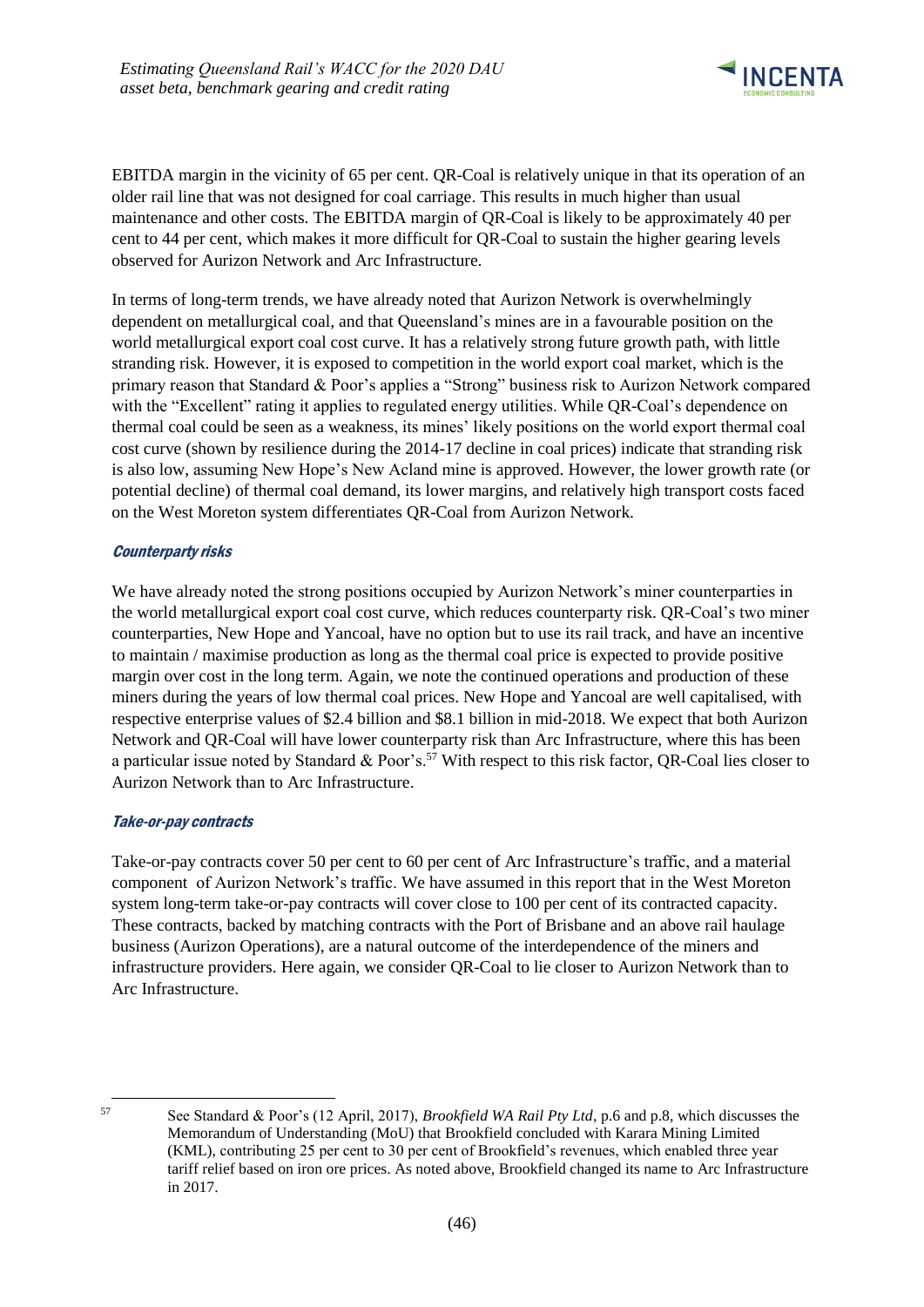

EBITDA margin in the vicinity of 65 per cent. QR-Coal is relatively unique in that its operation of an older rail line that was not designed for coal carriage. This results in much higher than usual maintenance and other costs. The EBITDA margin of QR-Coal is likely to be approximately 40 per cent to 44 per cent, which makes it more difficult for QR-Coal to sustain the higher gearing levels observed for Aurizon Network and Arc Infrastructure.

In terms of long-term trends, we have already noted that Aurizon Network is overwhelmingly dependent on metallurgical coal, and that Queensland's mines are in a favourable position on the world metallurgical export coal cost curve. It has a relatively strong future growth path, with little stranding risk. However, it is exposed to competition in the world export coal market, which is the primary reason that Standard & Poor's applies a "Strong" business risk to Aurizon Network compared with the "Excellent" rating it applies to regulated energy utilities. While QR-Coal's dependence on thermal coal could be seen as a weakness, its mines' likely positions on the world export thermal coal cost curve (shown by resilience during the 2014-17 decline in coal prices) indicate that stranding risk is also low, assuming New Hope's New Acland mine is approved. However, the lower growth rate (or potential decline) of thermal coal demand, its lower margins, and relatively high transport costs faced on the West Moreton system differentiates QR-Coal from Aurizon Network.

### Counterparty risks

We have already noted the strong positions occupied by Aurizon Network's miner counterparties in the world metallurgical export coal cost curve, which reduces counterparty risk. QR-Coal's two miner counterparties, New Hope and Yancoal, have no option but to use its rail track, and have an incentive to maintain / maximise production as long as the thermal coal price is expected to provide positive margin over cost in the long term. Again, we note the continued operations and production of these miners during the years of low thermal coal prices. New Hope and Yancoal are well capitalised, with respective enterprise values of \$2.4 billion and \$8.1 billion in mid-2018. We expect that both Aurizon Network and QR-Coal will have lower counterparty risk than Arc Infrastructure, where this has been a particular issue noted by Standard & Poor's.<sup>57</sup> With respect to this risk factor, QR-Coal lies closer to Aurizon Network than to Arc Infrastructure.

### Take-or-pay contracts

Take-or-pay contracts cover 50 per cent to 60 per cent of Arc Infrastructure's traffic, and a material component of Aurizon Network's traffic. We have assumed in this report that in the West Moreton system long-term take-or-pay contracts will cover close to 100 per cent of its contracted capacity. These contracts, backed by matching contracts with the Port of Brisbane and an above rail haulage business (Aurizon Operations), are a natural outcome of the interdependence of the miners and infrastructure providers. Here again, we consider QR-Coal to lie closer to Aurizon Network than to Arc Infrastructure.

<sup>1</sup> 

<sup>57</sup> See Standard & Poor's (12 April, 2017), *Brookfield WA Rail Pty Ltd*, p.6 and p.8, which discusses the Memorandum of Understanding (MoU) that Brookfield concluded with Karara Mining Limited (KML), contributing 25 per cent to 30 per cent of Brookfield's revenues, which enabled three year tariff relief based on iron ore prices. As noted above, Brookfield changed its name to Arc Infrastructure in 2017.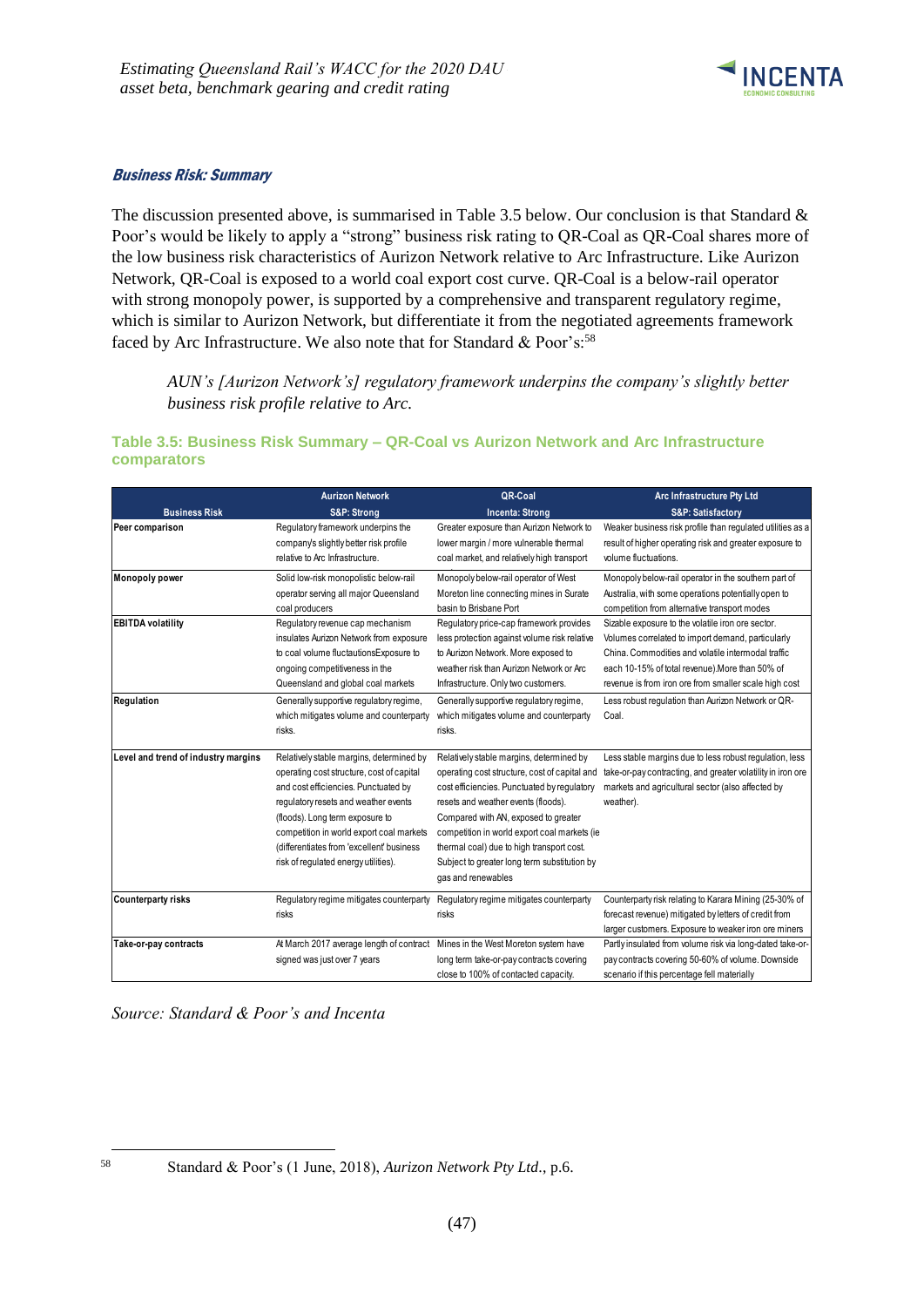

#### Business Risk: Summary

The discussion presented above, is summarised in Table 3.5 below. Our conclusion is that Standard & Poor's would be likely to apply a "strong" business risk rating to QR-Coal as QR-Coal shares more of the low business risk characteristics of Aurizon Network relative to Arc Infrastructure. Like Aurizon Network, QR-Coal is exposed to a world coal export cost curve. QR-Coal is a below-rail operator with strong monopoly power, is supported by a comprehensive and transparent regulatory regime, which is similar to Aurizon Network, but differentiate it from the negotiated agreements framework faced by Arc Infrastructure. We also note that for Standard & Poor's:<sup>58</sup>

*AUN's [Aurizon Network's] regulatory framework underpins the company's slightly better business risk profile relative to Arc.*

### **Table 3.5: Business Risk Summary – QR-Coal vs Aurizon Network and Arc Infrastructure comparators**

|                                     | <b>Aurizon Network</b>                                                         | QR-Coal                                       | Arc Infrastructure Pty Ltd                                  |
|-------------------------------------|--------------------------------------------------------------------------------|-----------------------------------------------|-------------------------------------------------------------|
| <b>Business Risk</b>                | S&P: Strong                                                                    | <b>Incenta: Strong</b>                        | <b>S&amp;P: Satisfactory</b>                                |
| Peer comparison                     | Regulatory framework underpins the                                             | Greater exposure than Aurizon Network to      | Weaker business risk profile than regulated utilities as a  |
|                                     | company's slightly better risk profile                                         | lower margin / more vulnerable thermal        | result of higher operating risk and greater exposure to     |
|                                     | relative to Arc Infrastructure.                                                | coal market, and relatively high transport    | volume fluctuations.                                        |
| <b>Monopoly power</b>               | Solid low-risk monopolistic below-rail                                         | Monopoly below-rail operator of West          | Monopoly below-rail operator in the southern part of        |
|                                     | operator serving all major Queensland                                          | Moreton line connecting mines in Surate       | Australia, with some operations potentially open to         |
|                                     | coal producers                                                                 | basin to Brisbane Port                        | competition from alternative transport modes                |
| <b>EBITDA</b> volatility            | Regulatory revenue cap mechanism                                               | Regulatory price-cap framework provides       | Sizable exposure to the volatile iron ore sector.           |
|                                     | insulates Aurizon Network from exposure                                        | less protection against volume risk relative  | Volumes correlated to import demand, particularly           |
|                                     | to coal volume fluctautionsExposure to                                         | to Aurizon Network. More exposed to           | China. Commodities and volatile intermodal traffic          |
|                                     | ongoing competitiveness in the                                                 | weather risk than Aurizon Network or Arc      | each 10-15% of total revenue). More than 50% of             |
|                                     | Queensland and global coal markets                                             | Infrastructure. Only two customers.           | revenue is from iron ore from smaller scale high cost       |
| Regulation                          | Generally supportive regulatory regime,                                        | Generally supportive regulatory regime,       | Less robust regulation than Aurizon Network or QR-          |
|                                     | which mitigates volume and counterparty                                        | which mitigates volume and counterparty       | Coal.                                                       |
|                                     | risks.                                                                         | risks.                                        |                                                             |
| Level and trend of industry margins | Relatively stable margins, determined by                                       | Relatively stable margins, determined by      | Less stable margins due to less robust regulation, less     |
|                                     | operating cost structure, cost of capital                                      | operating cost structure, cost of capital and | take-or-pay contracting, and greater volatility in iron ore |
|                                     | and cost efficiencies. Punctuated by                                           | cost efficiencies. Punctuated by regulatory   | markets and agricultural sector (also affected by           |
|                                     | requlatory resets and weather events                                           | resets and weather events (floods).           | weather).                                                   |
|                                     | (floods). Long term exposure to                                                | Compared with AN, exposed to greater          |                                                             |
|                                     | competition in world export coal markets                                       | competition in world export coal markets (ie  |                                                             |
|                                     | (differentiates from 'excellent' business                                      | thermal coal) due to high transport cost.     |                                                             |
|                                     | risk of regulated energy utilities).                                           | Subject to greater long term substitution by  |                                                             |
|                                     |                                                                                | gas and renewables                            |                                                             |
| <b>Counterparty risks</b>           | Regulatory regime mitigates counterparty                                       | Regulatory regime mitigates counterparty      | Counterparty risk relating to Karara Mining (25-30% of      |
|                                     | risks                                                                          | risks                                         | forecast revenue) mitigated by letters of credit from       |
|                                     |                                                                                |                                               | larger customers. Exposure to weaker iron ore miners        |
| Take-or-pay contracts               | At March 2017 average length of contract Mines in the West Moreton system have |                                               | Partly insulated from volume risk via long-dated take-or-   |
|                                     | signed was just over 7 years                                                   | long term take-or-pay contracts covering      | pay contracts covering 50-60% of volume. Downside           |
|                                     |                                                                                | close to 100% of contacted capacity.          | scenario if this percentage fell materially                 |

*Source: Standard & Poor's and Incenta*

<sup>1</sup> 

<sup>58</sup> Standard & Poor's (1 June, 2018), *Aurizon Network Pty Ltd*., p.6.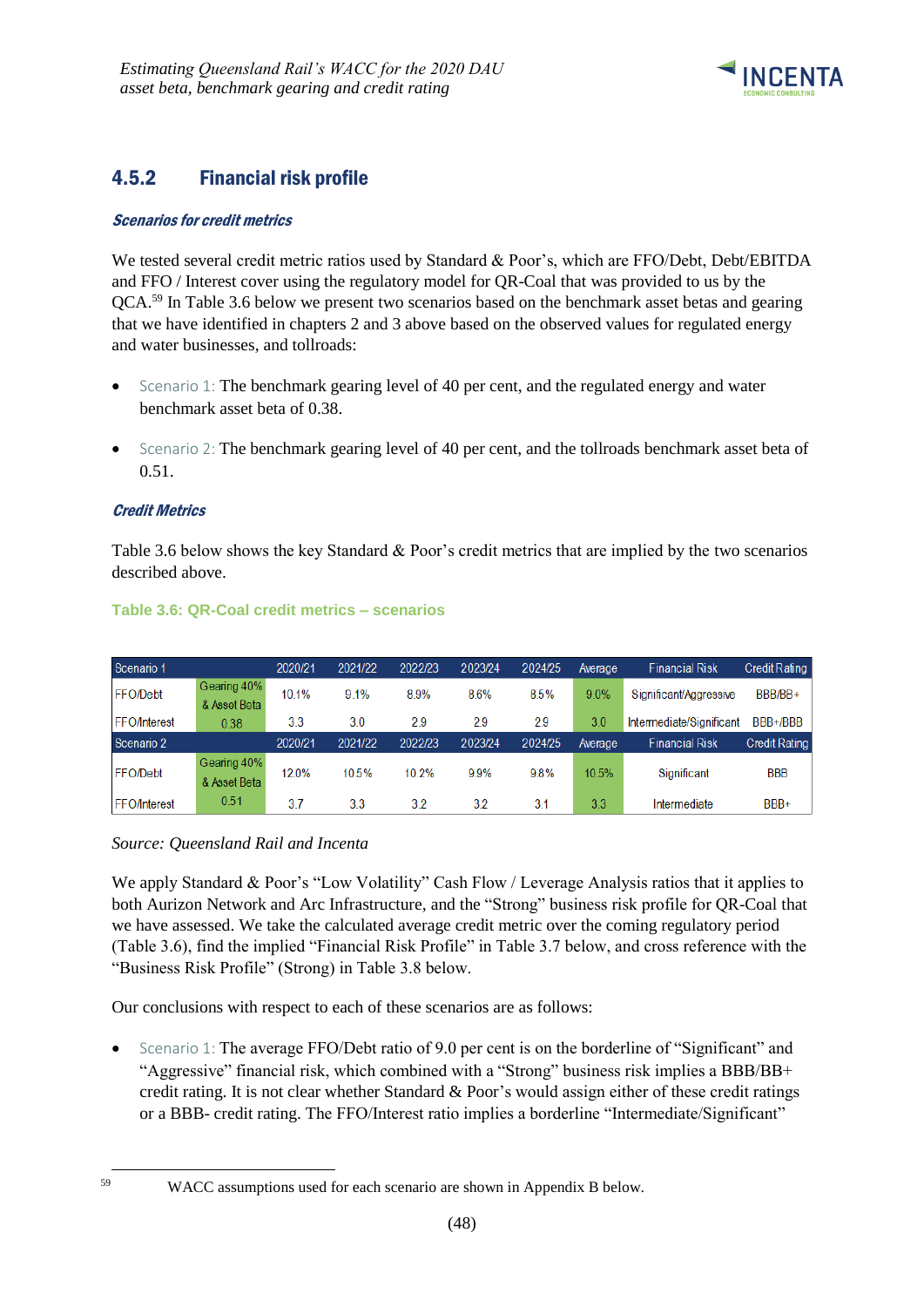

# <span id="page-51-0"></span>4.5.2 Financial risk profile

### Scenarios for credit metrics

We tested several credit metric ratios used by Standard & Poor's, which are FFO/Debt, Debt/EBITDA and FFO / Interest cover using the regulatory model for QR-Coal that was provided to us by the QCA.<sup>59</sup> In Table 3.6 below we present two scenarios based on the benchmark asset betas and gearing that we have identified in chapters 2 and 3 above based on the observed values for regulated energy and water businesses, and tollroads:

- Scenario 1: The benchmark gearing level of 40 per cent, and the regulated energy and water benchmark asset beta of 0.38.
- Scenario 2: The benchmark gearing level of 40 per cent, and the tollroads benchmark asset beta of 0.51.

### Credit Metrics

Table 3.6 below shows the key Standard & Poor's credit metrics that are implied by the two scenarios described above.

| Scenario 1          |                             | 2020/21 | 2021/22 | 2022/23 | 2023/24 | 2024/25 | Average | <b>Financial Risk</b>    | Credit Rating        |
|---------------------|-----------------------------|---------|---------|---------|---------|---------|---------|--------------------------|----------------------|
| <b>FFO/Debt</b>     | Gearing 40%<br>& Asset Beta | 10.1%   | 9.1%    | 8.9%    | 8.6%    | 8.5%    | 9.0%    | Significant/Aggressive   | BBB/BB+              |
| <b>FFO/Interest</b> | 0.38                        | 3.3     | 3.0     | 2.9     | 2.9     | 2.9     | 3.0     | Intermediate/Significant | BBB+/BBB             |
| Scenario 2          |                             | 2020/21 | 2021/22 | 2022/23 | 2023/24 | 2024/25 | Average | <b>Financial Risk</b>    | <b>Credit Rating</b> |
| <b>FFO/Debt</b>     | Gearing 40%<br>& Asset Beta | 12.0%   | 10.5%   | 10.2%   | 9.9%    | 9.8%    | 10.5%   | Significant              | <b>BBB</b>           |
|                     |                             |         |         |         |         |         |         |                          |                      |

#### **Table 3.6: QR-Coal credit metrics – scenarios**

#### *Source: Queensland Rail and Incenta*

We apply Standard & Poor's "Low Volatility" Cash Flow / Leverage Analysis ratios that it applies to both Aurizon Network and Arc Infrastructure, and the "Strong" business risk profile for QR-Coal that we have assessed. We take the calculated average credit metric over the coming regulatory period (Table 3.6), find the implied "Financial Risk Profile" in Table 3.7 below, and cross reference with the "Business Risk Profile" (Strong) in Table 3.8 below.

Our conclusions with respect to each of these scenarios are as follows:

• Scenario 1: The average FFO/Debt ratio of 9.0 per cent is on the borderline of "Significant" and "Aggressive" financial risk, which combined with a "Strong" business risk implies a BBB/BB+ credit rating. It is not clear whether Standard & Poor's would assign either of these credit ratings or a BBB- credit rating. The FFO/Interest ratio implies a borderline "Intermediate/Significant"

1

<sup>59</sup> WACC assumptions used for each scenario are shown in Appendix B below.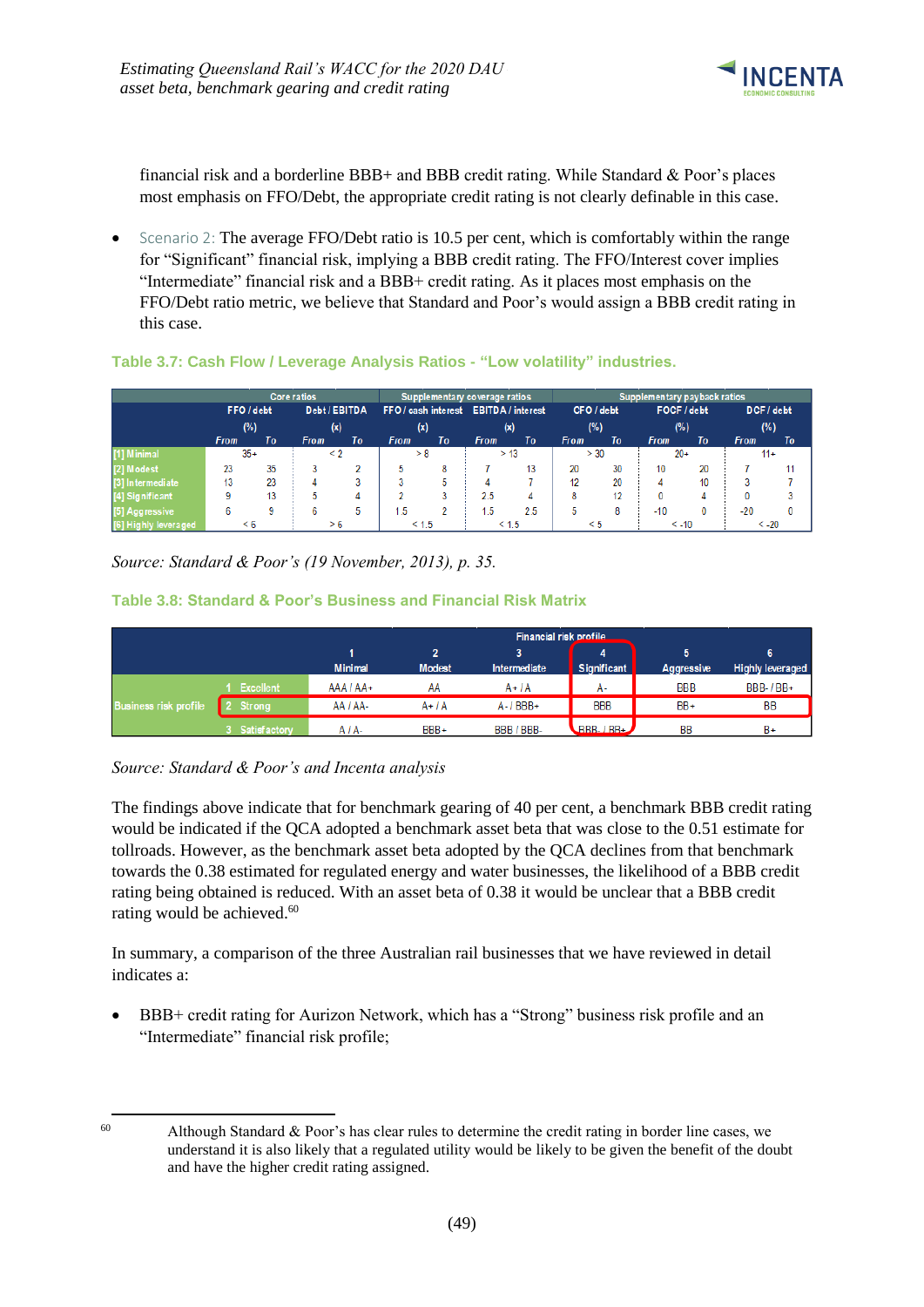

financial risk and a borderline BBB+ and BBB credit rating. While Standard & Poor's places most emphasis on FFO/Debt, the appropriate credit rating is not clearly definable in this case.

Scenario 2: The average FFO/Debt ratio is 10.5 per cent, which is comfortably within the range for "Significant" financial risk, implying a BBB credit rating. The FFO/Interest cover implies "Intermediate" financial risk and a BBB+ credit rating. As it places most emphasis on the FFO/Debt ratio metric, we believe that Standard and Poor's would assign a BBB credit rating in this case.

|                      |             |    | <b>Core ratios</b> |    |                                       | Supplementary coverage ratios |             |       |             | Supplementary payback ratios |             |    |             |    |  |
|----------------------|-------------|----|--------------------|----|---------------------------------------|-------------------------------|-------------|-------|-------------|------------------------------|-------------|----|-------------|----|--|
|                      | FFO / debt  |    | Debt / EBITDA      |    | FFO / cash interest EBITDA / interest |                               |             |       | CFO / debt  |                              | FOCF / debt |    | DCF / debt  |    |  |
|                      | (%)         |    | (x)                |    | (x)                                   |                               | (x)         |       | (%)         |                              | (%)         |    | (%)         |    |  |
|                      | <b>From</b> | To | <b>From</b>        | To | <b>From</b>                           | To                            | <b>From</b> | To    | <b>From</b> | To                           | <b>From</b> | To | <b>From</b> | To |  |
| [1] Minimal          | $35+$       |    | $\leq 2$           |    | > 8                                   |                               |             | > 13  | > 30        |                              | $20+$       |    | $11+$       |    |  |
| [2] Modest           | 23          | 35 |                    |    | 5.                                    | 8                             |             | 13    | 20          | 30                           | 10          | 20 |             | 11 |  |
| [3] Intermediate     | 13          | 23 | Δ                  | 3  |                                       | 5                             |             |       | 12          | 20                           | 4           | 10 |             |    |  |
| [4] Significant      | 9           | 13 |                    | 4  |                                       | o                             | 2.5         | 4     | 8           | 12                           | 0           |    |             |    |  |
| [5] Aggressive       | 6           | 9  | ь                  | 5  | -5                                    |                               | .5          | 2.5   | ь           | 8                            | $-10$       |    | $-20$       | 0  |  |
| [6] Highly leveraged | $\leq 6$    |    | > 6                |    | < 1.5                                 |                               |             | < 1.5 | < 5         |                              | $\leq -10$  |    | $< -20$     |    |  |

#### **Table 3.7: Cash Flow / Leverage Analysis Ratios - "Low volatility" industries.**

*Source: Standard & Poor's (19 November, 2013), p. 35.*

#### **Table 3.8: Standard & Poor's Business and Financial Risk Matrix**

|                              |               | Financial risk profile |                    |              |                              |            |                         |  |  |  |  |  |
|------------------------------|---------------|------------------------|--------------------|--------------|------------------------------|------------|-------------------------|--|--|--|--|--|
|                              |               | <b>Minimal</b>         | ,<br><b>Modest</b> | Intermediate | Significant                  | Aggressive | <b>Highly leveraged</b> |  |  |  |  |  |
|                              | Excellent     | $AAA/AA+$              | AA                 | $A + IA$     | А-                           | <b>BBB</b> | <b>BBB-1BB+</b>         |  |  |  |  |  |
| <b>Business risk profile</b> | <b>Strong</b> | AA / AA-               | $A+IA$             | $A - I$ BBB+ | <b>BBB</b>                   | BB+        | <b>BB</b>               |  |  |  |  |  |
|                              | Satisfactory  | $AIA-$                 | BBB+               | BBB / BBB-   | $R$ <sub>BBB</sub> - $/$ BB+ | BB         | $B+$                    |  |  |  |  |  |

*Source: Standard & Poor's and Incenta analysis*

The findings above indicate that for benchmark gearing of 40 per cent, a benchmark BBB credit rating would be indicated if the QCA adopted a benchmark asset beta that was close to the 0.51 estimate for tollroads. However, as the benchmark asset beta adopted by the QCA declines from that benchmark towards the 0.38 estimated for regulated energy and water businesses, the likelihood of a BBB credit rating being obtained is reduced. With an asset beta of 0.38 it would be unclear that a BBB credit rating would be achieved. 60

In summary, a comparison of the three Australian rail businesses that we have reviewed in detail indicates a:

• BBB+ credit rating for Aurizon Network, which has a "Strong" business risk profile and an "Intermediate" financial risk profile;

<sup>1</sup> 

 $60$  Although Standard & Poor's has clear rules to determine the credit rating in border line cases, we understand it is also likely that a regulated utility would be likely to be given the benefit of the doubt and have the higher credit rating assigned.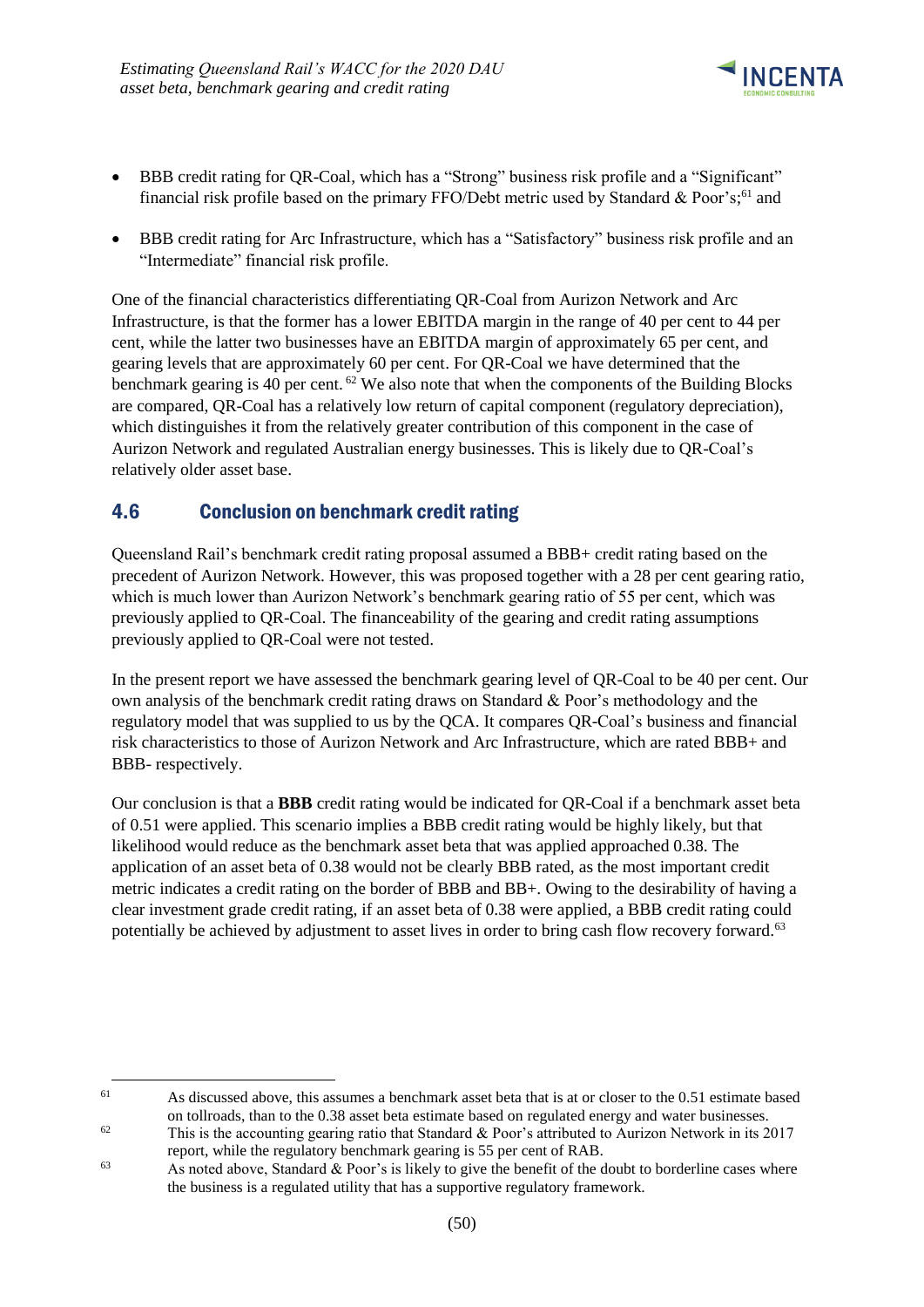

- BBB credit rating for QR-Coal, which has a "Strong" business risk profile and a "Significant" financial risk profile based on the primary FFO/Debt metric used by Standard & Poor's;<sup>61</sup> and
- BBB credit rating for Arc Infrastructure, which has a "Satisfactory" business risk profile and an "Intermediate" financial risk profile.

One of the financial characteristics differentiating QR-Coal from Aurizon Network and Arc Infrastructure, is that the former has a lower EBITDA margin in the range of 40 per cent to 44 per cent, while the latter two businesses have an EBITDA margin of approximately 65 per cent, and gearing levels that are approximately 60 per cent. For QR-Coal we have determined that the benchmark gearing is 40 per cent.<sup>62</sup> We also note that when the components of the Building Blocks are compared, QR-Coal has a relatively low return of capital component (regulatory depreciation), which distinguishes it from the relatively greater contribution of this component in the case of Aurizon Network and regulated Australian energy businesses. This is likely due to QR-Coal's relatively older asset base.

### <span id="page-53-0"></span>4.6 Conclusion on benchmark credit rating

-

Queensland Rail's benchmark credit rating proposal assumed a BBB+ credit rating based on the precedent of Aurizon Network. However, this was proposed together with a 28 per cent gearing ratio, which is much lower than Aurizon Network's benchmark gearing ratio of 55 per cent, which was previously applied to QR-Coal. The financeability of the gearing and credit rating assumptions previously applied to QR-Coal were not tested.

In the present report we have assessed the benchmark gearing level of QR-Coal to be 40 per cent. Our own analysis of the benchmark credit rating draws on Standard & Poor's methodology and the regulatory model that was supplied to us by the QCA. It compares QR-Coal's business and financial risk characteristics to those of Aurizon Network and Arc Infrastructure, which are rated BBB+ and BBB- respectively.

Our conclusion is that a **BBB** credit rating would be indicated for QR-Coal if a benchmark asset beta of 0.51 were applied. This scenario implies a BBB credit rating would be highly likely, but that likelihood would reduce as the benchmark asset beta that was applied approached 0.38. The application of an asset beta of 0.38 would not be clearly BBB rated, as the most important credit metric indicates a credit rating on the border of BBB and BB+. Owing to the desirability of having a clear investment grade credit rating, if an asset beta of 0.38 were applied, a BBB credit rating could potentially be achieved by adjustment to asset lives in order to bring cash flow recovery forward.<sup>63</sup>

<sup>&</sup>lt;sup>61</sup> As discussed above, this assumes a benchmark asset beta that is at or closer to the 0.51 estimate based on tollroads, than to the 0.38 asset beta estimate based on regulated energy and water businesses.

<sup>&</sup>lt;sup>62</sup> This is the accounting gearing ratio that Standard & Poor's attributed to Aurizon Network in its 2017 report, while the regulatory benchmark gearing is 55 per cent of RAB.

 $\frac{63}{100}$  As noted above, Standard & Poor's is likely to give the benefit of the doubt to borderline cases where the business is a regulated utility that has a supportive regulatory framework.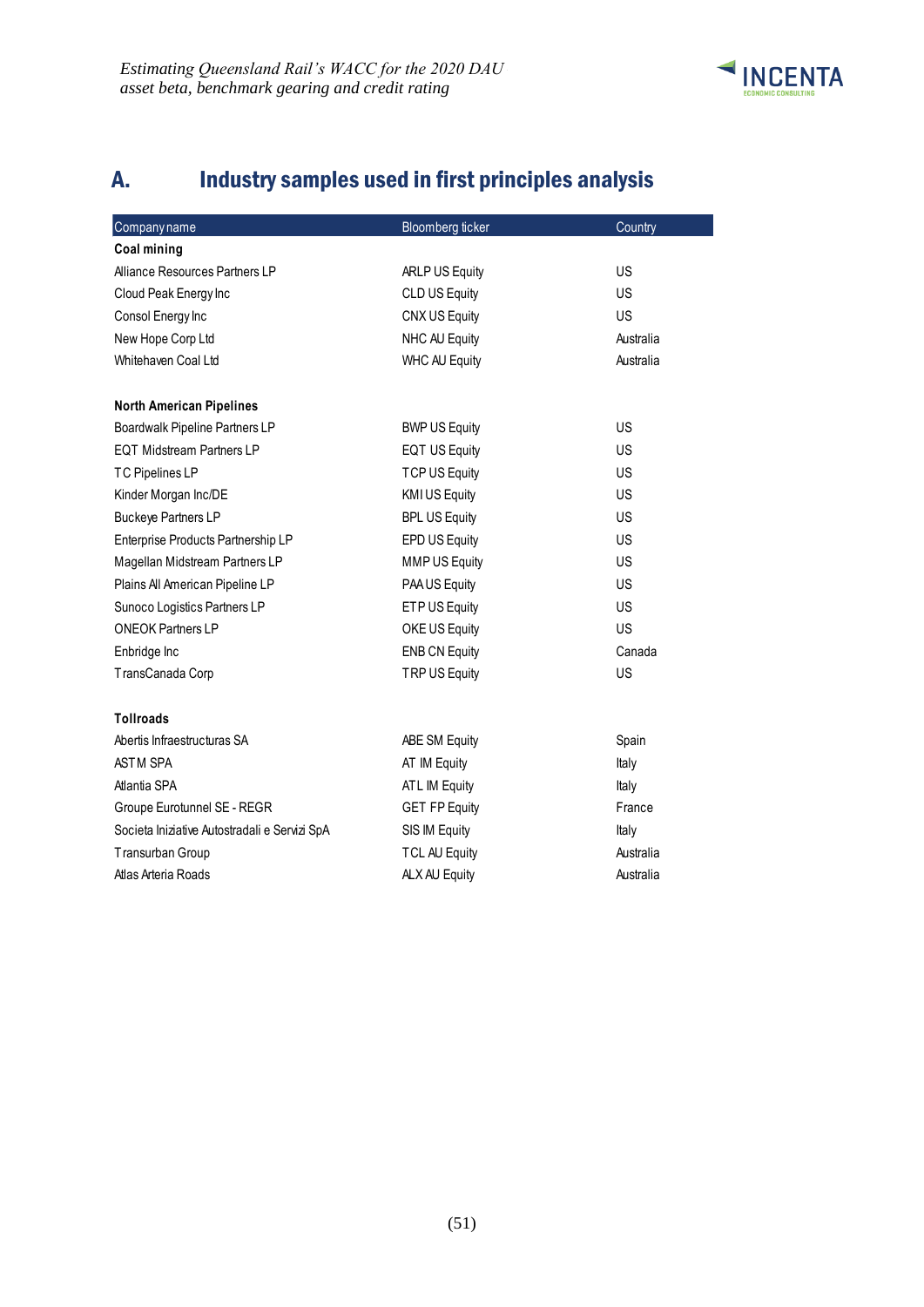

# <span id="page-54-0"></span>A. Industry samples used in first principles analysis

| Companyname                                   | <b>Bloomberg ticker</b> | Country   |
|-----------------------------------------------|-------------------------|-----------|
| <b>Coal mining</b>                            |                         |           |
| Alliance Resources Partners LP                | ARLP US Equity          | <b>US</b> |
| Cloud Peak Energy Inc                         | <b>CLD US Equity</b>    | <b>US</b> |
| Consol Energy Inc                             | CNX US Equity           | <b>US</b> |
| New Hope Corp Ltd                             | NHC AU Equity           | Australia |
| Whitehaven Coal Ltd                           | <b>WHC AU Equity</b>    | Australia |
| <b>North American Pipelines</b>               |                         |           |
| Boardwalk Pipeline Partners LP                | <b>BWP US Equity</b>    | US        |
| <b>EQT Midstream Partners LP</b>              | <b>EQT US Equity</b>    | US        |
| <b>TC Pipelines LP</b>                        | TCP US Equity           | US        |
| Kinder Morgan Inc/DE                          | <b>KMI US Equity</b>    | <b>US</b> |
| <b>Buckeye Partners LP</b>                    | <b>BPL US Equity</b>    | US        |
| Enterprise Products Partnership LP            | EPD US Equity           | US        |
| Magellan Midstream Partners LP                | <b>MMP US Equity</b>    | <b>US</b> |
| Plains All American Pipeline LP               | PAA US Equity           | <b>US</b> |
| Sunoco Logistics Partners LP                  | ETP US Equity           | US        |
| <b>ONEOK Partners LP</b>                      | OKE US Equity           | US        |
| Enbridge Inc                                  | <b>ENB CN Equity</b>    | Canada    |
| TransCanada Corp                              | TRP US Equity           | US        |
| <b>Tollroads</b>                              |                         |           |
| Abertis Infraestructuras SA                   | ABE SM Equity           | Spain     |
| <b>ASTM SPA</b>                               | AT IM Equity            | Italy     |
| Atlantia SPA                                  | ATL IM Equity           | Italy     |
| Groupe Eurotunnel SE - REGR                   | <b>GET FP Equity</b>    | France    |
| Societa Iniziative Autostradali e Servizi SpA | SIS IM Equity           | Italy     |
| Transurban Group                              | <b>TCL AU Equity</b>    | Australia |
| Atlas Arteria Roads                           | ALX AU Equity           | Australia |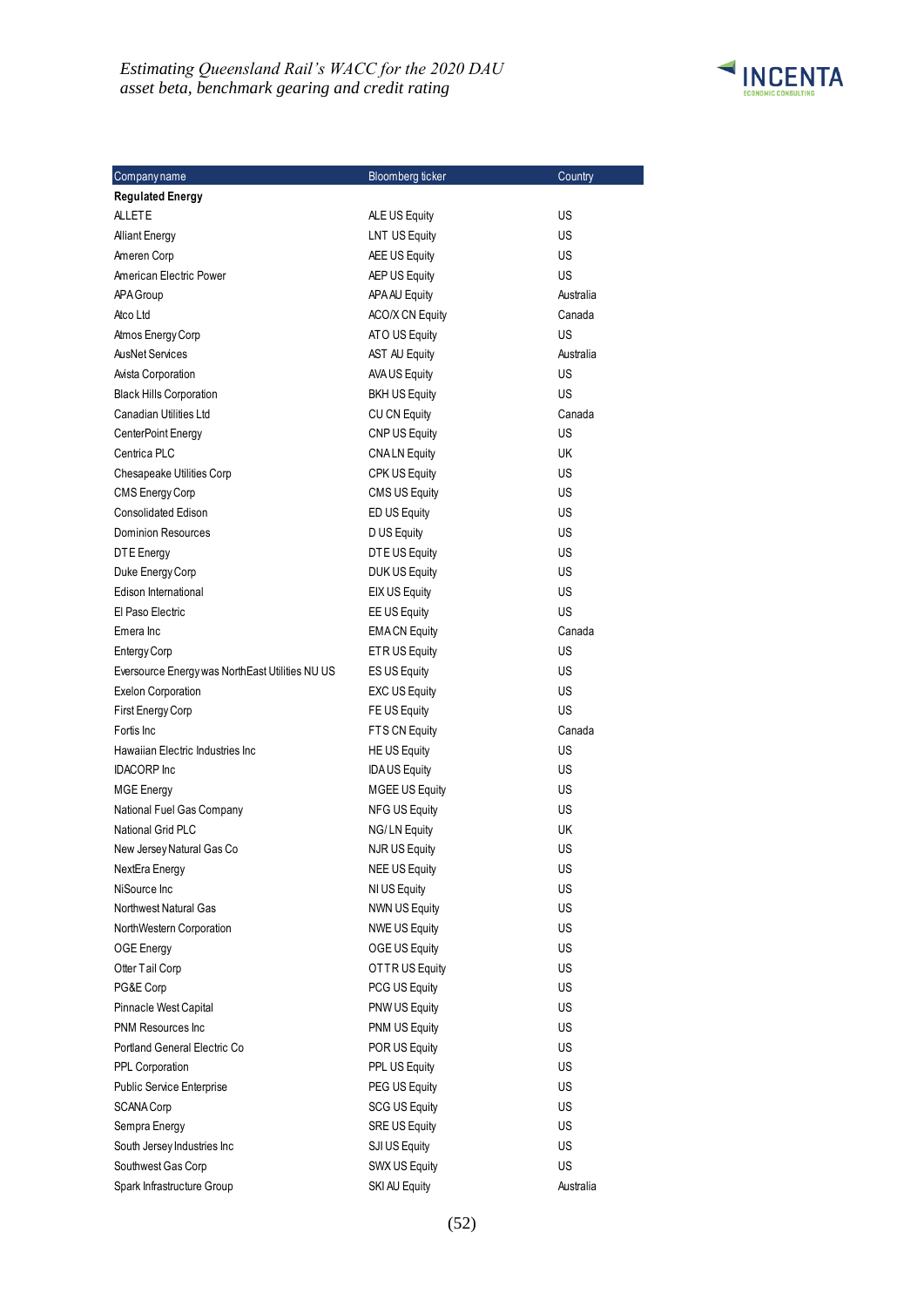#### *Estimating Queensland Rail's WACC for the 2020 DAU – asset beta, benchmark gearing and credit rating*



| Company name                                    | Bloomberg ticker       | Country   |
|-------------------------------------------------|------------------------|-----------|
| <b>Regulated Energy</b>                         |                        |           |
| <b>ALLETE</b>                                   | ALE US Equity          | US        |
| <b>Alliant Energy</b>                           | <b>LNT US Equity</b>   | US        |
| Ameren Corp                                     | AEE US Equity          | US        |
| American Electric Power                         | AEP US Equity          | US        |
| APA Group                                       | APA AU Equity          | Australia |
| Atco Ltd                                        | <b>ACO/X CN Equity</b> | Canada    |
| Atmos Energy Corp                               | ATO US Equity          | US        |
| <b>AusNet Services</b>                          | <b>AST AU Equity</b>   | Australia |
| Avista Corporation                              | <b>AVA US Equity</b>   | US        |
| <b>Black Hills Corporation</b>                  | <b>BKH US Equity</b>   | US        |
| Canadian Utilities Ltd                          | CU CN Equity           | Canada    |
| CenterPoint Energy                              | CNP US Equity          | US        |
| Centrica PLC                                    | <b>CNALN Equity</b>    | UK        |
| Chesapeake Utilities Corp                       | CPK US Equity          | US        |
| CMS Energy Corp                                 | <b>CMS US Equity</b>   | US        |
| <b>Consolidated Edison</b>                      | ED US Equity           | US        |
| <b>Dominion Resources</b>                       | D US Equity            | US        |
| DTE Energy                                      | DTE US Equity          | US        |
| Duke Energy Corp                                | DUK US Equity          | US        |
| Edison International                            | <b>EIX US Equity</b>   | US        |
| El Paso Electric                                | EE US Equity           | US        |
| Emera Inc                                       | <b>EMACN Equity</b>    | Canada    |
| <b>Entergy Corp</b>                             | ETR US Equity          | US        |
| Eversource Energy was NorthEast Utilities NU US | ES US Equity           | US        |
| <b>Exelon Corporation</b>                       | <b>EXC US Equity</b>   | US        |
| First Energy Corp                               | FE US Equity           | US        |
| Fortis Inc.                                     | FTS CN Equity          | Canada    |
| Hawaiian Electric Industries Inc                | <b>HE US Equity</b>    | US        |
| <b>IDACORP</b> Inc                              | <b>IDAUS</b> Equity    | US        |
| <b>MGE Energy</b>                               | <b>MGEE US Equity</b>  | US        |
| National Fuel Gas Company                       | <b>NFG US Equity</b>   | US        |
| National Grid PLC                               | NG/LN Equity           | UK        |
| New Jersey Natural Gas Co                       | <b>NJR US Equity</b>   | US        |
| NextEra Energy                                  | <b>NEE US Equity</b>   | US        |
| NiSource Inc.                                   | NI US Equity           | US        |
| Northwest Natural Gas                           | <b>NWN US Equity</b>   | US        |
| NorthWestern Corporation                        | <b>NWE US Equity</b>   | US        |
| OGE Energy                                      | OGE US Equity          | US        |
| Otter Tail Corp                                 | OTTR US Equity         | US        |
| PG&E Corp                                       | PCG US Equity          | US        |
| Pinnacle West Capital                           | PNW US Equity          | US        |
| <b>PNM Resources Inc.</b>                       | PNM US Equity          | US        |
| Portland General Electric Co                    | POR US Equity          | US        |
| PPL Corporation                                 | PPL US Equity          | US        |
| <b>Public Service Enterprise</b>                | PEG US Equity          | US        |
| <b>SCANA Corp</b>                               | <b>SCG US Equity</b>   | US        |
| Sempra Energy                                   | SRE US Equity          | US        |
| South Jersey Industries Inc                     | SJI US Equity          | US        |
| Southwest Gas Corp                              | SWX US Equity          | US        |
| Spark Infrastructure Group                      | SKI AU Equity          | Australia |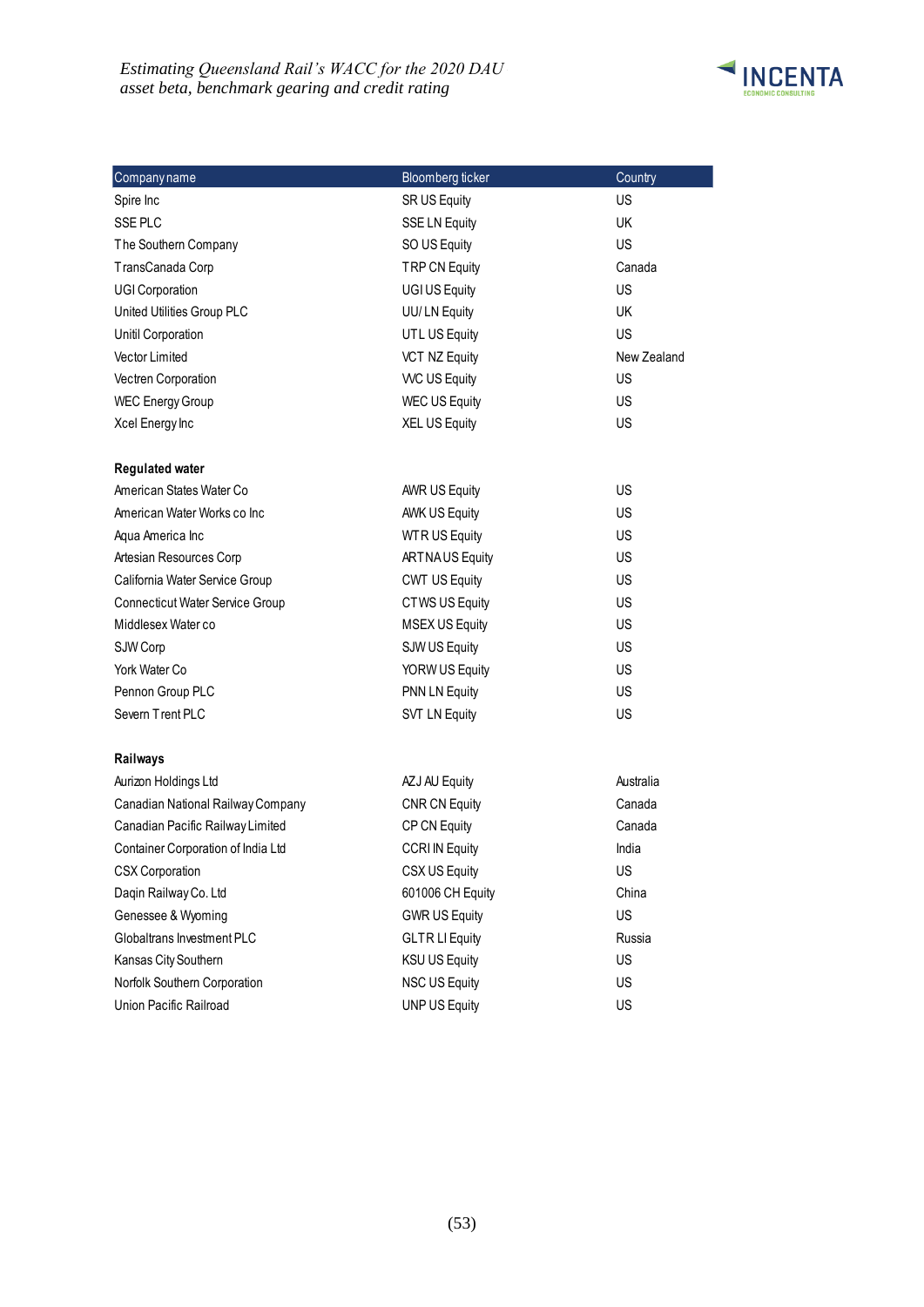### *Estimating Queensland Rail's WACC for the 2020 DAU – asset beta, benchmark gearing and credit rating*



| Companyname                                                           | Bloomberg ticker               | Country     |
|-----------------------------------------------------------------------|--------------------------------|-------------|
| Spire Inc                                                             | SR US Equity                   | <b>US</b>   |
| SSE PLC                                                               | <b>SSE LN Equity</b>           | <b>UK</b>   |
| The Southern Company                                                  | SO US Equity                   | <b>US</b>   |
| TransCanada Corp                                                      | <b>TRP CN Equity</b>           | Canada      |
| <b>UGI Corporation</b>                                                | UGI US Equity                  | US          |
| United Utilities Group PLC                                            | UU/LN Equity                   | <b>UK</b>   |
| Unitil Corporation                                                    | UTL US Equity                  | <b>US</b>   |
| Vector Limited                                                        | <b>VCT NZ Equity</b>           | New Zealand |
| Vectren Corporation                                                   | <b>WC US Equity</b>            | <b>US</b>   |
| <b>WEC Energy Group</b>                                               | <b>WEC US Equity</b>           | <b>US</b>   |
| Xcel Energy Inc                                                       | <b>XEL US Equity</b>           | US          |
|                                                                       |                                |             |
| <b>Regulated water</b>                                                |                                |             |
| American States Water Co                                              | <b>AWR US Equity</b>           | US          |
| American Water Works co Inc                                           | <b>AWK US Equity</b>           | <b>US</b>   |
| Aqua America Inc                                                      | <b>WTRUS Equity</b>            | US          |
| Artesian Resources Corp                                               | <b>ARTNAUS Equity</b>          | <b>US</b>   |
| California Water Service Group                                        | <b>CWT US Equity</b>           | <b>US</b>   |
| Connecticut Water Service Group                                       | CTWS US Equity                 | US          |
| Middlesex Water co                                                    | <b>MSEX US Equity</b>          | <b>US</b>   |
| SJW Corp                                                              | SJW US Equity                  | US          |
| York Water Co                                                         | YORW US Equity                 | <b>US</b>   |
| Pennon Group PLC                                                      | <b>PNN LN Equity</b>           | <b>US</b>   |
| Severn Trent PLC                                                      | <b>SVT LN Equity</b>           | US          |
|                                                                       |                                |             |
| Railways<br>Aurizon Holdings Ltd                                      |                                | Australia   |
|                                                                       | AZJ AU Equity<br>CNR CN Equity | Canada      |
| Canadian National Railway Company<br>Canadian Pacific Railway Limited |                                | Canada      |
|                                                                       | CP CN Equity                   |             |
| Container Corporation of India Ltd                                    | <b>CCRI IN Equity</b>          | India       |
| <b>CSX Corporation</b>                                                | CSX US Equity                  | US          |
| Daqin Railway Co. Ltd                                                 | 601006 CH Equity               | China       |
| Genessee & Wyoming                                                    | <b>GWR US Equity</b>           | US          |
| Globaltrans Investment PLC                                            | <b>GLTR LI Equity</b>          | Russia      |
| Kansas City Southern                                                  | <b>KSU US Equity</b>           | US          |
| Norfolk Southern Corporation                                          | <b>NSC US Equity</b>           | US          |
| Union Pacific Railroad                                                | <b>UNP US Equity</b>           | US          |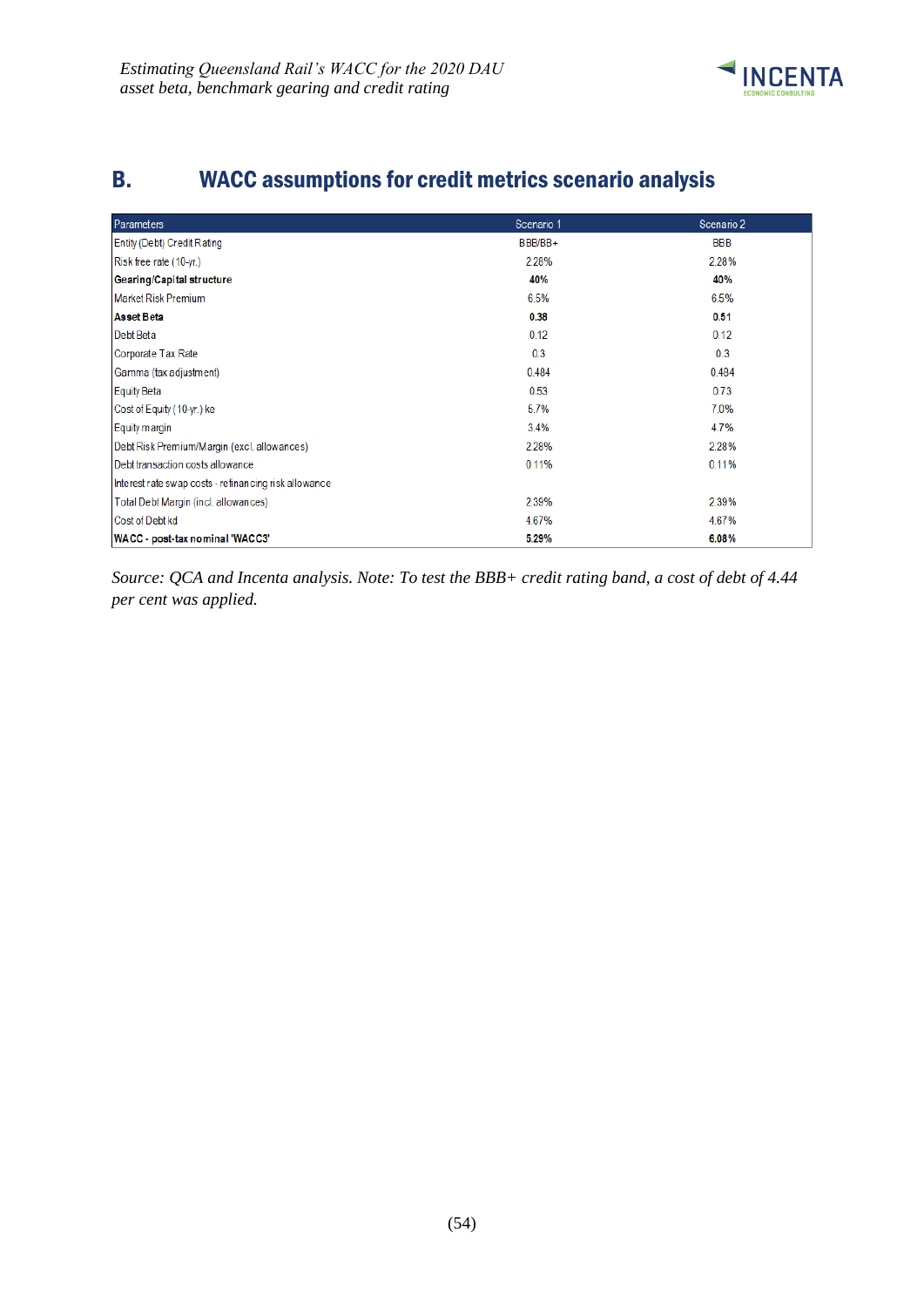

# <span id="page-57-0"></span>B. WACC assumptions for credit metrics scenario analysis

| <b>Parameters</b>                                     | Scenario 1 | Scenario 2 |
|-------------------------------------------------------|------------|------------|
| Entity (Debt) Credit Rating                           | BBB/BB+    | BBB        |
| Risk free rate (10-yr.)                               | 2.28%      | 2.28%      |
| Gearing/Capital structure                             | 40%        | 40%        |
| <b>Market Risk Premium</b>                            | 6.5%       | 6.5%       |
| <b>Asset Beta</b>                                     | 0.38       | 0.51       |
| Debt Beta                                             | 0.12       | 0.12       |
| Corporate Tax Rate                                    | 0.3        | 0.3        |
| Gamma (tax adjustment)                                | 0.484      | 0.484      |
| <b>Equity Beta</b>                                    | 0.53       | 0.73       |
| Cost of Equity (10-yr.) ke                            | 5.7%       | 7.0%       |
| Equity margin                                         | 3.4%       | 4.7%       |
| Debt Risk Premium/Margin (excl. allowances)           | 2.28%      | 2.28%      |
| Debt transaction costs allowance                      | 0.11%      | 0.11%      |
| Interest rate swap costs - refinancing risk allowance |            |            |
| Total Debt Margin (incl. allowances)                  | 2.39%      | 2.39%      |
| Cost of Debt kd                                       | 4.67%      | 4.67%      |
| WACC - post-tax nominal 'WACC3'                       | 5.29%      | 6.08%      |

*Source: QCA and Incenta analysis. Note: To test the BBB+ credit rating band, a cost of debt of 4.44 per cent was applied.*